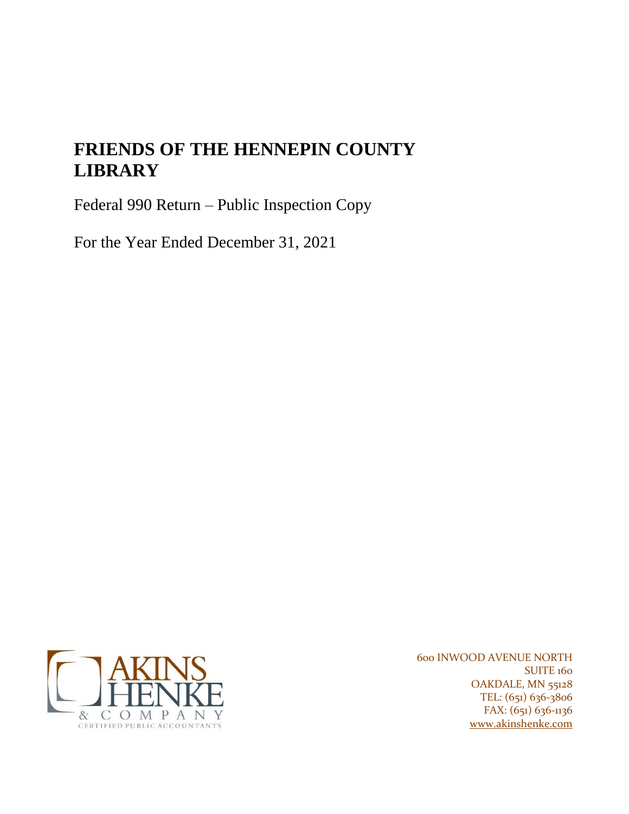# **FRIENDS OF THE HENNEPIN COUNTY LIBRARY**

Federal 990 Return – Public Inspection Copy

For the Year Ended December 31, 2021



600 INWOOD AVENUE NORTH SUITE 160 OAKDALE, MN 55128 TEL: (651) 636-3806 FAX: (651) 636-1136 [www.akinshenke.com](http://www.akinshenke.com/)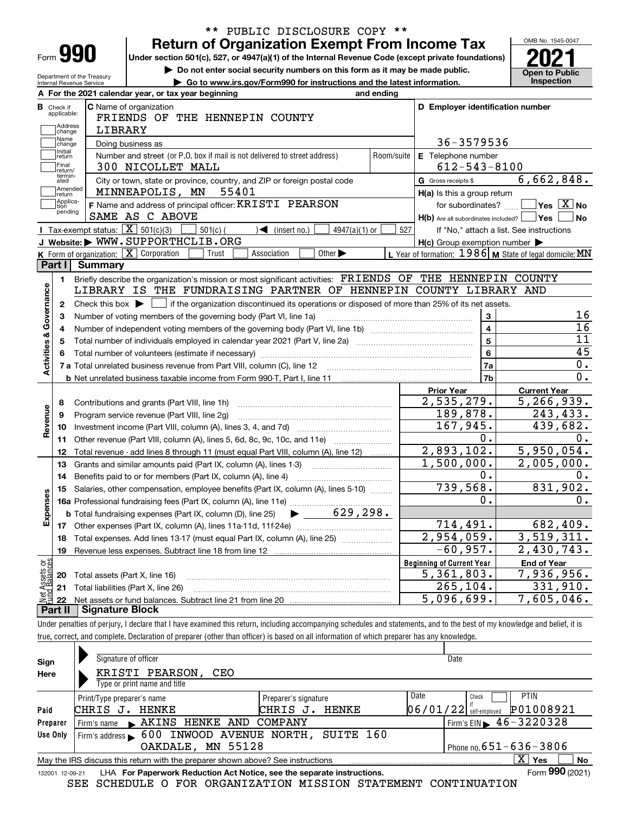| Form |  |
|------|--|

Department of the Treasury Internal Revenue Service

## **Return of Organization Exempt From Income Tax** \*\* PUBLIC DISCLOSURE COPY \*\*

Under section 501(c), 527, or 4947(a)(1) of the Internal Revenue Code (except private foundations) **2021** 

**| Do not enter social security numbers on this form as it may be made public.**

**| Go to www.irs.gov/Form990 for instructions and the latest information. Inspection**



|                         |                             | A For the 2021 calendar year, or tax year beginning                                                                                                                             | and ending |                                                     |                                                           |
|-------------------------|-----------------------------|---------------------------------------------------------------------------------------------------------------------------------------------------------------------------------|------------|-----------------------------------------------------|-----------------------------------------------------------|
| В                       | Check if<br>applicable:     | <b>C</b> Name of organization<br>FRIENDS OF THE HENNEPIN COUNTY                                                                                                                 |            | D Employer identification number                    |                                                           |
|                         | Address<br>change           | LIBRARY                                                                                                                                                                         |            |                                                     |                                                           |
|                         | Name<br>change              | Doing business as                                                                                                                                                               |            | 36-3579536                                          |                                                           |
|                         | Initial<br>return           | Number and street (or P.O. box if mail is not delivered to street address)                                                                                                      | Room/suite | <b>E</b> Telephone number                           |                                                           |
|                         | Final<br>return/<br>termin- | 300 NICOLLET MALL                                                                                                                                                               |            | $612 - 543 - 8100$                                  |                                                           |
|                         | ated<br>Amended             | City or town, state or province, country, and ZIP or foreign postal code                                                                                                        |            | G Gross receipts \$                                 | 6,662,848.                                                |
|                         | return<br>Applica-          | 55401<br>MINNEAPOLIS, MN                                                                                                                                                        |            | H(a) Is this a group return                         |                                                           |
|                         | tion<br>pending             | F Name and address of principal officer: KRISTI PEARSON                                                                                                                         |            | for subordinates?                                   | $\blacksquare$ Yes $\overline{X}$ No                      |
|                         |                             | SAME AS C ABOVE                                                                                                                                                                 |            | $H(b)$ Are all subordinates included? $\Box$ Yes    | ∣No                                                       |
|                         |                             | Tax-exempt status: $\boxed{\mathbf{X}}$ 501(c)(3)<br>$501(c)$ (<br>$\sqrt{\frac{1}{1}}$ (insert no.)<br>$4947(a)(1)$ or                                                         | 527        |                                                     | If "No," attach a list. See instructions                  |
|                         |                             | J Website: WWW.SUPPORTHCLIB.ORG                                                                                                                                                 |            | $H(c)$ Group exemption number $\blacktriangleright$ |                                                           |
|                         | Part I                      | K Form of organization: $\boxed{\mathbf{X}}$ Corporation<br>Other $\blacktriangleright$<br>Association<br>Trust<br><b>Summary</b>                                               |            |                                                     | L Year of formation: 1986   M State of legal domicile: MN |
|                         |                             |                                                                                                                                                                                 |            |                                                     |                                                           |
|                         | 1.                          | Briefly describe the organization's mission or most significant activities: FRIENDS OF THE HENNEPIN COUNTY<br>LIBRARY IS THE FUNDRAISING PARTNER OF HENNEPIN COUNTY LIBRARY AND |            |                                                     |                                                           |
|                         |                             |                                                                                                                                                                                 |            |                                                     |                                                           |
| Activities & Governance |                             | 2 Check this box $\blacktriangleright \Box$ if the organization discontinued its operations or disposed of more than 25% of its net assets.                                     |            |                                                     | 16                                                        |
|                         | 3                           | Number of voting members of the governing body (Part VI, line 1a)                                                                                                               |            | 3<br>$\overline{4}$                                 | $\overline{16}$                                           |
|                         | 4                           |                                                                                                                                                                                 |            | $5\phantom{a}$                                      | $\overline{11}$                                           |
|                         | 5                           |                                                                                                                                                                                 |            | $6\phantom{a}$                                      | 45                                                        |
|                         | 6                           |                                                                                                                                                                                 |            | 7a                                                  | 0.                                                        |
|                         |                             |                                                                                                                                                                                 |            | 7b                                                  | 0.                                                        |
|                         |                             |                                                                                                                                                                                 |            | <b>Prior Year</b>                                   | <b>Current Year</b>                                       |
|                         | 8                           | Contributions and grants (Part VIII, line 1h)                                                                                                                                   |            | 2,535,279.                                          | 5, 266, 939.                                              |
|                         | 9                           | Program service revenue (Part VIII, line 2g)                                                                                                                                    |            | 189,878.                                            | 243,433.                                                  |
| Revenue                 | 10                          |                                                                                                                                                                                 |            | 167,945.                                            | 439,682.                                                  |
|                         | 11                          | Other revenue (Part VIII, column (A), lines 5, 6d, 8c, 9c, 10c, and 11e)                                                                                                        |            | $\overline{0}$ .                                    | 0.                                                        |
|                         | 12                          | Total revenue - add lines 8 through 11 (must equal Part VIII, column (A), line 12)                                                                                              |            | 2,893,102.                                          | 5,950,054.                                                |
|                         | 13                          | Grants and similar amounts paid (Part IX, column (A), lines 1-3)                                                                                                                |            | 1,500,000.                                          | 2,005,000.                                                |
|                         | 14                          |                                                                                                                                                                                 |            | $0$ .                                               | 0.                                                        |
|                         | 15                          | Salaries, other compensation, employee benefits (Part IX, column (A), lines 5-10)                                                                                               |            | 739,568.                                            | 831,902.                                                  |
| Expenses                |                             |                                                                                                                                                                                 |            | О.                                                  | 0.                                                        |
|                         |                             | $\blacktriangleright$ 629,298.<br><b>b</b> Total fundraising expenses (Part IX, column (D), line 25)                                                                            |            |                                                     |                                                           |
|                         |                             |                                                                                                                                                                                 |            | 714,491.                                            | 682,409.                                                  |
|                         | 18                          | Total expenses. Add lines 13-17 (must equal Part IX, column (A), line 25) [                                                                                                     |            | $\overline{2,954,059}$ .                            | 3,519,311.                                                |
|                         | 19                          |                                                                                                                                                                                 |            | $-60,957.$                                          | 2,430,743.                                                |
| ăğ                      |                             |                                                                                                                                                                                 |            | <b>Beginning of Current Year</b>                    | <b>End of Year</b>                                        |
| ssets                   |                             | <b>20</b> Total assets (Part X, line 16)                                                                                                                                        |            | 5,361,803.                                          | 7,936,956.                                                |
|                         |                             | 21 Total liabilities (Part X, line 26)                                                                                                                                          |            | 265,104.                                            | 331,910.                                                  |
|                         | 22                          |                                                                                                                                                                                 |            | 5,096,699.                                          | 7,605,046.                                                |
|                         | Part II                     | <b>Signature Block</b>                                                                                                                                                          |            |                                                     |                                                           |

Under penalties of perjury, I declare that I have examined this return, including accompanying schedules and statements, and to the best of my knowledge and belief, it is true, correct, and complete. Declaration of preparer (other than officer) is based on all information of which preparer has any knowledge.

| Sign     | Signature of officer                                                                                         |                      | Date                                          |  |  |  |  |  |  |
|----------|--------------------------------------------------------------------------------------------------------------|----------------------|-----------------------------------------------|--|--|--|--|--|--|
| Here     | KRISTI PEARSON,<br>CEO                                                                                       |                      |                                               |  |  |  |  |  |  |
|          | Type or print name and title                                                                                 |                      |                                               |  |  |  |  |  |  |
|          | Print/Type preparer's name                                                                                   | Preparer's signature | Date<br><b>PTIN</b><br>Check                  |  |  |  |  |  |  |
| Paid     | CHRIS J.<br>HENKE                                                                                            | CHRIS<br>HENKE<br>J. | P01008921<br>$06/01/22$ self-employed         |  |  |  |  |  |  |
| Preparer | Firm's name AKINS HENKE AND COMPANY                                                                          |                      | Firm's EIN $\blacktriangleright$ 46 - 3220328 |  |  |  |  |  |  |
| Use Only | Firm's address > 600 INWOOD AVENUE NORTH, SUITE 160                                                          |                      |                                               |  |  |  |  |  |  |
|          | OAKDALE, MN 55128                                                                                            |                      | Phone no. $651 - 636 - 3806$                  |  |  |  |  |  |  |
|          | $X \vert Y$ es<br>No<br>May the IRS discuss this return with the preparer shown above? See instructions      |                      |                                               |  |  |  |  |  |  |
|          | Form 990 (2021)<br>LHA For Paperwork Reduction Act Notice, see the separate instructions.<br>132001 12-09-21 |                      |                                               |  |  |  |  |  |  |

SEE SCHEDULE O FOR ORGANIZATION MISSION STATEMENT CONTINUATION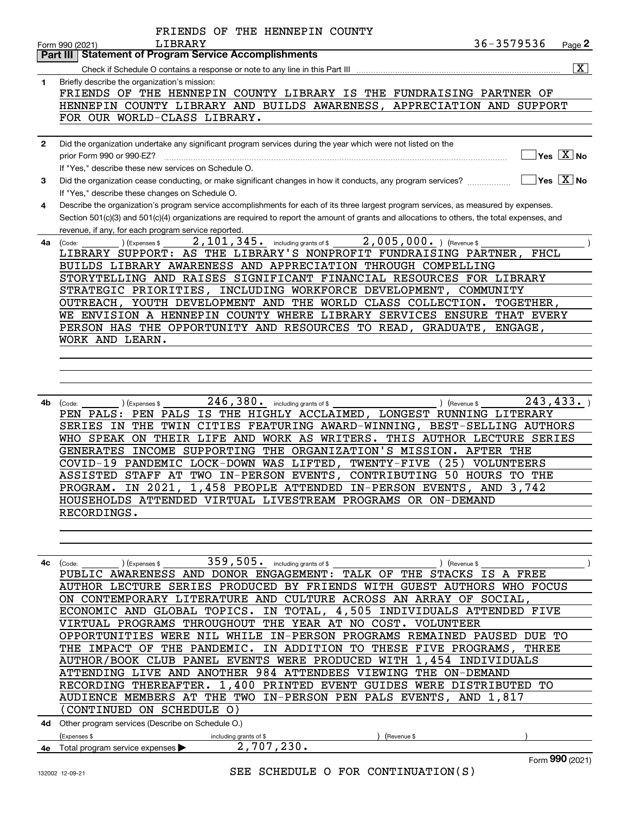|              | FRIENDS OF THE HENNEPIN COUNTY                                                                                                               |
|--------------|----------------------------------------------------------------------------------------------------------------------------------------------|
|              | 36-3579536<br>LIBRARY<br>Page 2<br>Form 990 (2021)                                                                                           |
|              | <b>Part III   Statement of Program Service Accomplishments</b>                                                                               |
|              | $\overline{\mathbf{x}}$                                                                                                                      |
| 1            | Briefly describe the organization's mission:                                                                                                 |
|              | FRIENDS OF THE HENNEPIN COUNTY LIBRARY IS THE FUNDRAISING PARTNER OF                                                                         |
|              | HENNEPIN COUNTY LIBRARY AND BUILDS AWARENESS, APPRECIATION AND SUPPORT                                                                       |
|              |                                                                                                                                              |
|              | FOR OUR WORLD-CLASS LIBRARY.                                                                                                                 |
|              |                                                                                                                                              |
| $\mathbf{2}$ | Did the organization undertake any significant program services during the year which were not listed on the                                 |
|              | $\overline{\ }$ Yes $\overline{\phantom{a}X}$ No<br>prior Form 990 or 990-EZ?                                                                |
|              | If "Yes," describe these new services on Schedule O.                                                                                         |
| 3            | $\Box$ Yes $\Box$ No<br>Did the organization cease conducting, or make significant changes in how it conducts, any program services?         |
|              | If "Yes," describe these changes on Schedule O.                                                                                              |
| 4            | Describe the organization's program service accomplishments for each of its three largest program services, as measured by expenses.         |
|              | Section 501(c)(3) and 501(c)(4) organizations are required to report the amount of grants and allocations to others, the total expenses, and |
|              | revenue, if any, for each program service reported.                                                                                          |
| 4a           | 2, 101, 345. including grants of \$2, 005, 000. ) (Revenue \$<br>(Expenses \$<br>(Code:                                                      |
|              | LIBRARY SUPPORT: AS THE LIBRARY'S NONPROFIT FUNDRAISING PARTNER, FHCL                                                                        |
|              | BUILDS LIBRARY AWARENESS AND APPRECIATION THROUGH COMPELLING                                                                                 |
|              | STORYTELLING AND RAISES SIGNIFICANT FINANCIAL RESOURCES FOR LIBRARY                                                                          |
|              | STRATEGIC PRIORITIES, INCLUDING WORKFORCE DEVELOPMENT, COMMUNITY                                                                             |
|              |                                                                                                                                              |
|              | OUTREACH, YOUTH DEVELOPMENT AND THE WORLD CLASS COLLECTION. TOGETHER,                                                                        |
|              | WE ENVISION A HENNEPIN COUNTY WHERE LIBRARY SERVICES ENSURE THAT EVERY                                                                       |
|              | PERSON HAS THE OPPORTUNITY AND RESOURCES TO READ, GRADUATE, ENGAGE,                                                                          |
|              | WORK AND LEARN.                                                                                                                              |
|              |                                                                                                                                              |
|              |                                                                                                                                              |
|              |                                                                                                                                              |
|              |                                                                                                                                              |
|              | 243, 433.<br>$246$ , $380$ . including grants of \$ ____<br>4b (Code:<br>) (Revenue \$<br>) (Expenses \$                                     |
|              | PEN PALS: PEN PALS IS THE HIGHLY ACCLAIMED, LONGEST RUNNING LITERARY                                                                         |
|              | SERIES IN THE TWIN CITIES FEATURING AWARD-WINNING, BEST-SELLING AUTHORS                                                                      |
|              | WHO SPEAK ON THEIR LIFE AND WORK AS WRITERS. THIS AUTHOR LECTURE SERIES                                                                      |
|              | GENERATES INCOME SUPPORTING THE ORGANIZATION'S MISSION. AFTER THE                                                                            |
|              | COVID-19 PANDEMIC LOCK-DOWN WAS LIFTED, TWENTY-FIVE<br>(25) VOLUNTEERS                                                                       |
|              | ASSISTED STAFF AT TWO IN-PERSON EVENTS, CONTRIBUTING 50 HOURS TO THE                                                                         |
|              | PROGRAM. IN 2021, 1,458 PEOPLE ATTENDED IN-PERSON EVENTS, AND 3,742                                                                          |
|              | HOUSEHOLDS ATTENDED VIRTUAL LIVESTREAM PROGRAMS OR ON-DEMAND                                                                                 |
|              | RECORDINGS.                                                                                                                                  |
|              |                                                                                                                                              |
|              |                                                                                                                                              |
|              |                                                                                                                                              |
|              |                                                                                                                                              |
|              | $359$ , $505$ . including grants of \$ ______<br>$4c$ (Code:<br>) (Expenses \$<br>) (Revenue \$                                              |
|              | PUBLIC AWARENESS AND DONOR ENGAGEMENT: TALK OF THE STACKS IS A FREE                                                                          |
|              | AUTHOR LECTURE SERIES PRODUCED BY FRIENDS WITH GUEST AUTHORS WHO FOCUS                                                                       |
|              | ON CONTEMPORARY LITERATURE AND CULTURE ACROSS AN ARRAY OF SOCIAL,                                                                            |
|              | ECONOMIC AND GLOBAL TOPICS. IN TOTAL, 4,505 INDIVIDUALS ATTENDED FIVE                                                                        |
|              | VIRTUAL PROGRAMS THROUGHOUT THE YEAR AT NO COST. VOLUNTEER                                                                                   |
|              | OPPORTUNITIES WERE NIL WHILE IN-PERSON PROGRAMS REMAINED PAUSED DUE TO                                                                       |
|              | THE IMPACT OF THE PANDEMIC. IN ADDITION TO THESE FIVE PROGRAMS, THREE                                                                        |
|              | AUTHOR/BOOK CLUB PANEL EVENTS WERE PRODUCED WITH 1,454 INDIVIDUALS                                                                           |
|              | ATTENDING LIVE AND ANOTHER 984 ATTENDEES VIEWING THE ON-DEMAND                                                                               |
|              | RECORDING THEREAFTER. 1,400 PRINTED EVENT GUIDES WERE DISTRIBUTED TO                                                                         |
|              | AUDIENCE MEMBERS AT THE TWO IN-PERSON PEN PALS EVENTS, AND 1,817                                                                             |
|              | (CONTINUED ON SCHEDULE O)                                                                                                                    |
|              |                                                                                                                                              |
|              | 4d Other program services (Describe on Schedule O.)                                                                                          |
|              | (Expenses \$<br>including grants of \$<br>(Revenue \$                                                                                        |

| Total program service expenses <b>I</b><br>4е |  |
|-----------------------------------------------|--|
|-----------------------------------------------|--|

Form (2021) **990**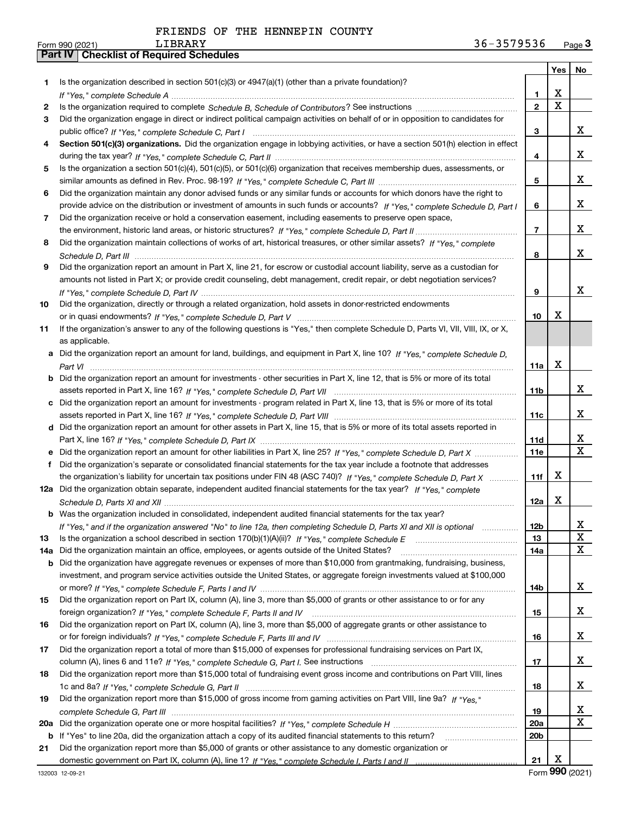|     |                                                                                                                                   |                 | Yes   No    |                         |
|-----|-----------------------------------------------------------------------------------------------------------------------------------|-----------------|-------------|-------------------------|
| 1.  | Is the organization described in section $501(c)(3)$ or $4947(a)(1)$ (other than a private foundation)?                           |                 |             |                         |
|     |                                                                                                                                   | 1.              | X           |                         |
| 2   |                                                                                                                                   | $\overline{2}$  | $\mathbf X$ |                         |
| 3   | Did the organization engage in direct or indirect political campaign activities on behalf of or in opposition to candidates for   |                 |             |                         |
|     |                                                                                                                                   | 3               |             | x                       |
| 4   | Section 501(c)(3) organizations. Did the organization engage in lobbying activities, or have a section 501(h) election in effect  |                 |             |                         |
|     |                                                                                                                                   | 4               |             | x                       |
| 5   | Is the organization a section 501(c)(4), 501(c)(5), or 501(c)(6) organization that receives membership dues, assessments, or      |                 |             |                         |
|     |                                                                                                                                   | 5               |             | x                       |
| 6   | Did the organization maintain any donor advised funds or any similar funds or accounts for which donors have the right to         |                 |             |                         |
|     | provide advice on the distribution or investment of amounts in such funds or accounts? If "Yes," complete Schedule D, Part I      | 6               |             | x                       |
| 7   | Did the organization receive or hold a conservation easement, including easements to preserve open space,                         |                 |             |                         |
|     |                                                                                                                                   | $\overline{7}$  |             | x                       |
| 8   | Did the organization maintain collections of works of art, historical treasures, or other similar assets? If "Yes," complete      |                 |             |                         |
|     |                                                                                                                                   | 8               |             | x                       |
| 9   | Did the organization report an amount in Part X, line 21, for escrow or custodial account liability, serve as a custodian for     |                 |             |                         |
|     | amounts not listed in Part X; or provide credit counseling, debt management, credit repair, or debt negotiation services?         |                 |             |                         |
|     |                                                                                                                                   | 9               |             | x                       |
| 10  | Did the organization, directly or through a related organization, hold assets in donor-restricted endowments                      |                 |             |                         |
|     |                                                                                                                                   | 10              | x           |                         |
| 11  | If the organization's answer to any of the following questions is "Yes," then complete Schedule D, Parts VI, VII, VIII, IX, or X, |                 |             |                         |
|     | as applicable.                                                                                                                    |                 |             |                         |
| а   | Did the organization report an amount for land, buildings, and equipment in Part X, line 10? If "Yes," complete Schedule D.       |                 | x           |                         |
|     |                                                                                                                                   | 11a             |             |                         |
|     | Did the organization report an amount for investments - other securities in Part X, line 12, that is 5% or more of its total      | 11 <sub>b</sub> |             | x                       |
| c   | Did the organization report an amount for investments - program related in Part X, line 13, that is 5% or more of its total       |                 |             |                         |
|     |                                                                                                                                   | 11c             |             | x                       |
| d   | Did the organization report an amount for other assets in Part X, line 15, that is 5% or more of its total assets reported in     |                 |             |                         |
|     |                                                                                                                                   | 11d             |             | x                       |
|     |                                                                                                                                   | <b>11e</b>      |             | $\overline{\mathbf{X}}$ |
| f   | Did the organization's separate or consolidated financial statements for the tax year include a footnote that addresses           |                 |             |                         |
|     | the organization's liability for uncertain tax positions under FIN 48 (ASC 740)? If "Yes," complete Schedule D, Part X            | 11f             | х           |                         |
|     | 12a Did the organization obtain separate, independent audited financial statements for the tax year? If "Yes," complete           |                 |             |                         |
|     |                                                                                                                                   | 12a             | х           |                         |
|     | <b>b</b> Was the organization included in consolidated, independent audited financial statements for the tax year?                |                 |             |                         |
|     | If "Yes," and if the organization answered "No" to line 12a, then completing Schedule D, Parts XI and XII is optional             | 12 <sub>b</sub> |             | 47                      |
| 13  | Is the organization a school described in section $170(b)(1)(A)(ii)?$ If "Yes," complete Schedule E                               | 13              |             | X                       |
| 14a | Did the organization maintain an office, employees, or agents outside of the United States?                                       | 14a             |             | X                       |
| b   | Did the organization have aggregate revenues or expenses of more than \$10,000 from grantmaking, fundraising, business,           |                 |             |                         |
|     | investment, and program service activities outside the United States, or aggregate foreign investments valued at \$100,000        |                 |             |                         |
|     |                                                                                                                                   | 14b             |             | X                       |
| 15  | Did the organization report on Part IX, column (A), line 3, more than \$5,000 of grants or other assistance to or for any         |                 |             |                         |
|     |                                                                                                                                   | 15              |             | x                       |
| 16  | Did the organization report on Part IX, column (A), line 3, more than \$5,000 of aggregate grants or other assistance to          |                 |             |                         |
|     |                                                                                                                                   | 16              |             | x                       |
| 17  | Did the organization report a total of more than \$15,000 of expenses for professional fundraising services on Part IX,           |                 |             |                         |
|     |                                                                                                                                   | 17              |             | x                       |
| 18  | Did the organization report more than \$15,000 total of fundraising event gross income and contributions on Part VIII, lines      |                 |             |                         |
|     |                                                                                                                                   | 18              |             | x                       |
| 19  | Did the organization report more than \$15,000 of gross income from gaming activities on Part VIII, line 9a? If "Yes."            |                 |             |                         |
|     |                                                                                                                                   | 19              |             | x                       |
| 20a |                                                                                                                                   | <b>20a</b>      |             | X                       |
| b   | If "Yes" to line 20a, did the organization attach a copy of its audited financial statements to this return?                      | 20 <sub>b</sub> |             |                         |
| 21  | Did the organization report more than \$5,000 of grants or other assistance to any domestic organization or                       |                 |             |                         |
|     |                                                                                                                                   | 21              | Х           |                         |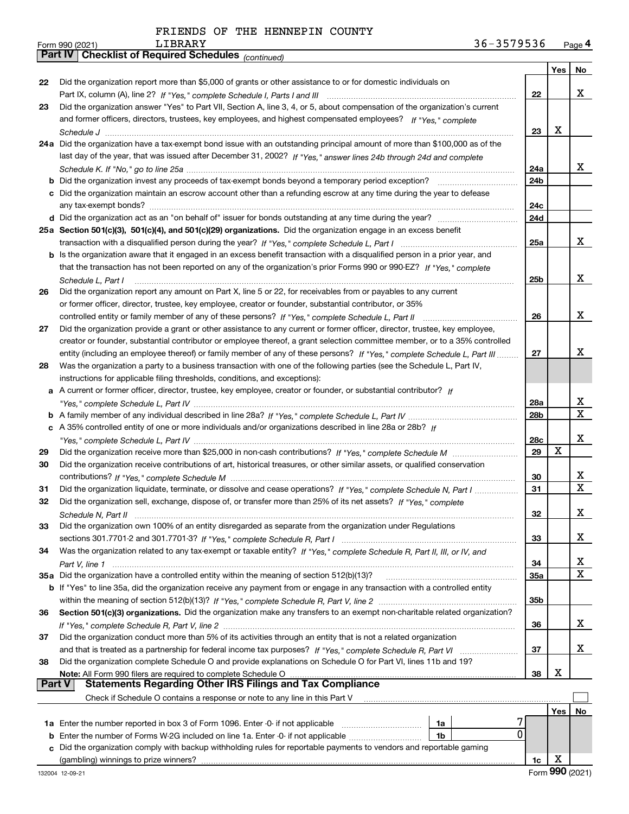|  |  |  | FRIENDS OF THE HENNEPIN COUNTY |  |
|--|--|--|--------------------------------|--|
|--|--|--|--------------------------------|--|

|        | Pall IV  <br>Crieckist of Required Scriedules (continued)                                                                             |                 |     |     |
|--------|---------------------------------------------------------------------------------------------------------------------------------------|-----------------|-----|-----|
|        |                                                                                                                                       |                 | Yes | No. |
| 22     | Did the organization report more than \$5,000 of grants or other assistance to or for domestic individuals on                         |                 |     |     |
|        |                                                                                                                                       | 22              |     | x   |
| 23     | Did the organization answer "Yes" to Part VII, Section A, line 3, 4, or 5, about compensation of the organization's current           |                 |     |     |
|        | and former officers, directors, trustees, key employees, and highest compensated employees? If "Yes," complete                        |                 |     |     |
|        |                                                                                                                                       | 23              | X   |     |
|        | 24a Did the organization have a tax-exempt bond issue with an outstanding principal amount of more than \$100,000 as of the           |                 |     |     |
|        | last day of the year, that was issued after December 31, 2002? If "Yes," answer lines 24b through 24d and complete                    |                 |     |     |
|        |                                                                                                                                       | 24a             |     | x   |
|        | <b>b</b> Did the organization invest any proceeds of tax-exempt bonds beyond a temporary period exception?                            | 24 <sub>b</sub> |     |     |
|        | c Did the organization maintain an escrow account other than a refunding escrow at any time during the year to defease                |                 |     |     |
|        |                                                                                                                                       | 24c             |     |     |
|        |                                                                                                                                       | 24d             |     |     |
|        | 25a Section 501(c)(3), 501(c)(4), and 501(c)(29) organizations. Did the organization engage in an excess benefit                      |                 |     |     |
|        |                                                                                                                                       | 25a             |     | x   |
|        | b Is the organization aware that it engaged in an excess benefit transaction with a disqualified person in a prior year, and          |                 |     |     |
|        | that the transaction has not been reported on any of the organization's prior Forms 990 or 990-EZ? If "Yes," complete                 |                 |     |     |
|        |                                                                                                                                       | 25b             |     | x   |
| 26     | Schedule L. Part I<br>Did the organization report any amount on Part X, line 5 or 22, for receivables from or payables to any current |                 |     |     |
|        | or former officer, director, trustee, key employee, creator or founder, substantial contributor, or 35%                               |                 |     |     |
|        |                                                                                                                                       | 26              |     | х   |
|        |                                                                                                                                       |                 |     |     |
| 27     | Did the organization provide a grant or other assistance to any current or former officer, director, trustee, key employee,           |                 |     |     |
|        | creator or founder, substantial contributor or employee thereof, a grant selection committee member, or to a 35% controlled           |                 |     | x   |
|        | entity (including an employee thereof) or family member of any of these persons? If "Yes," complete Schedule L, Part III              | 27              |     |     |
| 28     | Was the organization a party to a business transaction with one of the following parties (see the Schedule L, Part IV,                |                 |     |     |
|        | instructions for applicable filing thresholds, conditions, and exceptions):                                                           |                 |     |     |
|        | a A current or former officer, director, trustee, key employee, creator or founder, or substantial contributor? If                    |                 |     |     |
|        |                                                                                                                                       | 28a             |     | х   |
|        |                                                                                                                                       | 28 <sub>b</sub> |     | X   |
|        | c A 35% controlled entity of one or more individuals and/or organizations described in line 28a or 28b? If                            |                 |     |     |
|        |                                                                                                                                       | 28c             |     | X   |
| 29     |                                                                                                                                       | 29              | X   |     |
| 30     | Did the organization receive contributions of art, historical treasures, or other similar assets, or qualified conservation           |                 |     |     |
|        |                                                                                                                                       | 30              |     | х   |
| 31     | Did the organization liquidate, terminate, or dissolve and cease operations? If "Yes," complete Schedule N, Part I                    | 31              |     | X   |
| 32     | Did the organization sell, exchange, dispose of, or transfer more than 25% of its net assets? If "Yes," complete                      |                 |     |     |
|        | Schedule N. Part II                                                                                                                   | 32              |     | х   |
| 33     | Did the organization own 100% of an entity disregarded as separate from the organization under Regulations                            |                 |     |     |
|        |                                                                                                                                       | 33              |     | x   |
| 34     | Was the organization related to any tax-exempt or taxable entity? If "Yes," complete Schedule R, Part II, III, or IV, and             |                 |     |     |
|        |                                                                                                                                       | 34              |     | х   |
|        | 35a Did the organization have a controlled entity within the meaning of section 512(b)(13)?                                           | 35a             |     | х   |
|        | <b>b</b> If "Yes" to line 35a, did the organization receive any payment from or engage in any transaction with a controlled entity    |                 |     |     |
|        |                                                                                                                                       | 35b             |     |     |
| 36     | Section 501(c)(3) organizations. Did the organization make any transfers to an exempt non-charitable related organization?            |                 |     |     |
|        |                                                                                                                                       | 36              |     | x   |
| 37     | Did the organization conduct more than 5% of its activities through an entity that is not a related organization                      |                 |     |     |
|        |                                                                                                                                       | 37              |     | x   |
| 38     | Did the organization complete Schedule O and provide explanations on Schedule O for Part VI, lines 11b and 19?                        |                 |     |     |
|        | Note: All Form 990 filers are required to complete Schedule O                                                                         | 38              | х   |     |
| Part V | <b>Statements Regarding Other IRS Filings and Tax Compliance</b>                                                                      |                 |     |     |
|        | Check if Schedule O contains a response or note to any line in this Part V                                                            |                 |     |     |
|        |                                                                                                                                       |                 | Yes | No  |
|        | <b>1a</b> Enter the number reported in box 3 of Form 1096. Enter -0- if not applicable<br>1a                                          |                 |     |     |
|        | 0<br><b>b</b> Enter the number of Forms W-2G included on line 1a. Enter -0- if not applicable <i>manumumum</i><br>1b                  |                 |     |     |
| с      | Did the organization comply with backup withholding rules for reportable payments to vendors and reportable gaming                    |                 |     |     |
|        | (gambling) winnings to prize winners?                                                                                                 | 1c              | х   |     |
|        |                                                                                                                                       |                 |     |     |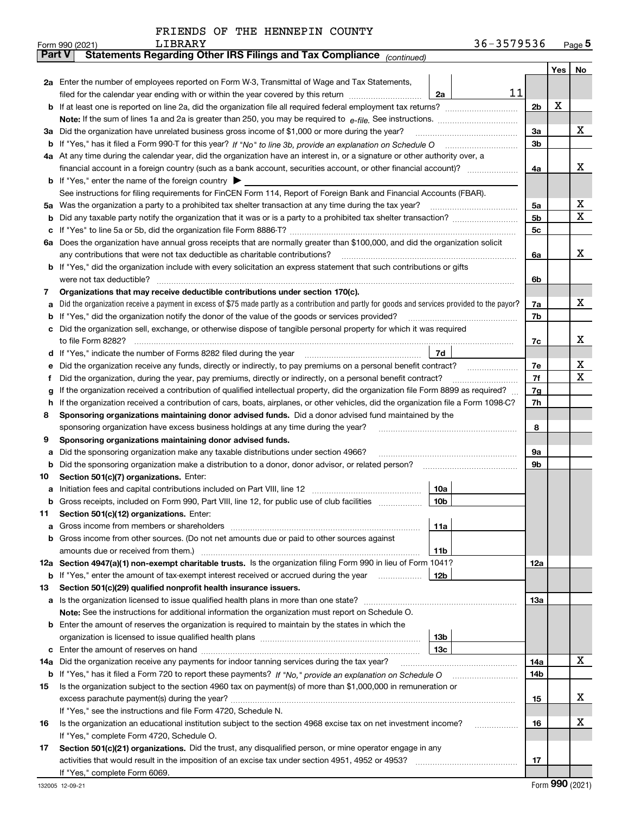|  | FRIENDS OF THE HENNEPIN COUNTY |  |
|--|--------------------------------|--|
|  |                                |  |

|               | 36-3579536<br>LIBRARY<br>Form 990 (2021)                                                                                                        |                |     | $_{\text{Page}}$ 5 |
|---------------|-------------------------------------------------------------------------------------------------------------------------------------------------|----------------|-----|--------------------|
| <b>Part V</b> | Statements Regarding Other IRS Filings and Tax Compliance (continued)                                                                           |                |     |                    |
|               |                                                                                                                                                 |                | Yes | No                 |
|               | 2a Enter the number of employees reported on Form W-3, Transmittal of Wage and Tax Statements,                                                  |                |     |                    |
|               | 11<br>filed for the calendar year ending with or within the year covered by this return<br>2a                                                   |                |     |                    |
|               |                                                                                                                                                 | 2 <sub>b</sub> | х   |                    |
| b             |                                                                                                                                                 |                |     |                    |
|               |                                                                                                                                                 |                |     |                    |
| За            | Did the organization have unrelated business gross income of \$1,000 or more during the year?                                                   | 3a             |     | x                  |
| b             |                                                                                                                                                 | 3 <sub>b</sub> |     |                    |
|               | 4a At any time during the calendar year, did the organization have an interest in, or a signature or other authority over, a                    |                |     |                    |
|               |                                                                                                                                                 | 4a             |     | x                  |
|               | <b>b</b> If "Yes," enter the name of the foreign country $\blacktriangleright$                                                                  |                |     |                    |
|               | See instructions for filing requirements for FinCEN Form 114, Report of Foreign Bank and Financial Accounts (FBAR).                             |                |     |                    |
| 5a            | Was the organization a party to a prohibited tax shelter transaction at any time during the tax year?                                           | 5a             |     | х                  |
| b             |                                                                                                                                                 | 5 <sub>b</sub> |     | X                  |
| с             |                                                                                                                                                 | 5c             |     |                    |
|               | 6a Does the organization have annual gross receipts that are normally greater than \$100,000, and did the organization solicit                  |                |     |                    |
|               | any contributions that were not tax deductible as charitable contributions?                                                                     | 6a             |     | x                  |
|               | If "Yes," did the organization include with every solicitation an express statement that such contributions or gifts                            |                |     |                    |
| b             |                                                                                                                                                 |                |     |                    |
|               | were not tax deductible?                                                                                                                        | 6b             |     |                    |
| 7             | Organizations that may receive deductible contributions under section 170(c).                                                                   |                |     |                    |
| а             | Did the organization receive a payment in excess of \$75 made partly as a contribution and partly for goods and services provided to the payor? | 7a             |     | x                  |
| b             | If "Yes," did the organization notify the donor of the value of the goods or services provided?                                                 | 7b             |     |                    |
| c             | Did the organization sell, exchange, or otherwise dispose of tangible personal property for which it was required                               |                |     |                    |
|               |                                                                                                                                                 | 7c             |     | х                  |
| d             | 7d                                                                                                                                              |                |     |                    |
| е             | Did the organization receive any funds, directly or indirectly, to pay premiums on a personal benefit contract?                                 | 7e             |     | х<br>X             |
| f             | Did the organization, during the year, pay premiums, directly or indirectly, on a personal benefit contract?                                    |                |     |                    |
| g             | If the organization received a contribution of qualified intellectual property, did the organization file Form 8899 as required?                | 7g             |     |                    |
| h             | If the organization received a contribution of cars, boats, airplanes, or other vehicles, did the organization file a Form 1098-C?              | 7h             |     |                    |
| 8             | Sponsoring organizations maintaining donor advised funds. Did a donor advised fund maintained by the                                            |                |     |                    |
|               | sponsoring organization have excess business holdings at any time during the year?                                                              |                |     |                    |
| 9             | Sponsoring organizations maintaining donor advised funds.                                                                                       |                |     |                    |
| а             | Did the sponsoring organization make any taxable distributions under section 4966?                                                              | 9а             |     |                    |
| b             | Did the sponsoring organization make a distribution to a donor, donor advisor, or related person?                                               | 9b             |     |                    |
| 10            | Section 501(c)(7) organizations. Enter:                                                                                                         |                |     |                    |
|               | 10a                                                                                                                                             |                |     |                    |
| а             | 10b                                                                                                                                             |                |     |                    |
|               | Gross receipts, included on Form 990, Part VIII, line 12, for public use of club facilities                                                     |                |     |                    |
| 11            | Section 501(c)(12) organizations. Enter:                                                                                                        |                |     |                    |
| a             | Gross income from members or shareholders<br>11a                                                                                                |                |     |                    |
| b             | Gross income from other sources. (Do not net amounts due or paid to other sources against                                                       |                |     |                    |
|               | 11 <sub>b</sub><br>amounts due or received from them.)                                                                                          |                |     |                    |
|               | 12a Section 4947(a)(1) non-exempt charitable trusts. Is the organization filing Form 990 in lieu of Form 1041?                                  | 12a            |     |                    |
|               | 12b<br><b>b</b> If "Yes," enter the amount of tax-exempt interest received or accrued during the year                                           |                |     |                    |
| 13            | Section 501(c)(29) qualified nonprofit health insurance issuers.                                                                                |                |     |                    |
| a             | Is the organization licensed to issue qualified health plans in more than one state?                                                            | 13a            |     |                    |
|               | Note: See the instructions for additional information the organization must report on Schedule O.                                               |                |     |                    |
| b             | Enter the amount of reserves the organization is required to maintain by the states in which the                                                |                |     |                    |
|               | 13 <sub>b</sub>                                                                                                                                 |                |     |                    |
| c             | 13 <sub>c</sub>                                                                                                                                 |                |     |                    |
| 14a           | Did the organization receive any payments for indoor tanning services during the tax year?                                                      | 14a            |     | X                  |
|               |                                                                                                                                                 | 14b            |     |                    |
|               | Is the organization subject to the section 4960 tax on payment(s) of more than \$1,000,000 in remuneration or                                   |                |     |                    |
| 15            |                                                                                                                                                 |                |     | х                  |
|               |                                                                                                                                                 | 15             |     |                    |
|               | If "Yes," see the instructions and file Form 4720, Schedule N.                                                                                  |                |     |                    |
| 16            | Is the organization an educational institution subject to the section 4968 excise tax on net investment income?                                 | 16             |     | х                  |
|               | If "Yes," complete Form 4720, Schedule O.                                                                                                       |                |     |                    |
| 17            | Section 501(c)(21) organizations. Did the trust, any disqualified person, or mine operator engage in any                                        |                |     |                    |
|               |                                                                                                                                                 | 17             |     |                    |
|               | If "Yes," complete Form 6069.                                                                                                                   |                |     |                    |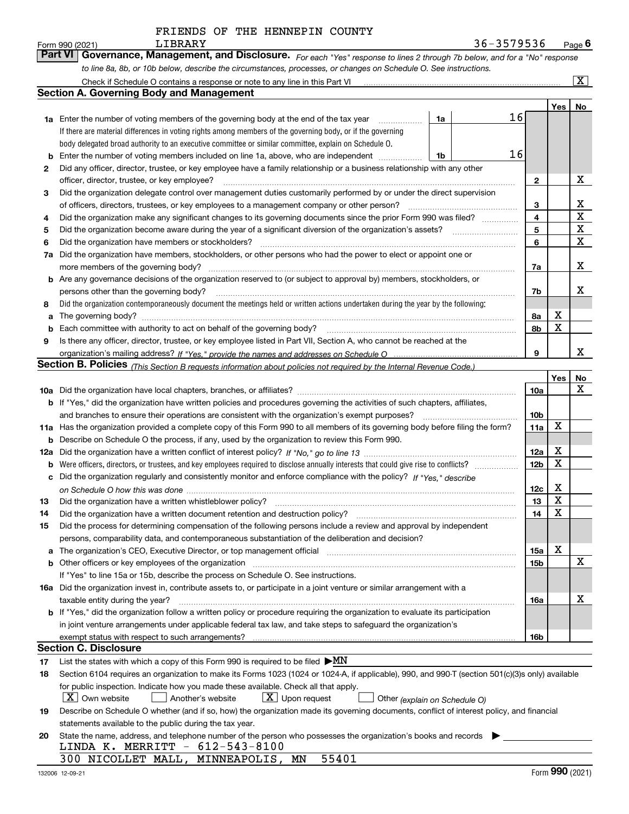| <b>Part VI</b><br>Governance, Management, and Disclosure. For each "Yes" response to lines 2 through 7b below, and for a "No" response<br>to line 8a, 8b, or 10b below, describe the circumstances, processes, or changes on Schedule O. See instructions.<br>$\overline{\mathtt{x}}$<br>Check if Schedule O contains a response or note to any line in this Part VI [11] [12] Check if Schedule O contains a response or note to any line in this Part VI<br><b>Section A. Governing Body and Management</b><br>Yes  <br><b>No</b><br>16<br>1a Enter the number of voting members of the governing body at the end of the tax year<br>1a<br>If there are material differences in voting rights among members of the governing body, or if the governing<br>body delegated broad authority to an executive committee or similar committee, explain on Schedule O.<br>16<br>Enter the number of voting members included on line 1a, above, who are independent <i>management</i><br>1b<br>b<br>Did any officer, director, trustee, or key employee have a family relationship or a business relationship with any other<br>2<br>х<br>officer, director, trustee, or key employee?<br>$\mathbf{2}$<br>Did the organization delegate control over management duties customarily performed by or under the direct supervision<br>3<br>х<br>of officers, directors, trustees, or key employees to a management company or other person?<br>3<br>$\mathbf x$<br>Did the organization make any significant changes to its governing documents since the prior Form 990 was filed?<br>4<br>4<br>X<br>5<br>Did the organization become aware during the year of a significant diversion of the organization's assets?<br>5<br>$\mathbf x$<br>Did the organization have members or stockholders?<br>6<br>6<br>Did the organization have members, stockholders, or other persons who had the power to elect or appoint one or<br>7a<br>x<br>more members of the governing body?<br>7a<br>b Are any governance decisions of the organization reserved to (or subject to approval by) members, stockholders, or<br>X<br>persons other than the governing body?<br>7b<br>Did the organization contemporaneously document the meetings held or written actions undertaken during the year by the following:<br>8<br>х<br>The governing body?<br>8a<br>a<br>X<br>Each committee with authority to act on behalf of the governing body?<br>8b<br>b<br>Is there any officer, director, trustee, or key employee listed in Part VII, Section A, who cannot be reached at the<br>9<br>x<br>9 | LIBRARY<br>Form 990 (2021) | 36-3579536 |  | Page $6$ |
|--------------------------------------------------------------------------------------------------------------------------------------------------------------------------------------------------------------------------------------------------------------------------------------------------------------------------------------------------------------------------------------------------------------------------------------------------------------------------------------------------------------------------------------------------------------------------------------------------------------------------------------------------------------------------------------------------------------------------------------------------------------------------------------------------------------------------------------------------------------------------------------------------------------------------------------------------------------------------------------------------------------------------------------------------------------------------------------------------------------------------------------------------------------------------------------------------------------------------------------------------------------------------------------------------------------------------------------------------------------------------------------------------------------------------------------------------------------------------------------------------------------------------------------------------------------------------------------------------------------------------------------------------------------------------------------------------------------------------------------------------------------------------------------------------------------------------------------------------------------------------------------------------------------------------------------------------------------------------------------------------------------------------------------------------------------------------------------------------------------------------------------------------------------------------------------------------------------------------------------------------------------------------------------------------------------------------------------------------------------------------------------------------------------------------------------------------------------------------------------------------------------------------------------------------------------------------|----------------------------|------------|--|----------|
|                                                                                                                                                                                                                                                                                                                                                                                                                                                                                                                                                                                                                                                                                                                                                                                                                                                                                                                                                                                                                                                                                                                                                                                                                                                                                                                                                                                                                                                                                                                                                                                                                                                                                                                                                                                                                                                                                                                                                                                                                                                                                                                                                                                                                                                                                                                                                                                                                                                                                                                                                                          |                            |            |  |          |
|                                                                                                                                                                                                                                                                                                                                                                                                                                                                                                                                                                                                                                                                                                                                                                                                                                                                                                                                                                                                                                                                                                                                                                                                                                                                                                                                                                                                                                                                                                                                                                                                                                                                                                                                                                                                                                                                                                                                                                                                                                                                                                                                                                                                                                                                                                                                                                                                                                                                                                                                                                          |                            |            |  |          |
|                                                                                                                                                                                                                                                                                                                                                                                                                                                                                                                                                                                                                                                                                                                                                                                                                                                                                                                                                                                                                                                                                                                                                                                                                                                                                                                                                                                                                                                                                                                                                                                                                                                                                                                                                                                                                                                                                                                                                                                                                                                                                                                                                                                                                                                                                                                                                                                                                                                                                                                                                                          |                            |            |  |          |
|                                                                                                                                                                                                                                                                                                                                                                                                                                                                                                                                                                                                                                                                                                                                                                                                                                                                                                                                                                                                                                                                                                                                                                                                                                                                                                                                                                                                                                                                                                                                                                                                                                                                                                                                                                                                                                                                                                                                                                                                                                                                                                                                                                                                                                                                                                                                                                                                                                                                                                                                                                          |                            |            |  |          |
|                                                                                                                                                                                                                                                                                                                                                                                                                                                                                                                                                                                                                                                                                                                                                                                                                                                                                                                                                                                                                                                                                                                                                                                                                                                                                                                                                                                                                                                                                                                                                                                                                                                                                                                                                                                                                                                                                                                                                                                                                                                                                                                                                                                                                                                                                                                                                                                                                                                                                                                                                                          |                            |            |  |          |
|                                                                                                                                                                                                                                                                                                                                                                                                                                                                                                                                                                                                                                                                                                                                                                                                                                                                                                                                                                                                                                                                                                                                                                                                                                                                                                                                                                                                                                                                                                                                                                                                                                                                                                                                                                                                                                                                                                                                                                                                                                                                                                                                                                                                                                                                                                                                                                                                                                                                                                                                                                          |                            |            |  |          |
|                                                                                                                                                                                                                                                                                                                                                                                                                                                                                                                                                                                                                                                                                                                                                                                                                                                                                                                                                                                                                                                                                                                                                                                                                                                                                                                                                                                                                                                                                                                                                                                                                                                                                                                                                                                                                                                                                                                                                                                                                                                                                                                                                                                                                                                                                                                                                                                                                                                                                                                                                                          |                            |            |  |          |
|                                                                                                                                                                                                                                                                                                                                                                                                                                                                                                                                                                                                                                                                                                                                                                                                                                                                                                                                                                                                                                                                                                                                                                                                                                                                                                                                                                                                                                                                                                                                                                                                                                                                                                                                                                                                                                                                                                                                                                                                                                                                                                                                                                                                                                                                                                                                                                                                                                                                                                                                                                          |                            |            |  |          |
|                                                                                                                                                                                                                                                                                                                                                                                                                                                                                                                                                                                                                                                                                                                                                                                                                                                                                                                                                                                                                                                                                                                                                                                                                                                                                                                                                                                                                                                                                                                                                                                                                                                                                                                                                                                                                                                                                                                                                                                                                                                                                                                                                                                                                                                                                                                                                                                                                                                                                                                                                                          |                            |            |  |          |
|                                                                                                                                                                                                                                                                                                                                                                                                                                                                                                                                                                                                                                                                                                                                                                                                                                                                                                                                                                                                                                                                                                                                                                                                                                                                                                                                                                                                                                                                                                                                                                                                                                                                                                                                                                                                                                                                                                                                                                                                                                                                                                                                                                                                                                                                                                                                                                                                                                                                                                                                                                          |                            |            |  |          |
|                                                                                                                                                                                                                                                                                                                                                                                                                                                                                                                                                                                                                                                                                                                                                                                                                                                                                                                                                                                                                                                                                                                                                                                                                                                                                                                                                                                                                                                                                                                                                                                                                                                                                                                                                                                                                                                                                                                                                                                                                                                                                                                                                                                                                                                                                                                                                                                                                                                                                                                                                                          |                            |            |  |          |
|                                                                                                                                                                                                                                                                                                                                                                                                                                                                                                                                                                                                                                                                                                                                                                                                                                                                                                                                                                                                                                                                                                                                                                                                                                                                                                                                                                                                                                                                                                                                                                                                                                                                                                                                                                                                                                                                                                                                                                                                                                                                                                                                                                                                                                                                                                                                                                                                                                                                                                                                                                          |                            |            |  |          |
|                                                                                                                                                                                                                                                                                                                                                                                                                                                                                                                                                                                                                                                                                                                                                                                                                                                                                                                                                                                                                                                                                                                                                                                                                                                                                                                                                                                                                                                                                                                                                                                                                                                                                                                                                                                                                                                                                                                                                                                                                                                                                                                                                                                                                                                                                                                                                                                                                                                                                                                                                                          |                            |            |  |          |
|                                                                                                                                                                                                                                                                                                                                                                                                                                                                                                                                                                                                                                                                                                                                                                                                                                                                                                                                                                                                                                                                                                                                                                                                                                                                                                                                                                                                                                                                                                                                                                                                                                                                                                                                                                                                                                                                                                                                                                                                                                                                                                                                                                                                                                                                                                                                                                                                                                                                                                                                                                          |                            |            |  |          |
|                                                                                                                                                                                                                                                                                                                                                                                                                                                                                                                                                                                                                                                                                                                                                                                                                                                                                                                                                                                                                                                                                                                                                                                                                                                                                                                                                                                                                                                                                                                                                                                                                                                                                                                                                                                                                                                                                                                                                                                                                                                                                                                                                                                                                                                                                                                                                                                                                                                                                                                                                                          |                            |            |  |          |
|                                                                                                                                                                                                                                                                                                                                                                                                                                                                                                                                                                                                                                                                                                                                                                                                                                                                                                                                                                                                                                                                                                                                                                                                                                                                                                                                                                                                                                                                                                                                                                                                                                                                                                                                                                                                                                                                                                                                                                                                                                                                                                                                                                                                                                                                                                                                                                                                                                                                                                                                                                          |                            |            |  |          |
|                                                                                                                                                                                                                                                                                                                                                                                                                                                                                                                                                                                                                                                                                                                                                                                                                                                                                                                                                                                                                                                                                                                                                                                                                                                                                                                                                                                                                                                                                                                                                                                                                                                                                                                                                                                                                                                                                                                                                                                                                                                                                                                                                                                                                                                                                                                                                                                                                                                                                                                                                                          |                            |            |  |          |
|                                                                                                                                                                                                                                                                                                                                                                                                                                                                                                                                                                                                                                                                                                                                                                                                                                                                                                                                                                                                                                                                                                                                                                                                                                                                                                                                                                                                                                                                                                                                                                                                                                                                                                                                                                                                                                                                                                                                                                                                                                                                                                                                                                                                                                                                                                                                                                                                                                                                                                                                                                          |                            |            |  |          |
|                                                                                                                                                                                                                                                                                                                                                                                                                                                                                                                                                                                                                                                                                                                                                                                                                                                                                                                                                                                                                                                                                                                                                                                                                                                                                                                                                                                                                                                                                                                                                                                                                                                                                                                                                                                                                                                                                                                                                                                                                                                                                                                                                                                                                                                                                                                                                                                                                                                                                                                                                                          |                            |            |  |          |
|                                                                                                                                                                                                                                                                                                                                                                                                                                                                                                                                                                                                                                                                                                                                                                                                                                                                                                                                                                                                                                                                                                                                                                                                                                                                                                                                                                                                                                                                                                                                                                                                                                                                                                                                                                                                                                                                                                                                                                                                                                                                                                                                                                                                                                                                                                                                                                                                                                                                                                                                                                          |                            |            |  |          |
|                                                                                                                                                                                                                                                                                                                                                                                                                                                                                                                                                                                                                                                                                                                                                                                                                                                                                                                                                                                                                                                                                                                                                                                                                                                                                                                                                                                                                                                                                                                                                                                                                                                                                                                                                                                                                                                                                                                                                                                                                                                                                                                                                                                                                                                                                                                                                                                                                                                                                                                                                                          |                            |            |  |          |
|                                                                                                                                                                                                                                                                                                                                                                                                                                                                                                                                                                                                                                                                                                                                                                                                                                                                                                                                                                                                                                                                                                                                                                                                                                                                                                                                                                                                                                                                                                                                                                                                                                                                                                                                                                                                                                                                                                                                                                                                                                                                                                                                                                                                                                                                                                                                                                                                                                                                                                                                                                          |                            |            |  |          |
|                                                                                                                                                                                                                                                                                                                                                                                                                                                                                                                                                                                                                                                                                                                                                                                                                                                                                                                                                                                                                                                                                                                                                                                                                                                                                                                                                                                                                                                                                                                                                                                                                                                                                                                                                                                                                                                                                                                                                                                                                                                                                                                                                                                                                                                                                                                                                                                                                                                                                                                                                                          |                            |            |  |          |
|                                                                                                                                                                                                                                                                                                                                                                                                                                                                                                                                                                                                                                                                                                                                                                                                                                                                                                                                                                                                                                                                                                                                                                                                                                                                                                                                                                                                                                                                                                                                                                                                                                                                                                                                                                                                                                                                                                                                                                                                                                                                                                                                                                                                                                                                                                                                                                                                                                                                                                                                                                          |                            |            |  |          |
|                                                                                                                                                                                                                                                                                                                                                                                                                                                                                                                                                                                                                                                                                                                                                                                                                                                                                                                                                                                                                                                                                                                                                                                                                                                                                                                                                                                                                                                                                                                                                                                                                                                                                                                                                                                                                                                                                                                                                                                                                                                                                                                                                                                                                                                                                                                                                                                                                                                                                                                                                                          |                            |            |  |          |
| Section B. Policies (This Section B requests information about policies not required by the Internal Revenue Code.)                                                                                                                                                                                                                                                                                                                                                                                                                                                                                                                                                                                                                                                                                                                                                                                                                                                                                                                                                                                                                                                                                                                                                                                                                                                                                                                                                                                                                                                                                                                                                                                                                                                                                                                                                                                                                                                                                                                                                                                                                                                                                                                                                                                                                                                                                                                                                                                                                                                      |                            |            |  |          |

|     |                                                                                                                                                  |                 | Yes | No           |
|-----|--------------------------------------------------------------------------------------------------------------------------------------------------|-----------------|-----|--------------|
| 10a |                                                                                                                                                  | 10a             |     | x            |
| b   | If "Yes," did the organization have written policies and procedures governing the activities of such chapters, affiliates,                       |                 |     |              |
|     | and branches to ensure their operations are consistent with the organization's exempt purposes?                                                  | 10 <sub>b</sub> |     |              |
| 11a | Has the organization provided a complete copy of this Form 990 to all members of its governing body before filing the form?                      | 11a             | X   |              |
| b   | Describe on Schedule O the process, if any, used by the organization to review this Form 990.                                                    |                 |     |              |
| 12a |                                                                                                                                                  | 12a             | X   |              |
| b   | Were officers, directors, or trustees, and key employees required to disclose annually interests that could give rise to conflicts?              | 12 <sub>b</sub> | X   |              |
| c   | Did the organization regularly and consistently monitor and enforce compliance with the policy? If "Yes," describe                               |                 |     |              |
|     |                                                                                                                                                  | 12c             | x   |              |
| 13  |                                                                                                                                                  | 13              | X   |              |
| 14  | Did the organization have a written document retention and destruction policy?                                                                   | 14              | x   |              |
| 15  | Did the process for determining compensation of the following persons include a review and approval by independent                               |                 |     |              |
|     | persons, comparability data, and contemporaneous substantiation of the deliberation and decision?                                                |                 |     |              |
| a   |                                                                                                                                                  | <b>15a</b>      | x   |              |
| b   | Other officers or key employees of the organization                                                                                              | <b>15b</b>      |     | $\mathbf{x}$ |
|     | If "Yes" to line 15a or 15b, describe the process on Schedule O. See instructions.                                                               |                 |     |              |
| 16а | Did the organization invest in, contribute assets to, or participate in a joint venture or similar arrangement with a                            |                 |     |              |
|     | taxable entity during the year?                                                                                                                  | 16a             |     | x            |
| b   | If "Yes," did the organization follow a written policy or procedure requiring the organization to evaluate its participation                     |                 |     |              |
|     | in joint venture arrangements under applicable federal tax law, and take steps to safeguard the organization's                                   |                 |     |              |
|     |                                                                                                                                                  | 16 <sub>b</sub> |     |              |
|     | Section C. Disclosure                                                                                                                            |                 |     |              |
| 17  | List the states with which a copy of this Form 990 is required to be filed $\blacktriangleright$ MN                                              |                 |     |              |
| 18  | Section 6104 requires an organization to make its Forms 1023 (1024 or 1024-A, if applicable), 990, and 990-T (section 501(c)(3)s only) available |                 |     |              |

|    | for public inspection. Indicate how you made these available. Check all that apply.                                                       |                                 |                                      |  |
|----|-------------------------------------------------------------------------------------------------------------------------------------------|---------------------------------|--------------------------------------|--|
|    | $\boxed{\mathbf{X}}$ Own website $\boxed{\phantom{0}}$ Another's website                                                                  | $\boxed{\text{X}}$ Upon request | $\Box$ Other (explain on Schedule O) |  |
| 19 | Describe on Schedule O whether (and if so, how) the organization made its governing documents, conflict of interest policy, and financial |                                 |                                      |  |
|    | statements available to the public during the tax year.                                                                                   |                                 |                                      |  |

|                                          | 20 State the name, address, and telephone number of the person who possesses the organization's books and records |  |
|------------------------------------------|-------------------------------------------------------------------------------------------------------------------|--|
| LINDA K. MERRITT - 612-543-8100          |                                                                                                                   |  |
| 300 NICOLLET MALL, MINNEAPOLIS, MN 55401 |                                                                                                                   |  |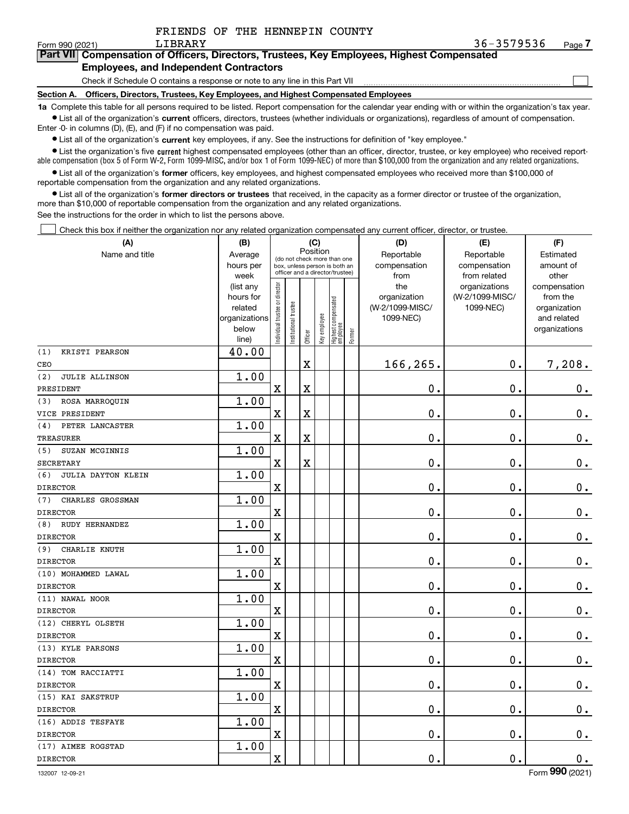$\mathcal{L}^{\text{max}}$ 

| orm 990 (2021) | LIBRARY                                       | 36-3579536                                                                                 | Page <i>I</i> |
|----------------|-----------------------------------------------|--------------------------------------------------------------------------------------------|---------------|
|                |                                               | Part VII Compensation of Officers, Directors, Trustees, Key Employees, Highest Compensated |               |
|                | <b>Employees, and Independent Contractors</b> |                                                                                            |               |

Check if Schedule O contains a response or note to any line in this Part VII

**Section A. Officers, Directors, Trustees, Key Employees, and Highest Compensated Employees**

**1a**  Complete this table for all persons required to be listed. Report compensation for the calendar year ending with or within the organization's tax year. **•** List all of the organization's current officers, directors, trustees (whether individuals or organizations), regardless of amount of compensation.

Enter -0- in columns (D), (E), and (F) if no compensation was paid.

 $\bullet$  List all of the organization's  $\sf current$  key employees, if any. See the instructions for definition of "key employee."

**•** List the organization's five current highest compensated employees (other than an officer, director, trustee, or key employee) who received reportable compensation (box 5 of Form W-2, Form 1099-MISC, and/or box 1 of Form 1099-NEC) of more than \$100,000 from the organization and any related organizations.

**•** List all of the organization's former officers, key employees, and highest compensated employees who received more than \$100,000 of reportable compensation from the organization and any related organizations.

**former directors or trustees**  ¥ List all of the organization's that received, in the capacity as a former director or trustee of the organization, more than \$10,000 of reportable compensation from the organization and any related organizations.

See the instructions for the order in which to list the persons above.

Check this box if neither the organization nor any related organization compensated any current officer, director, or trustee.  $\mathcal{L}^{\text{max}}$ 

| (A)                          | (B)                                                                  | (C)<br>Position                                                                                 |                        |                         |              |                                   |                                           | (D)                                          | (E)                                           | (F)                                                                      |  |  |
|------------------------------|----------------------------------------------------------------------|-------------------------------------------------------------------------------------------------|------------------------|-------------------------|--------------|-----------------------------------|-------------------------------------------|----------------------------------------------|-----------------------------------------------|--------------------------------------------------------------------------|--|--|
| Name and title               | Average<br>hours per<br>week                                         | (do not check more than one<br>box, unless person is both an<br>officer and a director/trustee) |                        |                         |              |                                   | Reportable<br>compensation<br>from<br>the | Reportable<br>compensation<br>from related   | Estimated<br>amount of<br>other               |                                                                          |  |  |
|                              | (list any<br>hours for<br>related<br>organizations<br>below<br>line) | ndividual trustee or director                                                                   | In stitutional trustee | Officer                 | Key employee | Highest compensated<br>  employee | Former                                    | organization<br>(W-2/1099-MISC/<br>1099-NEC) | organizations<br>(W-2/1099-MISC/<br>1099-NEC) | compensation<br>from the<br>organization<br>and related<br>organizations |  |  |
| (1)<br>KRISTI PEARSON        | 40.00                                                                |                                                                                                 |                        |                         |              |                                   |                                           |                                              |                                               |                                                                          |  |  |
| CEO                          |                                                                      |                                                                                                 |                        | $\overline{\textbf{X}}$ |              |                                   |                                           | 166,265.                                     | $\mathbf 0$ .                                 | 7,208.                                                                   |  |  |
| (2)<br><b>JULIE ALLINSON</b> | 1.00                                                                 |                                                                                                 |                        |                         |              |                                   |                                           |                                              |                                               |                                                                          |  |  |
| PRESIDENT                    |                                                                      | X                                                                                               |                        | $\overline{\textbf{X}}$ |              |                                   |                                           | 0.                                           | $\mathbf 0$ .                                 | $\mathbf 0$ .                                                            |  |  |
| ROSA MARROQUIN<br>(3)        | 1.00                                                                 |                                                                                                 |                        |                         |              |                                   |                                           |                                              |                                               |                                                                          |  |  |
| VICE PRESIDENT               |                                                                      | $\mathbf X$                                                                                     |                        | $\overline{\textbf{X}}$ |              |                                   |                                           | $\mathbf 0$ .                                | $\mathbf 0$ .                                 | $0_{.}$                                                                  |  |  |
| PETER LANCASTER<br>(4)       | 1.00                                                                 |                                                                                                 |                        |                         |              |                                   |                                           |                                              |                                               |                                                                          |  |  |
| <b>TREASURER</b>             |                                                                      | $\overline{\text{X}}$                                                                           |                        | $\overline{\text{X}}$   |              |                                   |                                           | 0.                                           | $\mathbf 0$ .                                 | $0_{.}$                                                                  |  |  |
| SUZAN MCGINNIS<br>(5)        | 1.00                                                                 |                                                                                                 |                        |                         |              |                                   |                                           |                                              |                                               |                                                                          |  |  |
| <b>SECRETARY</b>             |                                                                      | $\mathbf X$                                                                                     |                        | $\overline{\text{X}}$   |              |                                   |                                           | 0.                                           | $\mathbf 0$ .                                 | $0_{.}$                                                                  |  |  |
| (6)<br>JULIA DAYTON KLEIN    | 1.00                                                                 |                                                                                                 |                        |                         |              |                                   |                                           |                                              |                                               |                                                                          |  |  |
| <b>DIRECTOR</b>              |                                                                      | $\overline{\text{X}}$                                                                           |                        |                         |              |                                   |                                           | 0.                                           | $\mathbf 0$ .                                 | $\mathbf 0$ .                                                            |  |  |
| CHARLES GROSSMAN<br>(7)      | 1.00                                                                 |                                                                                                 |                        |                         |              |                                   |                                           |                                              |                                               |                                                                          |  |  |
| <b>DIRECTOR</b>              |                                                                      | $\rm X$                                                                                         |                        |                         |              |                                   |                                           | 0.                                           | $\mathbf 0$ .                                 | $\mathbf 0$ .                                                            |  |  |
| RUDY HERNANDEZ<br>(8)        | 1.00                                                                 |                                                                                                 |                        |                         |              |                                   |                                           |                                              |                                               |                                                                          |  |  |
| <b>DIRECTOR</b>              |                                                                      | $\overline{\textbf{X}}$                                                                         |                        |                         |              |                                   |                                           | 0.                                           | $\mathbf 0$ .                                 | $\mathbf 0$ .                                                            |  |  |
| CHARLIE KNUTH<br>(9)         | 1.00                                                                 |                                                                                                 |                        |                         |              |                                   |                                           |                                              |                                               |                                                                          |  |  |
| <b>DIRECTOR</b>              |                                                                      | $\rm X$                                                                                         |                        |                         |              |                                   |                                           | 0.                                           | $\mathbf 0$ .                                 | $0_{.}$                                                                  |  |  |
| (10) MOHAMMED LAWAL          | 1.00                                                                 |                                                                                                 |                        |                         |              |                                   |                                           |                                              |                                               |                                                                          |  |  |
| <b>DIRECTOR</b>              |                                                                      | $\overline{\textbf{X}}$                                                                         |                        |                         |              |                                   |                                           | 0.                                           | $\mathbf 0$ .                                 | $0_{.}$                                                                  |  |  |
| (11) NAWAL NOOR              | 1.00                                                                 |                                                                                                 |                        |                         |              |                                   |                                           |                                              |                                               |                                                                          |  |  |
| <b>DIRECTOR</b>              |                                                                      | $\rm X$                                                                                         |                        |                         |              |                                   |                                           | 0.                                           | $\mathbf 0$ .                                 | $0_{.}$                                                                  |  |  |
| (12) CHERYL OLSETH           | 1.00                                                                 |                                                                                                 |                        |                         |              |                                   |                                           |                                              |                                               |                                                                          |  |  |
| <b>DIRECTOR</b>              |                                                                      | $\mathbf x$                                                                                     |                        |                         |              |                                   |                                           | 0.                                           | $\mathbf 0$ .                                 | $0_{.}$                                                                  |  |  |
| (13) KYLE PARSONS            | 1.00                                                                 |                                                                                                 |                        |                         |              |                                   |                                           |                                              |                                               |                                                                          |  |  |
| <b>DIRECTOR</b>              |                                                                      | $\mathbf X$                                                                                     |                        |                         |              |                                   |                                           | $\mathbf 0$ .                                | $\mathbf 0$ .                                 | $0_{.}$                                                                  |  |  |
| (14) TOM RACCIATTI           | 1.00                                                                 |                                                                                                 |                        |                         |              |                                   |                                           |                                              |                                               |                                                                          |  |  |
| <b>DIRECTOR</b>              |                                                                      | X                                                                                               |                        |                         |              |                                   |                                           | 0.                                           | $\mathbf 0$ .                                 | $\mathbf 0$ .                                                            |  |  |
| (15) KAI SAKSTRUP            | 1.00                                                                 |                                                                                                 |                        |                         |              |                                   |                                           |                                              |                                               |                                                                          |  |  |
| <b>DIRECTOR</b>              |                                                                      | X                                                                                               |                        |                         |              |                                   |                                           | 0.                                           | $\mathbf 0$ .                                 | $0_{.}$                                                                  |  |  |
| (16) ADDIS TESFAYE           | 1.00                                                                 |                                                                                                 |                        |                         |              |                                   |                                           |                                              |                                               |                                                                          |  |  |
| <b>DIRECTOR</b>              |                                                                      | $\overline{\textbf{X}}$                                                                         |                        |                         |              |                                   |                                           | 0.                                           | $\mathbf 0$ .                                 | $\mathbf 0$ .                                                            |  |  |
| (17) AIMEE ROGSTAD           | 1.00                                                                 |                                                                                                 |                        |                         |              |                                   |                                           |                                              |                                               |                                                                          |  |  |
| <b>DIRECTOR</b>              |                                                                      | $\rm X$                                                                                         |                        |                         |              |                                   |                                           | 0.                                           | $\mathbf 0$ .                                 | $0_{.}$                                                                  |  |  |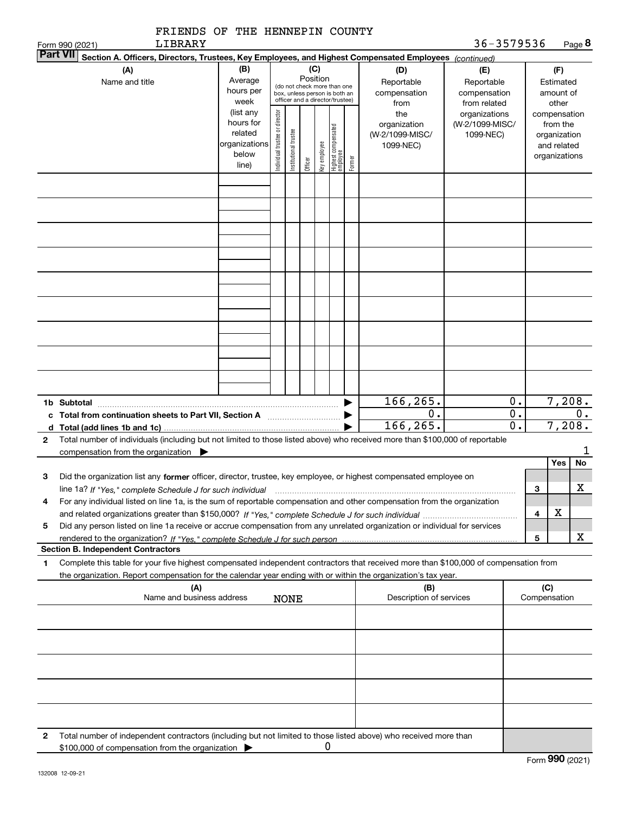|   | FRIENDS OF THE HENNEPIN COUNTY<br>LIBRARY<br>Form 990 (2021)                                                                                                                                                                                                        |                                                                      |                                |                       |         |              |                                                                                                             |        |                                                     | 36-3579536                                        |                                                                          |                     |                                        | Page 8          |
|---|---------------------------------------------------------------------------------------------------------------------------------------------------------------------------------------------------------------------------------------------------------------------|----------------------------------------------------------------------|--------------------------------|-----------------------|---------|--------------|-------------------------------------------------------------------------------------------------------------|--------|-----------------------------------------------------|---------------------------------------------------|--------------------------------------------------------------------------|---------------------|----------------------------------------|-----------------|
|   | <b>Part VII</b><br>Section A. Officers, Directors, Trustees, Key Employees, and Highest Compensated Employees (continued)                                                                                                                                           |                                                                      |                                |                       |         |              |                                                                                                             |        |                                                     |                                                   |                                                                          |                     |                                        |                 |
|   | (A)<br>Name and title                                                                                                                                                                                                                                               | (B)<br>Average<br>hours per<br>week                                  |                                |                       |         |              | Position<br>(do not check more than one<br>box, unless person is both an<br>officer and a director/trustee) |        | (D)<br>Reportable<br>compensation<br>from           | (E)<br>Reportable<br>compensation<br>from related |                                                                          |                     | (F)<br>Estimated<br>amount of<br>other |                 |
|   |                                                                                                                                                                                                                                                                     | (list any<br>hours for<br>related<br>organizations<br>below<br>line) | Individual trustee or director | Institutional trustee | Officer | Key employee | Highest compensated<br>employee                                                                             | Former | the<br>organization<br>(W-2/1099-MISC/<br>1099-NEC) | organizations<br>(W-2/1099-MISC/<br>1099-NEC)     | compensation<br>from the<br>organization<br>and related<br>organizations |                     |                                        |                 |
|   |                                                                                                                                                                                                                                                                     |                                                                      |                                |                       |         |              |                                                                                                             |        |                                                     |                                                   |                                                                          |                     |                                        |                 |
|   |                                                                                                                                                                                                                                                                     |                                                                      |                                |                       |         |              |                                                                                                             |        |                                                     |                                                   |                                                                          |                     |                                        |                 |
|   |                                                                                                                                                                                                                                                                     |                                                                      |                                |                       |         |              |                                                                                                             |        |                                                     |                                                   |                                                                          |                     |                                        |                 |
|   |                                                                                                                                                                                                                                                                     |                                                                      |                                |                       |         |              |                                                                                                             |        |                                                     |                                                   |                                                                          |                     |                                        |                 |
|   |                                                                                                                                                                                                                                                                     |                                                                      |                                |                       |         |              |                                                                                                             |        |                                                     |                                                   |                                                                          |                     |                                        |                 |
|   |                                                                                                                                                                                                                                                                     |                                                                      |                                |                       |         |              |                                                                                                             |        |                                                     |                                                   |                                                                          |                     |                                        |                 |
|   | 1b Subtotal                                                                                                                                                                                                                                                         |                                                                      |                                |                       |         |              |                                                                                                             |        | 166, 265.                                           |                                                   | 0.                                                                       |                     |                                        | 7,208.          |
| 2 | d $Total (add lines 1b and 1c)$<br>Total number of individuals (including but not limited to those listed above) who received more than \$100,000 of reportable                                                                                                     |                                                                      |                                |                       |         |              |                                                                                                             |        | 0.<br>166, 265.                                     |                                                   | $\overline{0}$ .<br>$\overline{0}$ .                                     |                     |                                        | $0$ .<br>7,208. |
|   | compensation from the organization $\blacktriangleright$                                                                                                                                                                                                            |                                                                      |                                |                       |         |              |                                                                                                             |        |                                                     |                                                   |                                                                          |                     |                                        | 1               |
| 3 | Did the organization list any former officer, director, trustee, key employee, or highest compensated employee on                                                                                                                                                   |                                                                      |                                |                       |         |              |                                                                                                             |        |                                                     |                                                   |                                                                          |                     | Yes                                    | No              |
| 4 | line 1a? If "Yes," complete Schedule J for such individual manufactured contained and the Yes," complete Schedule J for such individual<br>For any individual listed on line 1a, is the sum of reportable compensation and other compensation from the organization |                                                                      |                                |                       |         |              |                                                                                                             |        |                                                     |                                                   |                                                                          | 3<br>4              | х                                      | X               |
| 5 | Did any person listed on line 1a receive or accrue compensation from any unrelated organization or individual for services                                                                                                                                          |                                                                      |                                |                       |         |              |                                                                                                             |        |                                                     |                                                   |                                                                          | 5                   |                                        | x               |
|   | <b>Section B. Independent Contractors</b>                                                                                                                                                                                                                           |                                                                      |                                |                       |         |              |                                                                                                             |        |                                                     |                                                   |                                                                          |                     |                                        |                 |
| 1 | Complete this table for your five highest compensated independent contractors that received more than \$100,000 of compensation from<br>the organization. Report compensation for the calendar year ending with or within the organization's tax year.              |                                                                      |                                |                       |         |              |                                                                                                             |        |                                                     |                                                   |                                                                          |                     |                                        |                 |
|   | (A)<br>Name and business address                                                                                                                                                                                                                                    |                                                                      |                                | <b>NONE</b>           |         |              |                                                                                                             |        | (B)<br>Description of services                      |                                                   |                                                                          | (C)<br>Compensation |                                        |                 |
|   |                                                                                                                                                                                                                                                                     |                                                                      |                                |                       |         |              |                                                                                                             |        |                                                     |                                                   |                                                                          |                     |                                        |                 |
|   |                                                                                                                                                                                                                                                                     |                                                                      |                                |                       |         |              |                                                                                                             |        |                                                     |                                                   |                                                                          |                     |                                        |                 |
|   |                                                                                                                                                                                                                                                                     |                                                                      |                                |                       |         |              |                                                                                                             |        |                                                     |                                                   |                                                                          |                     |                                        |                 |
|   |                                                                                                                                                                                                                                                                     |                                                                      |                                |                       |         |              |                                                                                                             |        |                                                     |                                                   |                                                                          |                     |                                        |                 |
| 2 | Total number of independent contractors (including but not limited to those listed above) who received more than<br>\$100,000 of compensation from the organization                                                                                                 |                                                                      |                                |                       |         | 0            |                                                                                                             |        |                                                     |                                                   |                                                                          |                     |                                        |                 |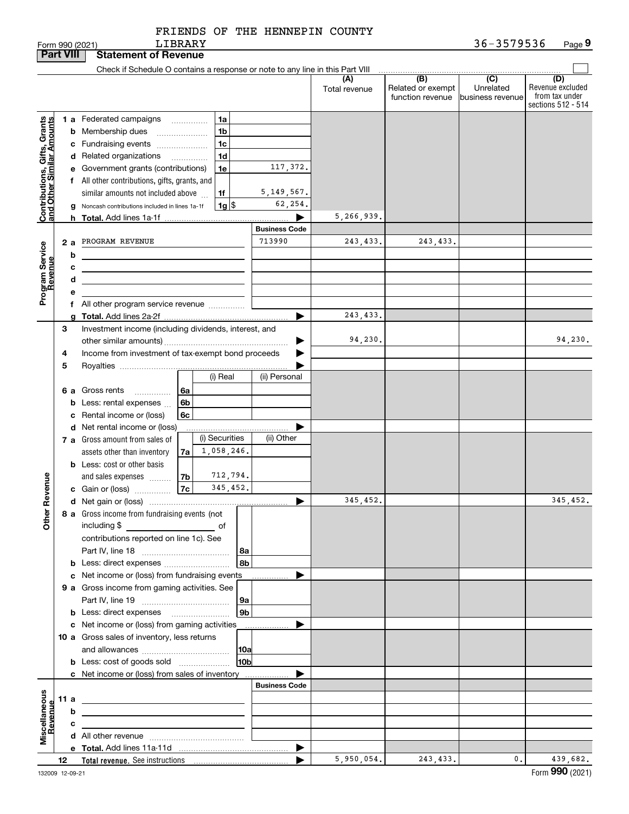| FRIENDS OF THE HENNEPIN COUNTY |  |
|--------------------------------|--|
|                                |  |

LIBRARY

|                                                                                         | <b>Part VIII</b> |                  | <b>Statement of Revenue</b>                                                                                                                                                                                                                                                                                                                                                                                                                                                                                                                                                             |                                                                            |                        |                                              |                                                 |                                                                 |
|-----------------------------------------------------------------------------------------|------------------|------------------|-----------------------------------------------------------------------------------------------------------------------------------------------------------------------------------------------------------------------------------------------------------------------------------------------------------------------------------------------------------------------------------------------------------------------------------------------------------------------------------------------------------------------------------------------------------------------------------------|----------------------------------------------------------------------------|------------------------|----------------------------------------------|-------------------------------------------------|-----------------------------------------------------------------|
|                                                                                         |                  |                  | Check if Schedule O contains a response or note to any line in this Part VIII                                                                                                                                                                                                                                                                                                                                                                                                                                                                                                           |                                                                            |                        |                                              |                                                 |                                                                 |
|                                                                                         |                  |                  |                                                                                                                                                                                                                                                                                                                                                                                                                                                                                                                                                                                         |                                                                            | (A)<br>Total revenue   | (B)<br>Related or exempt<br>function revenue | $\overline{C}$<br>Unrelated<br>business revenue | (D)<br>Revenue excluded<br>from tax under<br>sections 512 - 514 |
| Contributions, Gifts, Grants<br>and Other Similar Amounts<br>Program Service<br>Revenue | 2a               | b<br>с<br>d<br>е | 1 a Federated campaigns<br>1a<br><b>b</b> Membership dues<br>1b<br>c Fundraising events<br>1c<br>d Related organizations<br>1d<br>$\overline{\phantom{a}}$<br>e Government grants (contributions)<br>1e<br>f All other contributions, gifts, grants, and<br>similar amounts not included above<br>1f<br>$1g$ $\frac{1}{3}$<br>g Noncash contributions included in lines 1a-1f<br>PROGRAM REVENUE<br><u> 1989 - Johann Barn, amerikansk politiker (d. 1989)</u><br><u> 1989 - Johann Stein, marwolaethau a bhann an t-Amhainn an t-Amhainn an t-Amhainn an t-Amhainn an t-Amhainn an</u> | 117,372.<br>5, 149, 567.<br>62,254.<br>▶<br><b>Business Code</b><br>713990 | 5,266,939.<br>243,433. | 243, 433.                                    |                                                 |                                                                 |
|                                                                                         |                  |                  | f All other program service revenue                                                                                                                                                                                                                                                                                                                                                                                                                                                                                                                                                     | ▶                                                                          | 243,433.               |                                              |                                                 |                                                                 |
|                                                                                         | 3<br>4           |                  | Investment income (including dividends, interest, and<br>Income from investment of tax-exempt bond proceeds                                                                                                                                                                                                                                                                                                                                                                                                                                                                             | ▶                                                                          | 94,230.                |                                              |                                                 | 94,230.                                                         |
|                                                                                         | 5<br>6а          |                  | (i) Real<br>Gross rents<br>6a<br>.<br><b>b</b> Less: rental expenses $\ldots$<br>6b<br>6c<br>c Rental income or (loss)                                                                                                                                                                                                                                                                                                                                                                                                                                                                  | (ii) Personal                                                              |                        |                                              |                                                 |                                                                 |
|                                                                                         |                  |                  | d Net rental income or (loss)<br>(i) Securities<br>7 a Gross amount from sales of<br>1,058,246.<br>assets other than inventory<br>7a<br><b>b</b> Less: cost or other basis<br>712,794.<br>7b<br>and sales expenses                                                                                                                                                                                                                                                                                                                                                                      | (ii) Other                                                                 |                        |                                              |                                                 |                                                                 |
| Revenue                                                                                 |                  |                  | 345,452.<br>7c<br>c Gain or (loss)                                                                                                                                                                                                                                                                                                                                                                                                                                                                                                                                                      |                                                                            |                        |                                              |                                                 |                                                                 |
| 늦<br><b>Other</b>                                                                       |                  |                  | 8 a Gross income from fundraising events (not<br>including \$                                                                                                                                                                                                                                                                                                                                                                                                                                                                                                                           | ▶                                                                          | 345,452.               |                                              |                                                 | 345,452.                                                        |
|                                                                                         |                  |                  | contributions reported on line 1c). See<br>  8a<br>8 <sub>b</sub><br>c Net income or (loss) from fundraising events                                                                                                                                                                                                                                                                                                                                                                                                                                                                     | ▶                                                                          |                        |                                              |                                                 |                                                                 |
|                                                                                         |                  |                  | 9 a Gross income from gaming activities. See<br>  9a<br>9 <sub>b</sub><br>c Net income or (loss) from gaming activities                                                                                                                                                                                                                                                                                                                                                                                                                                                                 | ▶                                                                          |                        |                                              |                                                 |                                                                 |
|                                                                                         |                  |                  | 10 a Gross sales of inventory, less returns<br> 10a<br>10 <sub>b</sub><br><b>b</b> Less: cost of goods sold                                                                                                                                                                                                                                                                                                                                                                                                                                                                             | .                                                                          |                        |                                              |                                                 |                                                                 |
|                                                                                         |                  |                  | c Net income or (loss) from sales of inventory                                                                                                                                                                                                                                                                                                                                                                                                                                                                                                                                          | <b>Business Code</b>                                                       |                        |                                              |                                                 |                                                                 |
|                                                                                         | 11 a             |                  |                                                                                                                                                                                                                                                                                                                                                                                                                                                                                                                                                                                         |                                                                            |                        |                                              |                                                 |                                                                 |
| Miscellaneous<br>Revenue                                                                |                  | b                | <u> 1989 - Johann Stein, marwolaethau a bhann an t-Amhain an t-Amhain an t-Amhain an t-Amhain an t-Amhain an t-A</u><br>the control of the control of the control of the control of the control of the control of                                                                                                                                                                                                                                                                                                                                                                       |                                                                            |                        |                                              |                                                 |                                                                 |
|                                                                                         |                  | с                | the control of the control of the control of the control of the control of                                                                                                                                                                                                                                                                                                                                                                                                                                                                                                              |                                                                            |                        |                                              |                                                 |                                                                 |
|                                                                                         |                  |                  |                                                                                                                                                                                                                                                                                                                                                                                                                                                                                                                                                                                         |                                                                            |                        |                                              |                                                 |                                                                 |
|                                                                                         |                  |                  |                                                                                                                                                                                                                                                                                                                                                                                                                                                                                                                                                                                         | $\blacktriangleright$                                                      |                        |                                              |                                                 |                                                                 |
|                                                                                         | 12               |                  |                                                                                                                                                                                                                                                                                                                                                                                                                                                                                                                                                                                         |                                                                            | 5,950,054.             | 243,433.                                     | 0.                                              | 439,682.                                                        |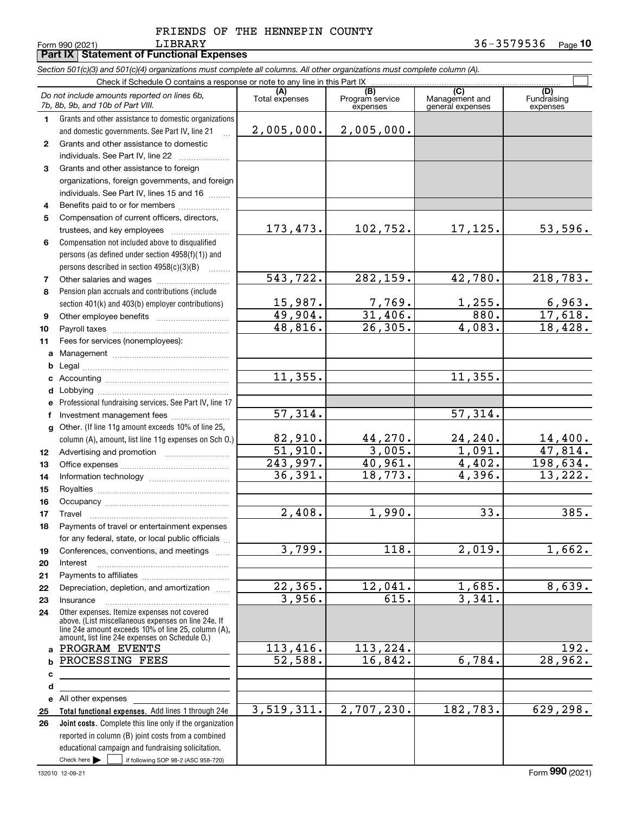**Part IX Statement of Functional Expenses**

*Section 501(c)(3) and 501(c)(4) organizations must complete all columns. All other organizations must complete column (A).*

|              | Check if Schedule O contains a response or note to any line in this Part IX                                                                                |                       |                                                 |                                                      |                                |  |  |  |  |  |  |
|--------------|------------------------------------------------------------------------------------------------------------------------------------------------------------|-----------------------|-------------------------------------------------|------------------------------------------------------|--------------------------------|--|--|--|--|--|--|
|              | Do not include amounts reported on lines 6b,<br>7b, 8b, 9b, and 10b of Part VIII.                                                                          | Total expenses        | $\overline{(B)}$<br>Program service<br>expenses | $\overline{C}$<br>Management and<br>general expenses | (D)<br>Fundraising<br>expenses |  |  |  |  |  |  |
| 1.           | Grants and other assistance to domestic organizations                                                                                                      |                       |                                                 |                                                      |                                |  |  |  |  |  |  |
|              | and domestic governments. See Part IV, line 21                                                                                                             | 2,005,000.            | 2,005,000.                                      |                                                      |                                |  |  |  |  |  |  |
| $\mathbf{2}$ | Grants and other assistance to domestic                                                                                                                    |                       |                                                 |                                                      |                                |  |  |  |  |  |  |
|              | individuals. See Part IV, line 22                                                                                                                          |                       |                                                 |                                                      |                                |  |  |  |  |  |  |
| 3            | Grants and other assistance to foreign                                                                                                                     |                       |                                                 |                                                      |                                |  |  |  |  |  |  |
|              | organizations, foreign governments, and foreign                                                                                                            |                       |                                                 |                                                      |                                |  |  |  |  |  |  |
|              | individuals. See Part IV, lines 15 and 16                                                                                                                  |                       |                                                 |                                                      |                                |  |  |  |  |  |  |
| 4            | Benefits paid to or for members                                                                                                                            |                       |                                                 |                                                      |                                |  |  |  |  |  |  |
| 5            | Compensation of current officers, directors,                                                                                                               |                       |                                                 |                                                      |                                |  |  |  |  |  |  |
|              | trustees, and key employees                                                                                                                                | 173,473.              | 102,752.                                        | 17,125.                                              | 53,596.                        |  |  |  |  |  |  |
| 6            | Compensation not included above to disqualified                                                                                                            |                       |                                                 |                                                      |                                |  |  |  |  |  |  |
|              | persons (as defined under section 4958(f)(1)) and                                                                                                          |                       |                                                 |                                                      |                                |  |  |  |  |  |  |
|              | persons described in section 4958(c)(3)(B)                                                                                                                 |                       |                                                 |                                                      |                                |  |  |  |  |  |  |
| 7            |                                                                                                                                                            | 543, 722.             | 282, 159.                                       | 42,780.                                              | 218,783.                       |  |  |  |  |  |  |
| 8            | Pension plan accruals and contributions (include                                                                                                           |                       |                                                 |                                                      |                                |  |  |  |  |  |  |
|              | section 401(k) and 403(b) employer contributions)                                                                                                          | 15,987.<br>49,904.    | 7,769.<br>31,406.                               | 1,255.<br>880.                                       | 6,963.<br>17,618.              |  |  |  |  |  |  |
| 9            |                                                                                                                                                            | 48,816.               | 26, 305.                                        | 4,083.                                               | 18,428.                        |  |  |  |  |  |  |
| 10           |                                                                                                                                                            |                       |                                                 |                                                      |                                |  |  |  |  |  |  |
| 11           | Fees for services (nonemployees):                                                                                                                          |                       |                                                 |                                                      |                                |  |  |  |  |  |  |
| а            |                                                                                                                                                            |                       |                                                 |                                                      |                                |  |  |  |  |  |  |
| b            |                                                                                                                                                            | 11,355.               |                                                 | 11, 355.                                             |                                |  |  |  |  |  |  |
| с<br>d       |                                                                                                                                                            |                       |                                                 |                                                      |                                |  |  |  |  |  |  |
| е            | Professional fundraising services. See Part IV, line 17                                                                                                    |                       |                                                 |                                                      |                                |  |  |  |  |  |  |
| f            | Investment management fees                                                                                                                                 | $\overline{57,314}$ . |                                                 | 57,314.                                              |                                |  |  |  |  |  |  |
| g            | Other. (If line 11g amount exceeds 10% of line 25,                                                                                                         |                       |                                                 |                                                      |                                |  |  |  |  |  |  |
|              | column (A), amount, list line 11g expenses on Sch O.)                                                                                                      | 82,910.               | 44,270.                                         | 24,240.                                              |                                |  |  |  |  |  |  |
| 12           |                                                                                                                                                            | 51,910.               | 3,005.                                          | 1,091.                                               | $\frac{14,400}{47,814}$ .      |  |  |  |  |  |  |
| 13           |                                                                                                                                                            | 243,997.              | 40,961.                                         | 4,402.                                               | 198,634.                       |  |  |  |  |  |  |
| 14           |                                                                                                                                                            | 36,391.               | 18,773.                                         | 4,396.                                               | 13,222.                        |  |  |  |  |  |  |
| 15           |                                                                                                                                                            |                       |                                                 |                                                      |                                |  |  |  |  |  |  |
| 16           |                                                                                                                                                            |                       |                                                 |                                                      |                                |  |  |  |  |  |  |
| 17           | Travel                                                                                                                                                     | 2,408.                | 1,990.                                          | 33.                                                  | 385.                           |  |  |  |  |  |  |
| 18           | Payments of travel or entertainment expenses                                                                                                               |                       |                                                 |                                                      |                                |  |  |  |  |  |  |
|              | for any federal, state, or local public officials                                                                                                          |                       |                                                 |                                                      |                                |  |  |  |  |  |  |
| 19           | Conferences, conventions, and meetings                                                                                                                     | 3,799.                | 118.                                            | 2,019.                                               | 1,662.                         |  |  |  |  |  |  |
| 20           | Interest                                                                                                                                                   |                       |                                                 |                                                      |                                |  |  |  |  |  |  |
| 21           |                                                                                                                                                            |                       |                                                 |                                                      |                                |  |  |  |  |  |  |
| 22           | Depreciation, depletion, and amortization                                                                                                                  | 22, 365.              | 12,041.<br>615.                                 | 1,685.                                               | 8,639.                         |  |  |  |  |  |  |
| 23           | Insurance                                                                                                                                                  | 3,956.                |                                                 | 3,341.                                               |                                |  |  |  |  |  |  |
| 24           | Other expenses. Itemize expenses not covered<br>above. (List miscellaneous expenses on line 24e. If<br>line 24e amount exceeds 10% of line 25, column (A), |                       |                                                 |                                                      |                                |  |  |  |  |  |  |
|              | amount, list line 24e expenses on Schedule O.)                                                                                                             |                       |                                                 |                                                      |                                |  |  |  |  |  |  |
| a            | PROGRAM EVENTS                                                                                                                                             | 113,416.              | 113,224.                                        |                                                      | 192.                           |  |  |  |  |  |  |
| b            | PROCESSING FEES                                                                                                                                            | 52,588.               | 16,842.                                         | 6,784.                                               | 28,962.                        |  |  |  |  |  |  |
| с            |                                                                                                                                                            |                       |                                                 |                                                      |                                |  |  |  |  |  |  |
| d            |                                                                                                                                                            |                       |                                                 |                                                      |                                |  |  |  |  |  |  |
| е            | All other expenses                                                                                                                                         | 3,519,311.            | 2,707,230.                                      | 182,783.                                             | 629,298.                       |  |  |  |  |  |  |
| 25<br>26     | Total functional expenses. Add lines 1 through 24e<br>Joint costs. Complete this line only if the organization                                             |                       |                                                 |                                                      |                                |  |  |  |  |  |  |
|              | reported in column (B) joint costs from a combined                                                                                                         |                       |                                                 |                                                      |                                |  |  |  |  |  |  |
|              | educational campaign and fundraising solicitation.                                                                                                         |                       |                                                 |                                                      |                                |  |  |  |  |  |  |
|              | Check here $\blacktriangleright$<br>if following SOP 98-2 (ASC 958-720)                                                                                    |                       |                                                 |                                                      |                                |  |  |  |  |  |  |
|              |                                                                                                                                                            |                       |                                                 |                                                      |                                |  |  |  |  |  |  |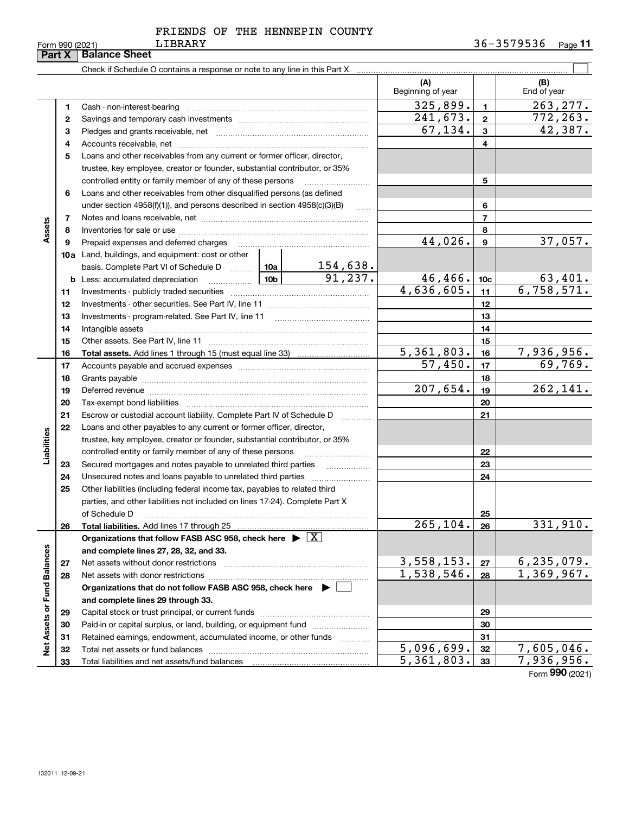|                             | Part X   | <b>Balance Sheet</b>                                                                                                                                                                                                           |            |                         |                                                   |                 |                             |
|-----------------------------|----------|--------------------------------------------------------------------------------------------------------------------------------------------------------------------------------------------------------------------------------|------------|-------------------------|---------------------------------------------------|-----------------|-----------------------------|
|                             |          |                                                                                                                                                                                                                                |            |                         |                                                   |                 |                             |
|                             |          |                                                                                                                                                                                                                                |            |                         | (A)<br>Beginning of year                          |                 | (B)<br>End of year          |
|                             | 1        |                                                                                                                                                                                                                                |            |                         | 325,899.                                          | $\mathbf{1}$    | 263, 277.                   |
|                             | 2        |                                                                                                                                                                                                                                |            |                         | 241, 673.                                         | $\overline{2}$  | 772, 263.                   |
|                             | з        |                                                                                                                                                                                                                                | 67, 134.   | $\overline{\mathbf{3}}$ | 42,387.                                           |                 |                             |
|                             | 4        |                                                                                                                                                                                                                                |            | $\overline{4}$          |                                                   |                 |                             |
|                             | 5        | Loans and other receivables from any current or former officer, director,                                                                                                                                                      |            |                         |                                                   |                 |                             |
|                             |          | trustee, key employee, creator or founder, substantial contributor, or 35%                                                                                                                                                     |            |                         |                                                   |                 |                             |
|                             |          | controlled entity or family member of any of these persons                                                                                                                                                                     |            |                         |                                                   | 5               |                             |
|                             | 6        | Loans and other receivables from other disqualified persons (as defined                                                                                                                                                        |            |                         |                                                   |                 |                             |
|                             |          | under section $4958(f)(1)$ , and persons described in section $4958(c)(3)(B)$                                                                                                                                                  |            | 6                       |                                                   |                 |                             |
|                             | 7        |                                                                                                                                                                                                                                |            | $\overline{7}$          |                                                   |                 |                             |
| Assets                      | 8        |                                                                                                                                                                                                                                |            |                         |                                                   | 8               |                             |
|                             | 9        | Prepaid expenses and deferred charges                                                                                                                                                                                          |            |                         | 44,026.                                           | 9               | 37,057.                     |
|                             |          | <b>10a</b> Land, buildings, and equipment: cost or other                                                                                                                                                                       |            |                         |                                                   |                 |                             |
|                             |          | basis. Complete Part VI of Schedule D  10a                                                                                                                                                                                     |            | <u>154,638.</u>         |                                                   |                 |                             |
|                             | b        | Less: accumulated depreciation                                                                                                                                                                                                 |            | 91,237.                 | 46,466.                                           | 10 <sub>c</sub> | $\frac{63,401}{6,758,571.}$ |
|                             | 11       |                                                                                                                                                                                                                                | 4,636,605. | 11                      |                                                   |                 |                             |
|                             | 12       |                                                                                                                                                                                                                                |            | 12                      |                                                   |                 |                             |
|                             | 13       |                                                                                                                                                                                                                                |            | 13                      |                                                   |                 |                             |
|                             | 14       |                                                                                                                                                                                                                                |            |                         |                                                   | 14              |                             |
|                             | 15       |                                                                                                                                                                                                                                |            |                         |                                                   | 15              |                             |
|                             | 16       |                                                                                                                                                                                                                                |            |                         | $\overline{5,361,803}$ .<br>$\overline{57,450}$ . | 16              | 7,936,956.<br>69,769.       |
|                             | 17       |                                                                                                                                                                                                                                |            |                         | 17                                                |                 |                             |
|                             | 18       |                                                                                                                                                                                                                                | 207,654.   | 18<br>19                | 262, 141.                                         |                 |                             |
|                             | 19<br>20 | Deferred revenue manual contracts and contracts are all the manual contracts and contracts are contracted and contracts are contracted and contract are contracted and contract are contracted and contract are contracted and |            |                         |                                                   | 20              |                             |
|                             | 21       | Escrow or custodial account liability. Complete Part IV of Schedule D                                                                                                                                                          |            |                         |                                                   | 21              |                             |
|                             | 22       | Loans and other payables to any current or former officer, director,                                                                                                                                                           |            |                         |                                                   |                 |                             |
| Liabilities                 |          | trustee, key employee, creator or founder, substantial contributor, or 35%                                                                                                                                                     |            |                         |                                                   |                 |                             |
|                             |          | controlled entity or family member of any of these persons                                                                                                                                                                     |            |                         |                                                   | 22              |                             |
|                             | 23       | Secured mortgages and notes payable to unrelated third parties                                                                                                                                                                 |            |                         |                                                   | 23              |                             |
|                             | 24       | Unsecured notes and loans payable to unrelated third parties                                                                                                                                                                   |            |                         |                                                   | 24              |                             |
|                             | 25       | Other liabilities (including federal income tax, payables to related third                                                                                                                                                     |            |                         |                                                   |                 |                             |
|                             |          | parties, and other liabilities not included on lines 17-24). Complete Part X                                                                                                                                                   |            |                         |                                                   |                 |                             |
|                             |          | of Schedule D                                                                                                                                                                                                                  |            |                         |                                                   | 25              |                             |
|                             | 26       | Total liabilities. Add lines 17 through 25                                                                                                                                                                                     |            |                         | 265, 104.                                         | 26              | 331,910.                    |
|                             |          | Organizations that follow FASB ASC 958, check here $\blacktriangleright \boxed{X}$                                                                                                                                             |            |                         |                                                   |                 |                             |
|                             |          | and complete lines 27, 28, 32, and 33.                                                                                                                                                                                         |            |                         |                                                   |                 |                             |
|                             | 27       | Net assets without donor restrictions                                                                                                                                                                                          |            |                         | 3,558,153.                                        | 27              | 6, 235, 079.                |
|                             | 28       | Net assets with donor restrictions                                                                                                                                                                                             | 1,538,546. | 28                      | 1,369,967.                                        |                 |                             |
|                             |          | Organizations that do not follow FASB ASC 958, check here $\blacktriangleright$                                                                                                                                                |            |                         |                                                   |                 |                             |
|                             |          | and complete lines 29 through 33.                                                                                                                                                                                              |            |                         |                                                   |                 |                             |
| Net Assets or Fund Balances | 29       |                                                                                                                                                                                                                                |            |                         |                                                   | 29              |                             |
|                             | 30       | Paid-in or capital surplus, or land, building, or equipment fund                                                                                                                                                               |            |                         |                                                   | 30              |                             |
|                             | 31       | Retained earnings, endowment, accumulated income, or other funds                                                                                                                                                               |            |                         |                                                   | 31              |                             |
|                             | 32       |                                                                                                                                                                                                                                |            |                         | $\overline{5,096,699}$ .                          | 32              | 7,605,046.                  |
|                             | 33       |                                                                                                                                                                                                                                |            |                         | 5,361,803.                                        | 33              | 7,936,956.                  |

Form (2021) **990**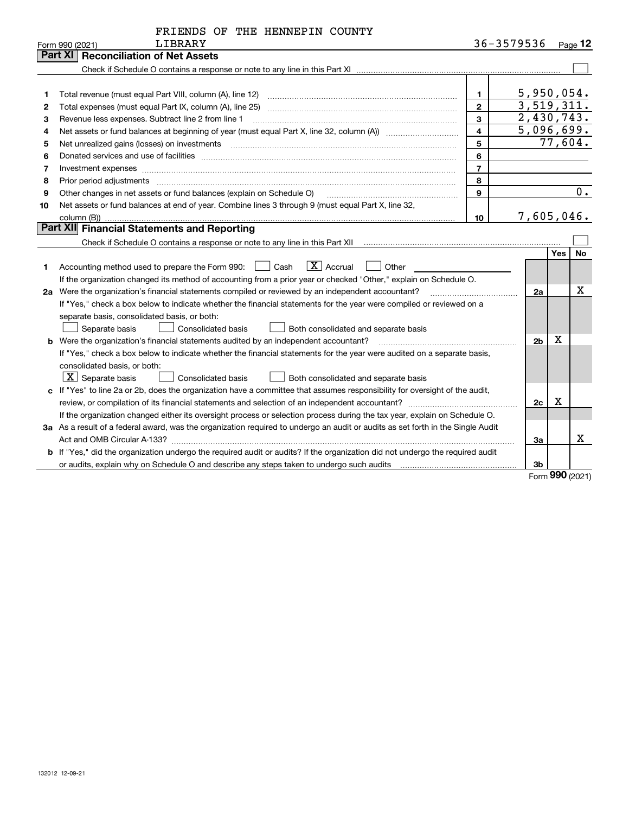|  | FRIENDS OF THE HENNEPIN COUNTY |  |
|--|--------------------------------|--|
|  |                                |  |

|                | LIBRARY<br>Form 990 (2021)                                                                                                                                                                                                     |                | 36-3579536     |            | Page $12$ |
|----------------|--------------------------------------------------------------------------------------------------------------------------------------------------------------------------------------------------------------------------------|----------------|----------------|------------|-----------|
|                | <b>Reconciliation of Net Assets</b><br>Part XI I                                                                                                                                                                               |                |                |            |           |
|                |                                                                                                                                                                                                                                |                |                |            |           |
|                |                                                                                                                                                                                                                                |                |                |            |           |
| 1              | Total revenue (must equal Part VIII, column (A), line 12)                                                                                                                                                                      | $\blacksquare$ | 5,950,054.     |            |           |
| $\overline{2}$ | Total expenses (must equal Part IX, column (A), line 25)                                                                                                                                                                       | $\mathfrak{p}$ | 3,519,311.     |            |           |
| 3              | Revenue less expenses. Subtract line 2 from line 1                                                                                                                                                                             | 3              | 2,430,743.     |            |           |
| 4              |                                                                                                                                                                                                                                | $\overline{4}$ | 5,096,699.     |            |           |
| 5              |                                                                                                                                                                                                                                | 5              |                | 77,604.    |           |
| 6              | Donated services and use of facilities [111] processes and the service of facilities [11] processes and use of facilities [11] processes and the service of facilities [11] processes and the service of the service of the se | 6              |                |            |           |
| 7              |                                                                                                                                                                                                                                | $\overline{7}$ |                |            |           |
| 8              |                                                                                                                                                                                                                                | 8              |                |            |           |
| 9              | Other changes in net assets or fund balances (explain on Schedule O)                                                                                                                                                           | $\mathbf{9}$   |                |            | 0.        |
| 10             | Net assets or fund balances at end of year. Combine lines 3 through 9 (must equal Part X, line 32,                                                                                                                             |                |                |            |           |
|                |                                                                                                                                                                                                                                | 10             | 7,605,046.     |            |           |
|                | Part XII Financial Statements and Reporting                                                                                                                                                                                    |                |                |            |           |
|                |                                                                                                                                                                                                                                |                |                |            |           |
|                |                                                                                                                                                                                                                                |                |                | <b>Yes</b> | <b>No</b> |
| 1              | $\boxed{\mathbf{X}}$ Accrual<br>Accounting method used to prepare the Form 990: <u>June</u> Cash<br>Other                                                                                                                      |                |                |            |           |
|                | If the organization changed its method of accounting from a prior year or checked "Other," explain on Schedule O.                                                                                                              |                |                |            |           |
|                | 2a Were the organization's financial statements compiled or reviewed by an independent accountant?                                                                                                                             |                | 2a             |            | x         |
|                | If "Yes," check a box below to indicate whether the financial statements for the year were compiled or reviewed on a                                                                                                           |                |                |            |           |
|                | separate basis, consolidated basis, or both:                                                                                                                                                                                   |                |                |            |           |
|                | Separate basis<br>Consolidated basis<br>Both consolidated and separate basis                                                                                                                                                   |                |                |            |           |
|                | <b>b</b> Were the organization's financial statements audited by an independent accountant?                                                                                                                                    |                | 2 <sub>b</sub> | Х          |           |
|                | If "Yes," check a box below to indicate whether the financial statements for the year were audited on a separate basis,                                                                                                        |                |                |            |           |
|                | consolidated basis, or both:                                                                                                                                                                                                   |                |                |            |           |
|                | $\vert X \vert$ Separate basis<br>Consolidated basis<br>Both consolidated and separate basis                                                                                                                                   |                |                |            |           |
|                | c If "Yes" to line 2a or 2b, does the organization have a committee that assumes responsibility for oversight of the audit,                                                                                                    |                |                |            |           |
|                | review, or compilation of its financial statements and selection of an independent accountant?                                                                                                                                 |                | 2c             | Х          |           |
|                | If the organization changed either its oversight process or selection process during the tax year, explain on Schedule O.                                                                                                      |                |                |            |           |
|                | 3a As a result of a federal award, was the organization required to undergo an audit or audits as set forth in the Single Audit                                                                                                |                |                |            |           |
|                |                                                                                                                                                                                                                                |                | За             |            | x         |
|                | b If "Yes," did the organization undergo the required audit or audits? If the organization did not undergo the required audit                                                                                                  |                |                |            |           |
|                | or audits, explain why on Schedule O and describe any steps taken to undergo such audits [11] contains the school of audits [11] or audits [11] or audits [11] or audits [11] or audits [11] or audits [11] or audits [11] or  |                | 3b             |            |           |

Form (2021) **990**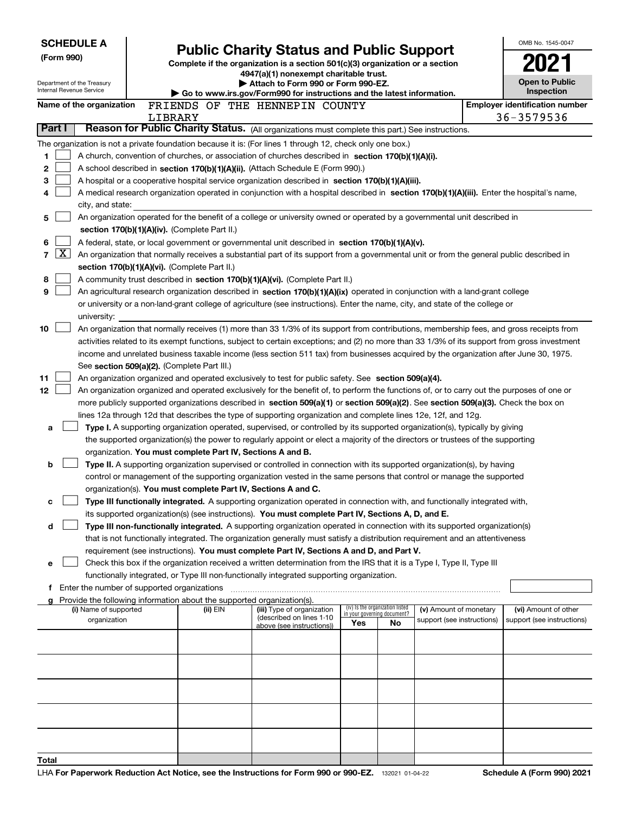| <b>SCHEDULE A</b><br>(Form 990)<br>Department of the Treasury<br>Internal Revenue Service |                          |         | <b>Public Charity Status and Public Support</b><br>Complete if the organization is a section 501(c)(3) organization or a section<br>4947(a)(1) nonexempt charitable trust.<br>Attach to Form 990 or Form 990-EZ.<br>Go to www.irs.gov/Form990 for instructions and the latest information. |                                                                                                                                                                                                                                                                                                                                                                                                                                                                                                                                                       |     |                                                                |                            |  | OMB No. 1545-0047<br><b>Open to Public</b><br>Inspection |
|-------------------------------------------------------------------------------------------|--------------------------|---------|--------------------------------------------------------------------------------------------------------------------------------------------------------------------------------------------------------------------------------------------------------------------------------------------|-------------------------------------------------------------------------------------------------------------------------------------------------------------------------------------------------------------------------------------------------------------------------------------------------------------------------------------------------------------------------------------------------------------------------------------------------------------------------------------------------------------------------------------------------------|-----|----------------------------------------------------------------|----------------------------|--|----------------------------------------------------------|
|                                                                                           | Name of the organization |         |                                                                                                                                                                                                                                                                                            | FRIENDS OF THE HENNEPIN COUNTY                                                                                                                                                                                                                                                                                                                                                                                                                                                                                                                        |     |                                                                |                            |  | <b>Employer identification number</b>                    |
|                                                                                           |                          | LIBRARY |                                                                                                                                                                                                                                                                                            |                                                                                                                                                                                                                                                                                                                                                                                                                                                                                                                                                       |     |                                                                |                            |  | 36-3579536                                               |
| Part I                                                                                    |                          |         |                                                                                                                                                                                                                                                                                            | Reason for Public Charity Status. (All organizations must complete this part.) See instructions.                                                                                                                                                                                                                                                                                                                                                                                                                                                      |     |                                                                |                            |  |                                                          |
| 1<br>2<br>3<br>4                                                                          | city, and state:         |         |                                                                                                                                                                                                                                                                                            | The organization is not a private foundation because it is: (For lines 1 through 12, check only one box.)<br>A church, convention of churches, or association of churches described in section 170(b)(1)(A)(i).<br>A school described in section 170(b)(1)(A)(ii). (Attach Schedule E (Form 990).)<br>A hospital or a cooperative hospital service organization described in section 170(b)(1)(A)(iii).<br>A medical research organization operated in conjunction with a hospital described in section 170(b)(1)(A)(iii). Enter the hospital's name, |     |                                                                |                            |  |                                                          |
| 5                                                                                         |                          |         |                                                                                                                                                                                                                                                                                            | An organization operated for the benefit of a college or university owned or operated by a governmental unit described in                                                                                                                                                                                                                                                                                                                                                                                                                             |     |                                                                |                            |  |                                                          |
|                                                                                           |                          |         | section 170(b)(1)(A)(iv). (Complete Part II.)                                                                                                                                                                                                                                              |                                                                                                                                                                                                                                                                                                                                                                                                                                                                                                                                                       |     |                                                                |                            |  |                                                          |
| 6                                                                                         |                          |         |                                                                                                                                                                                                                                                                                            | A federal, state, or local government or governmental unit described in section $170(b)(1)(A)(v)$ .                                                                                                                                                                                                                                                                                                                                                                                                                                                   |     |                                                                |                            |  |                                                          |
| $\lfloor x \rfloor$<br>$\overline{7}$                                                     |                          |         |                                                                                                                                                                                                                                                                                            | An organization that normally receives a substantial part of its support from a governmental unit or from the general public described in                                                                                                                                                                                                                                                                                                                                                                                                             |     |                                                                |                            |  |                                                          |
|                                                                                           |                          |         | section 170(b)(1)(A)(vi). (Complete Part II.)                                                                                                                                                                                                                                              |                                                                                                                                                                                                                                                                                                                                                                                                                                                                                                                                                       |     |                                                                |                            |  |                                                          |
| 8<br>9                                                                                    |                          |         |                                                                                                                                                                                                                                                                                            | A community trust described in section 170(b)(1)(A)(vi). (Complete Part II.)                                                                                                                                                                                                                                                                                                                                                                                                                                                                          |     |                                                                |                            |  |                                                          |
|                                                                                           |                          |         |                                                                                                                                                                                                                                                                                            | An agricultural research organization described in section 170(b)(1)(A)(ix) operated in conjunction with a land-grant college<br>or university or a non-land-grant college of agriculture (see instructions). Enter the name, city, and state of the college or                                                                                                                                                                                                                                                                                       |     |                                                                |                            |  |                                                          |
|                                                                                           | university:              |         |                                                                                                                                                                                                                                                                                            |                                                                                                                                                                                                                                                                                                                                                                                                                                                                                                                                                       |     |                                                                |                            |  |                                                          |
| 10                                                                                        |                          |         |                                                                                                                                                                                                                                                                                            | An organization that normally receives (1) more than 33 1/3% of its support from contributions, membership fees, and gross receipts from                                                                                                                                                                                                                                                                                                                                                                                                              |     |                                                                |                            |  |                                                          |
|                                                                                           |                          |         | See section 509(a)(2). (Complete Part III.)                                                                                                                                                                                                                                                | activities related to its exempt functions, subject to certain exceptions; and (2) no more than 33 1/3% of its support from gross investment<br>income and unrelated business taxable income (less section 511 tax) from businesses acquired by the organization after June 30, 1975.                                                                                                                                                                                                                                                                 |     |                                                                |                            |  |                                                          |
| 11                                                                                        |                          |         |                                                                                                                                                                                                                                                                                            | An organization organized and operated exclusively to test for public safety. See section 509(a)(4).                                                                                                                                                                                                                                                                                                                                                                                                                                                  |     |                                                                |                            |  |                                                          |
| 12                                                                                        |                          |         |                                                                                                                                                                                                                                                                                            | An organization organized and operated exclusively for the benefit of, to perform the functions of, or to carry out the purposes of one or                                                                                                                                                                                                                                                                                                                                                                                                            |     |                                                                |                            |  |                                                          |
|                                                                                           |                          |         |                                                                                                                                                                                                                                                                                            | more publicly supported organizations described in section 509(a)(1) or section 509(a)(2). See section 509(a)(3). Check the box on                                                                                                                                                                                                                                                                                                                                                                                                                    |     |                                                                |                            |  |                                                          |
|                                                                                           |                          |         |                                                                                                                                                                                                                                                                                            | lines 12a through 12d that describes the type of supporting organization and complete lines 12e, 12f, and 12g.                                                                                                                                                                                                                                                                                                                                                                                                                                        |     |                                                                |                            |  |                                                          |
| a                                                                                         |                          |         |                                                                                                                                                                                                                                                                                            | Type I. A supporting organization operated, supervised, or controlled by its supported organization(s), typically by giving                                                                                                                                                                                                                                                                                                                                                                                                                           |     |                                                                |                            |  |                                                          |
|                                                                                           |                          |         |                                                                                                                                                                                                                                                                                            | the supported organization(s) the power to regularly appoint or elect a majority of the directors or trustees of the supporting                                                                                                                                                                                                                                                                                                                                                                                                                       |     |                                                                |                            |  |                                                          |
|                                                                                           |                          |         | organization. You must complete Part IV, Sections A and B.                                                                                                                                                                                                                                 |                                                                                                                                                                                                                                                                                                                                                                                                                                                                                                                                                       |     |                                                                |                            |  |                                                          |
| b                                                                                         |                          |         |                                                                                                                                                                                                                                                                                            | Type II. A supporting organization supervised or controlled in connection with its supported organization(s), by having                                                                                                                                                                                                                                                                                                                                                                                                                               |     |                                                                |                            |  |                                                          |
|                                                                                           |                          |         | organization(s). You must complete Part IV, Sections A and C.                                                                                                                                                                                                                              | control or management of the supporting organization vested in the same persons that control or manage the supported                                                                                                                                                                                                                                                                                                                                                                                                                                  |     |                                                                |                            |  |                                                          |
|                                                                                           |                          |         |                                                                                                                                                                                                                                                                                            | Type III functionally integrated. A supporting organization operated in connection with, and functionally integrated with,                                                                                                                                                                                                                                                                                                                                                                                                                            |     |                                                                |                            |  |                                                          |
|                                                                                           |                          |         |                                                                                                                                                                                                                                                                                            | its supported organization(s) (see instructions). You must complete Part IV, Sections A, D, and E.                                                                                                                                                                                                                                                                                                                                                                                                                                                    |     |                                                                |                            |  |                                                          |
| d                                                                                         |                          |         |                                                                                                                                                                                                                                                                                            | Type III non-functionally integrated. A supporting organization operated in connection with its supported organization(s)                                                                                                                                                                                                                                                                                                                                                                                                                             |     |                                                                |                            |  |                                                          |
|                                                                                           |                          |         |                                                                                                                                                                                                                                                                                            | that is not functionally integrated. The organization generally must satisfy a distribution requirement and an attentiveness                                                                                                                                                                                                                                                                                                                                                                                                                          |     |                                                                |                            |  |                                                          |
|                                                                                           |                          |         |                                                                                                                                                                                                                                                                                            | requirement (see instructions). You must complete Part IV, Sections A and D, and Part V.                                                                                                                                                                                                                                                                                                                                                                                                                                                              |     |                                                                |                            |  |                                                          |
| е                                                                                         |                          |         |                                                                                                                                                                                                                                                                                            | Check this box if the organization received a written determination from the IRS that it is a Type I, Type II, Type III                                                                                                                                                                                                                                                                                                                                                                                                                               |     |                                                                |                            |  |                                                          |
|                                                                                           |                          |         |                                                                                                                                                                                                                                                                                            | functionally integrated, or Type III non-functionally integrated supporting organization.                                                                                                                                                                                                                                                                                                                                                                                                                                                             |     |                                                                |                            |  |                                                          |
|                                                                                           |                          |         |                                                                                                                                                                                                                                                                                            |                                                                                                                                                                                                                                                                                                                                                                                                                                                                                                                                                       |     |                                                                |                            |  |                                                          |
|                                                                                           |                          |         | Provide the following information about the supported organization(s).                                                                                                                                                                                                                     |                                                                                                                                                                                                                                                                                                                                                                                                                                                                                                                                                       |     |                                                                |                            |  |                                                          |
|                                                                                           | (i) Name of supported    |         | (ii) EIN                                                                                                                                                                                                                                                                                   | (iii) Type of organization<br>(described on lines 1-10                                                                                                                                                                                                                                                                                                                                                                                                                                                                                                |     | (iv) Is the organization listed<br>in your governing document? | (v) Amount of monetary     |  | (vi) Amount of other                                     |
|                                                                                           | organization             |         |                                                                                                                                                                                                                                                                                            | above (see instructions))                                                                                                                                                                                                                                                                                                                                                                                                                                                                                                                             | Yes | No                                                             | support (see instructions) |  | support (see instructions)                               |
|                                                                                           |                          |         |                                                                                                                                                                                                                                                                                            |                                                                                                                                                                                                                                                                                                                                                                                                                                                                                                                                                       |     |                                                                |                            |  |                                                          |
|                                                                                           |                          |         |                                                                                                                                                                                                                                                                                            |                                                                                                                                                                                                                                                                                                                                                                                                                                                                                                                                                       |     |                                                                |                            |  |                                                          |
|                                                                                           |                          |         |                                                                                                                                                                                                                                                                                            |                                                                                                                                                                                                                                                                                                                                                                                                                                                                                                                                                       |     |                                                                |                            |  |                                                          |
|                                                                                           |                          |         |                                                                                                                                                                                                                                                                                            |                                                                                                                                                                                                                                                                                                                                                                                                                                                                                                                                                       |     |                                                                |                            |  |                                                          |
|                                                                                           |                          |         |                                                                                                                                                                                                                                                                                            |                                                                                                                                                                                                                                                                                                                                                                                                                                                                                                                                                       |     |                                                                |                            |  |                                                          |
|                                                                                           |                          |         |                                                                                                                                                                                                                                                                                            |                                                                                                                                                                                                                                                                                                                                                                                                                                                                                                                                                       |     |                                                                |                            |  |                                                          |
|                                                                                           |                          |         |                                                                                                                                                                                                                                                                                            |                                                                                                                                                                                                                                                                                                                                                                                                                                                                                                                                                       |     |                                                                |                            |  |                                                          |
|                                                                                           |                          |         |                                                                                                                                                                                                                                                                                            |                                                                                                                                                                                                                                                                                                                                                                                                                                                                                                                                                       |     |                                                                |                            |  |                                                          |
| Total                                                                                     |                          |         |                                                                                                                                                                                                                                                                                            |                                                                                                                                                                                                                                                                                                                                                                                                                                                                                                                                                       |     |                                                                |                            |  |                                                          |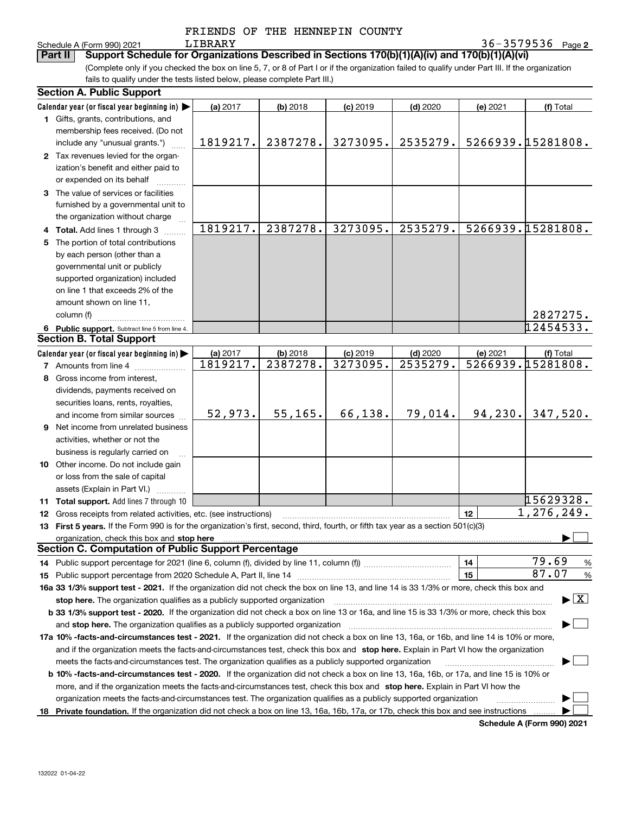|  | FRIENDS OF THE HENNEPIN COUNTY |  |
|--|--------------------------------|--|
|  |                                |  |

**2** LIBRARY 36-3579536

Schedule A (Form 990) 2021 LIBRARY<br>**Part II** Support Schedule for Organizat (Complete only if you checked the box on line 5, 7, or 8 of Part I or if the organization failed to qualify under Part III. If the organization **Part III Support Schedule for Organizations Described in Sections 170(b)(1)(A)(iv) and 170(b)(1)(A)(vi)** 

fails to qualify under the tests listed below, please complete Part III.)

|    | <b>Section A. Public Support</b>                                                                                                                                                                                                                                                             |          |            |            |            |          |                   |  |  |
|----|----------------------------------------------------------------------------------------------------------------------------------------------------------------------------------------------------------------------------------------------------------------------------------------------|----------|------------|------------|------------|----------|-------------------|--|--|
|    | Calendar year (or fiscal year beginning in)                                                                                                                                                                                                                                                  | (a) 2017 | $(b)$ 2018 | $(c)$ 2019 | $(d)$ 2020 | (e) 2021 | (f) Total         |  |  |
|    | 1 Gifts, grants, contributions, and                                                                                                                                                                                                                                                          |          |            |            |            |          |                   |  |  |
|    | membership fees received. (Do not                                                                                                                                                                                                                                                            |          |            |            |            |          |                   |  |  |
|    | include any "unusual grants.")                                                                                                                                                                                                                                                               | 1819217. | 2387278.   | 3273095.   | 2535279.   |          | 5266939.15281808. |  |  |
|    | 2 Tax revenues levied for the organ-                                                                                                                                                                                                                                                         |          |            |            |            |          |                   |  |  |
|    | ization's benefit and either paid to                                                                                                                                                                                                                                                         |          |            |            |            |          |                   |  |  |
|    | or expended on its behalf                                                                                                                                                                                                                                                                    |          |            |            |            |          |                   |  |  |
|    | 3 The value of services or facilities                                                                                                                                                                                                                                                        |          |            |            |            |          |                   |  |  |
|    | furnished by a governmental unit to                                                                                                                                                                                                                                                          |          |            |            |            |          |                   |  |  |
|    | the organization without charge                                                                                                                                                                                                                                                              |          |            |            |            |          |                   |  |  |
|    |                                                                                                                                                                                                                                                                                              | 1819217. | 2387278.   | 3273095.   | 2535279.   |          | 5266939.15281808. |  |  |
|    | 4 Total. Add lines 1 through 3<br>The portion of total contributions                                                                                                                                                                                                                         |          |            |            |            |          |                   |  |  |
| 5  | by each person (other than a                                                                                                                                                                                                                                                                 |          |            |            |            |          |                   |  |  |
|    |                                                                                                                                                                                                                                                                                              |          |            |            |            |          |                   |  |  |
|    | governmental unit or publicly                                                                                                                                                                                                                                                                |          |            |            |            |          |                   |  |  |
|    | supported organization) included                                                                                                                                                                                                                                                             |          |            |            |            |          |                   |  |  |
|    | on line 1 that exceeds 2% of the                                                                                                                                                                                                                                                             |          |            |            |            |          |                   |  |  |
|    | amount shown on line 11,                                                                                                                                                                                                                                                                     |          |            |            |            |          |                   |  |  |
|    | column (f)                                                                                                                                                                                                                                                                                   |          |            |            |            |          | 2827275.          |  |  |
|    | 6 Public support. Subtract line 5 from line 4.                                                                                                                                                                                                                                               |          |            |            |            |          | 12454533.         |  |  |
|    | <b>Section B. Total Support</b>                                                                                                                                                                                                                                                              |          |            |            |            |          |                   |  |  |
|    | Calendar year (or fiscal year beginning in)                                                                                                                                                                                                                                                  | (a) 2017 | $(b)$ 2018 | $(c)$ 2019 | $(d)$ 2020 | (e) 2021 | (f) Total         |  |  |
|    | <b>7</b> Amounts from line 4                                                                                                                                                                                                                                                                 | 1819217. | 2387278.   | 3273095.   | 2535279.   |          | 5266939.15281808. |  |  |
| 8  | Gross income from interest,                                                                                                                                                                                                                                                                  |          |            |            |            |          |                   |  |  |
|    | dividends, payments received on                                                                                                                                                                                                                                                              |          |            |            |            |          |                   |  |  |
|    | securities loans, rents, royalties,                                                                                                                                                                                                                                                          |          |            |            |            |          |                   |  |  |
|    | and income from similar sources                                                                                                                                                                                                                                                              | 52,973.  | 55, 165.   | 66,138.    | 79,014.    | 94, 230. | 347,520.          |  |  |
|    | 9 Net income from unrelated business                                                                                                                                                                                                                                                         |          |            |            |            |          |                   |  |  |
|    | activities, whether or not the                                                                                                                                                                                                                                                               |          |            |            |            |          |                   |  |  |
|    | business is regularly carried on                                                                                                                                                                                                                                                             |          |            |            |            |          |                   |  |  |
|    | 10 Other income. Do not include gain                                                                                                                                                                                                                                                         |          |            |            |            |          |                   |  |  |
|    | or loss from the sale of capital                                                                                                                                                                                                                                                             |          |            |            |            |          |                   |  |  |
|    |                                                                                                                                                                                                                                                                                              |          |            |            |            |          |                   |  |  |
|    | assets (Explain in Part VI.)                                                                                                                                                                                                                                                                 |          |            |            |            |          | 15629328.         |  |  |
|    | <b>11 Total support.</b> Add lines 7 through 10                                                                                                                                                                                                                                              |          |            |            |            |          | 1,276,249.        |  |  |
|    | <b>12</b> Gross receipts from related activities, etc. (see instructions)                                                                                                                                                                                                                    |          |            |            |            | 12       |                   |  |  |
|    | 13 First 5 years. If the Form 990 is for the organization's first, second, third, fourth, or fifth tax year as a section 501(c)(3)                                                                                                                                                           |          |            |            |            |          |                   |  |  |
|    | organization, check this box and stop here manufactured and according to the state of the state of the state of the state of the state of the state of the state of the state of the state of the state of the state of the st<br><b>Section C. Computation of Public Support Percentage</b> |          |            |            |            |          |                   |  |  |
|    |                                                                                                                                                                                                                                                                                              |          |            |            |            |          | 79.69             |  |  |
|    | 14 Public support percentage for 2021 (line 6, column (f), divided by line 11, column (f) <i>mummumumum</i>                                                                                                                                                                                  |          |            |            |            | 14       | %<br>87.07        |  |  |
|    |                                                                                                                                                                                                                                                                                              |          |            |            |            | 15       | $\%$              |  |  |
|    | 16a 33 1/3% support test - 2021. If the organization did not check the box on line 13, and line 14 is 33 1/3% or more, check this box and                                                                                                                                                    |          |            |            |            |          |                   |  |  |
|    | $\blacktriangleright$ $\boxed{\text{X}}$<br>stop here. The organization qualifies as a publicly supported organization                                                                                                                                                                       |          |            |            |            |          |                   |  |  |
|    | b 33 1/3% support test - 2020. If the organization did not check a box on line 13 or 16a, and line 15 is 33 1/3% or more, check this box                                                                                                                                                     |          |            |            |            |          |                   |  |  |
|    | and stop here. The organization qualifies as a publicly supported organization                                                                                                                                                                                                               |          |            |            |            |          |                   |  |  |
|    | 17a 10% -facts-and-circumstances test - 2021. If the organization did not check a box on line 13, 16a, or 16b, and line 14 is 10% or more,                                                                                                                                                   |          |            |            |            |          |                   |  |  |
|    | and if the organization meets the facts-and-circumstances test, check this box and stop here. Explain in Part VI how the organization                                                                                                                                                        |          |            |            |            |          |                   |  |  |
|    | meets the facts-and-circumstances test. The organization qualifies as a publicly supported organization                                                                                                                                                                                      |          |            |            |            |          |                   |  |  |
|    | <b>b 10% -facts-and-circumstances test - 2020.</b> If the organization did not check a box on line 13, 16a, 16b, or 17a, and line 15 is 10% or                                                                                                                                               |          |            |            |            |          |                   |  |  |
|    | more, and if the organization meets the facts-and-circumstances test, check this box and stop here. Explain in Part VI how the                                                                                                                                                               |          |            |            |            |          |                   |  |  |
|    | organization meets the facts-and-circumstances test. The organization qualifies as a publicly supported organization                                                                                                                                                                         |          |            |            |            |          |                   |  |  |
| 18 | Private foundation. If the organization did not check a box on line 13, 16a, 16b, 17a, or 17b, check this box and see instructions                                                                                                                                                           |          |            |            |            |          |                   |  |  |
|    |                                                                                                                                                                                                                                                                                              |          |            |            |            |          |                   |  |  |

**Schedule A (Form 990) 2021**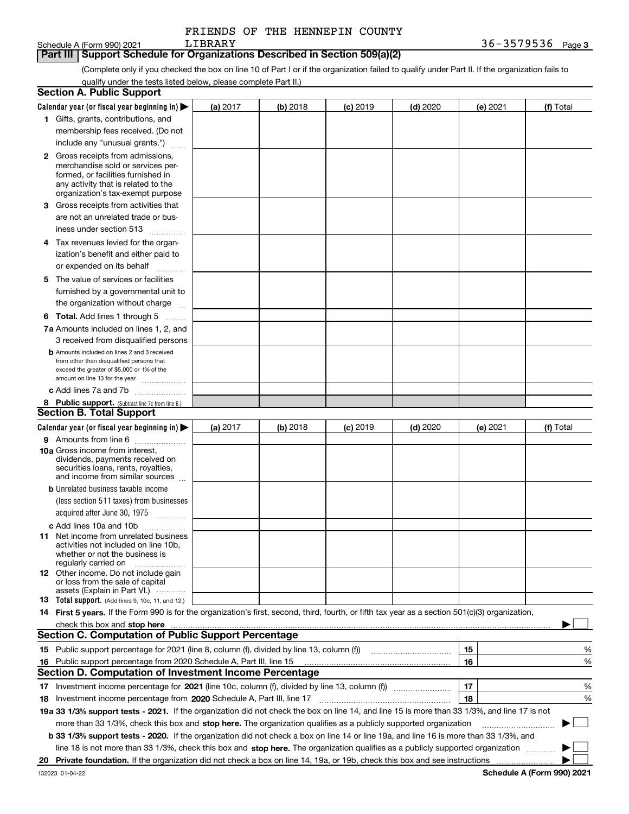| FRIENDS OF THE HENNEPIN COUNTY |  |  |
|--------------------------------|--|--|
|--------------------------------|--|--|

### **3** Schedule A (Form 990) 2021 Page LIBRARY 36-3579536 **Part III Support Schedule for Organizations Described in Section 509(a)(2)**

(Complete only if you checked the box on line 10 of Part I or if the organization failed to qualify under Part II. If the organization fails to qualify under the tests listed below, please complete Part II.)

|     | <b>Section A. Public Support</b>                                                                                                                                                                                               |            |          |            |            |          |             |
|-----|--------------------------------------------------------------------------------------------------------------------------------------------------------------------------------------------------------------------------------|------------|----------|------------|------------|----------|-------------|
|     | Calendar year (or fiscal year beginning in) $\blacktriangleright$                                                                                                                                                              | (a) 2017   | (b) 2018 | $(c)$ 2019 | $(d)$ 2020 | (e) 2021 | (f) Total   |
|     | 1 Gifts, grants, contributions, and                                                                                                                                                                                            |            |          |            |            |          |             |
|     | membership fees received. (Do not                                                                                                                                                                                              |            |          |            |            |          |             |
|     | include any "unusual grants.")                                                                                                                                                                                                 |            |          |            |            |          |             |
|     | <b>2</b> Gross receipts from admissions,                                                                                                                                                                                       |            |          |            |            |          |             |
|     | merchandise sold or services per-                                                                                                                                                                                              |            |          |            |            |          |             |
|     | formed, or facilities furnished in                                                                                                                                                                                             |            |          |            |            |          |             |
|     | any activity that is related to the<br>organization's tax-exempt purpose                                                                                                                                                       |            |          |            |            |          |             |
|     | 3 Gross receipts from activities that                                                                                                                                                                                          |            |          |            |            |          |             |
|     | are not an unrelated trade or bus-                                                                                                                                                                                             |            |          |            |            |          |             |
|     | iness under section 513                                                                                                                                                                                                        |            |          |            |            |          |             |
|     |                                                                                                                                                                                                                                |            |          |            |            |          |             |
|     | 4 Tax revenues levied for the organ-                                                                                                                                                                                           |            |          |            |            |          |             |
|     | ization's benefit and either paid to                                                                                                                                                                                           |            |          |            |            |          |             |
|     | or expended on its behalf<br>.                                                                                                                                                                                                 |            |          |            |            |          |             |
|     | 5 The value of services or facilities                                                                                                                                                                                          |            |          |            |            |          |             |
|     | furnished by a governmental unit to                                                                                                                                                                                            |            |          |            |            |          |             |
|     | the organization without charge                                                                                                                                                                                                |            |          |            |            |          |             |
|     | <b>6 Total.</b> Add lines 1 through 5                                                                                                                                                                                          |            |          |            |            |          |             |
|     | 7a Amounts included on lines 1, 2, and                                                                                                                                                                                         |            |          |            |            |          |             |
|     | 3 received from disqualified persons                                                                                                                                                                                           |            |          |            |            |          |             |
|     | <b>b</b> Amounts included on lines 2 and 3 received                                                                                                                                                                            |            |          |            |            |          |             |
|     | from other than disqualified persons that<br>exceed the greater of \$5,000 or 1% of the                                                                                                                                        |            |          |            |            |          |             |
|     | amount on line 13 for the year                                                                                                                                                                                                 |            |          |            |            |          |             |
|     | c Add lines 7a and 7b                                                                                                                                                                                                          |            |          |            |            |          |             |
|     | 8 Public support. (Subtract line 7c from line 6.)                                                                                                                                                                              |            |          |            |            |          |             |
|     | <b>Section B. Total Support</b>                                                                                                                                                                                                |            |          |            |            |          |             |
|     | Calendar year (or fiscal year beginning in) $\blacktriangleright$                                                                                                                                                              | (a) $2017$ | (b) 2018 | $(c)$ 2019 | $(d)$ 2020 | (e) 2021 | (f) Total   |
|     | 9 Amounts from line 6                                                                                                                                                                                                          |            |          |            |            |          |             |
|     | <b>10a</b> Gross income from interest,                                                                                                                                                                                         |            |          |            |            |          |             |
|     | dividends, payments received on                                                                                                                                                                                                |            |          |            |            |          |             |
|     | securities loans, rents, royalties,<br>and income from similar sources                                                                                                                                                         |            |          |            |            |          |             |
|     | <b>b</b> Unrelated business taxable income                                                                                                                                                                                     |            |          |            |            |          |             |
|     | (less section 511 taxes) from businesses                                                                                                                                                                                       |            |          |            |            |          |             |
|     | acquired after June 30, 1975                                                                                                                                                                                                   |            |          |            |            |          |             |
|     |                                                                                                                                                                                                                                |            |          |            |            |          |             |
|     | c Add lines 10a and 10b                                                                                                                                                                                                        |            |          |            |            |          |             |
|     | 11 Net income from unrelated business<br>activities not included on line 10b,                                                                                                                                                  |            |          |            |            |          |             |
|     | whether or not the business is                                                                                                                                                                                                 |            |          |            |            |          |             |
|     | regularly carried on                                                                                                                                                                                                           |            |          |            |            |          |             |
|     | <b>12</b> Other income. Do not include gain<br>or loss from the sale of capital                                                                                                                                                |            |          |            |            |          |             |
|     | assets (Explain in Part VI.)                                                                                                                                                                                                   |            |          |            |            |          |             |
|     | 13 Total support. (Add lines 9, 10c, 11, and 12.)                                                                                                                                                                              |            |          |            |            |          |             |
|     | 14 First 5 years. If the Form 990 is for the organization's first, second, third, fourth, or fifth tax year as a section 501(c)(3) organization,                                                                               |            |          |            |            |          |             |
|     | check this box and stop here measurements and contain the state of the state of the state of the state of the state of the state of the state of the state of the state of the state of the state of the state of the state of |            |          |            |            |          |             |
|     | <b>Section C. Computation of Public Support Percentage</b>                                                                                                                                                                     |            |          |            |            |          |             |
|     |                                                                                                                                                                                                                                |            |          |            |            | 15       | %           |
| 16. | Public support percentage from 2020 Schedule A, Part III, line 15                                                                                                                                                              |            |          |            |            | 16       | %           |
|     | Section D. Computation of Investment Income Percentage                                                                                                                                                                         |            |          |            |            |          |             |
|     | 17 Investment income percentage for 2021 (line 10c, column (f), divided by line 13, column (f))                                                                                                                                |            |          |            |            | 17       | %           |
|     | 18 Investment income percentage from 2020 Schedule A, Part III, line 17                                                                                                                                                        |            |          |            |            | 18       | %           |
|     | 19a 33 1/3% support tests - 2021. If the organization did not check the box on line 14, and line 15 is more than 33 1/3%, and line 17 is not                                                                                   |            |          |            |            |          |             |
|     | more than 33 1/3%, check this box and stop here. The organization qualifies as a publicly supported organization                                                                                                               |            |          |            |            |          | $\sim$<br>▶ |
|     | b 33 1/3% support tests - 2020. If the organization did not check a box on line 14 or line 19a, and line 16 is more than 33 1/3%, and                                                                                          |            |          |            |            |          |             |
|     | line 18 is not more than 33 1/3%, check this box and stop here. The organization qualifies as a publicly supported organization                                                                                                |            |          |            |            |          |             |
| 20  |                                                                                                                                                                                                                                |            |          |            |            |          |             |
|     |                                                                                                                                                                                                                                |            |          |            |            |          |             |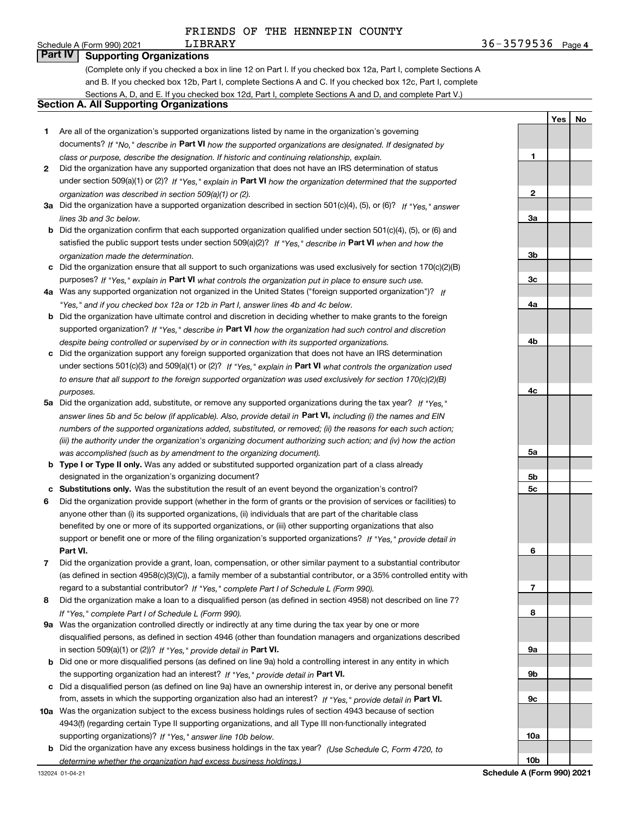**1**

**Yes**

**No**

## Schedule A (Form 990) 2021 LIBRARY

**Part IV Supporting Organizations**

(Complete only if you checked a box in line 12 on Part I. If you checked box 12a, Part I, complete Sections A and B. If you checked box 12b, Part I, complete Sections A and C. If you checked box 12c, Part I, complete Sections A, D, and E. If you checked box 12d, Part I, complete Sections A and D, and complete Part V.)

### **Section A. All Supporting Organizations**

- **1** Are all of the organization's supported organizations listed by name in the organization's governing documents? If "No," describe in **Part VI** how the supported organizations are designated. If designated by *class or purpose, describe the designation. If historic and continuing relationship, explain.*
- **2** Did the organization have any supported organization that does not have an IRS determination of status under section 509(a)(1) or (2)? If "Yes," explain in Part VI how the organization determined that the supported *organization was described in section 509(a)(1) or (2).*
- **3a** Did the organization have a supported organization described in section 501(c)(4), (5), or (6)? If "Yes," answer *lines 3b and 3c below.*
- **b** Did the organization confirm that each supported organization qualified under section 501(c)(4), (5), or (6) and satisfied the public support tests under section 509(a)(2)? If "Yes," describe in **Part VI** when and how the *organization made the determination.*
- **c**Did the organization ensure that all support to such organizations was used exclusively for section 170(c)(2)(B) purposes? If "Yes," explain in **Part VI** what controls the organization put in place to ensure such use.
- **4a***If* Was any supported organization not organized in the United States ("foreign supported organization")? *"Yes," and if you checked box 12a or 12b in Part I, answer lines 4b and 4c below.*
- **b** Did the organization have ultimate control and discretion in deciding whether to make grants to the foreign supported organization? If "Yes," describe in **Part VI** how the organization had such control and discretion *despite being controlled or supervised by or in connection with its supported organizations.*
- **c** Did the organization support any foreign supported organization that does not have an IRS determination under sections 501(c)(3) and 509(a)(1) or (2)? If "Yes," explain in **Part VI** what controls the organization used *to ensure that all support to the foreign supported organization was used exclusively for section 170(c)(2)(B) purposes.*
- **5a***If "Yes,"* Did the organization add, substitute, or remove any supported organizations during the tax year? answer lines 5b and 5c below (if applicable). Also, provide detail in **Part VI,** including (i) the names and EIN *numbers of the supported organizations added, substituted, or removed; (ii) the reasons for each such action; (iii) the authority under the organization's organizing document authorizing such action; and (iv) how the action was accomplished (such as by amendment to the organizing document).*
- **b** Type I or Type II only. Was any added or substituted supported organization part of a class already designated in the organization's organizing document?
- **cSubstitutions only.**  Was the substitution the result of an event beyond the organization's control?
- **6** Did the organization provide support (whether in the form of grants or the provision of services or facilities) to **Part VI.** *If "Yes," provide detail in* support or benefit one or more of the filing organization's supported organizations? anyone other than (i) its supported organizations, (ii) individuals that are part of the charitable class benefited by one or more of its supported organizations, or (iii) other supporting organizations that also
- **7**Did the organization provide a grant, loan, compensation, or other similar payment to a substantial contributor regard to a substantial contributor? If "Yes," complete Part I of Schedule L (Form 990). (as defined in section 4958(c)(3)(C)), a family member of a substantial contributor, or a 35% controlled entity with
- **8** Did the organization make a loan to a disqualified person (as defined in section 4958) not described on line 7? *If "Yes," complete Part I of Schedule L (Form 990).*
- **9a** Was the organization controlled directly or indirectly at any time during the tax year by one or more in section 509(a)(1) or (2))? If "Yes," *provide detail in* <code>Part VI.</code> disqualified persons, as defined in section 4946 (other than foundation managers and organizations described
- **b** Did one or more disqualified persons (as defined on line 9a) hold a controlling interest in any entity in which the supporting organization had an interest? If "Yes," provide detail in P**art VI**.
- **c**Did a disqualified person (as defined on line 9a) have an ownership interest in, or derive any personal benefit from, assets in which the supporting organization also had an interest? If "Yes," provide detail in P**art VI.**
- **10a** Was the organization subject to the excess business holdings rules of section 4943 because of section supporting organizations)? If "Yes," answer line 10b below. 4943(f) (regarding certain Type II supporting organizations, and all Type III non-functionally integrated
- **b** Did the organization have any excess business holdings in the tax year? (Use Schedule C, Form 4720, to *determine whether the organization had excess business holdings.)*

**23a3b3c4a4b4c5a5b5c6789a 9b9c10a**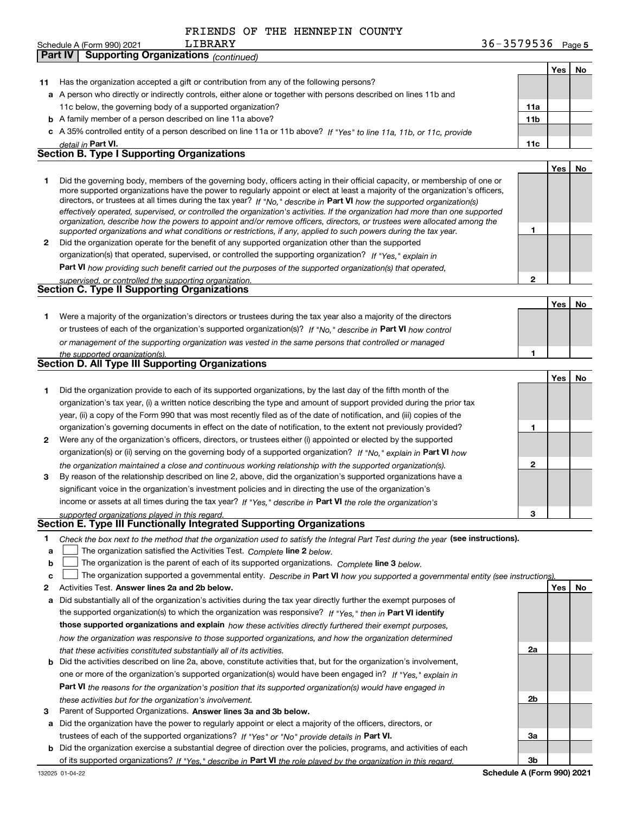|              | LIBRARY<br>Schedule A (Form 990) 2021                                                                                                                                                                                                                                                                                                                                                                                                                                                                                                                                                                                                                | 36-3579536 $_{Page 5}$ |            |    |
|--------------|------------------------------------------------------------------------------------------------------------------------------------------------------------------------------------------------------------------------------------------------------------------------------------------------------------------------------------------------------------------------------------------------------------------------------------------------------------------------------------------------------------------------------------------------------------------------------------------------------------------------------------------------------|------------------------|------------|----|
|              | Part IV<br><b>Supporting Organizations (continued)</b>                                                                                                                                                                                                                                                                                                                                                                                                                                                                                                                                                                                               |                        |            |    |
|              |                                                                                                                                                                                                                                                                                                                                                                                                                                                                                                                                                                                                                                                      |                        | Yes        | No |
| 11           | Has the organization accepted a gift or contribution from any of the following persons?                                                                                                                                                                                                                                                                                                                                                                                                                                                                                                                                                              |                        |            |    |
|              | a A person who directly or indirectly controls, either alone or together with persons described on lines 11b and                                                                                                                                                                                                                                                                                                                                                                                                                                                                                                                                     |                        |            |    |
|              | 11c below, the governing body of a supported organization?                                                                                                                                                                                                                                                                                                                                                                                                                                                                                                                                                                                           | 11a                    |            |    |
|              | <b>b</b> A family member of a person described on line 11a above?                                                                                                                                                                                                                                                                                                                                                                                                                                                                                                                                                                                    | 11 <sub>b</sub>        |            |    |
|              | c A 35% controlled entity of a person described on line 11a or 11b above? If "Yes" to line 11a, 11b, or 11c, provide                                                                                                                                                                                                                                                                                                                                                                                                                                                                                                                                 |                        |            |    |
|              | detail in Part VI.                                                                                                                                                                                                                                                                                                                                                                                                                                                                                                                                                                                                                                   | 11c                    |            |    |
|              | <b>Section B. Type I Supporting Organizations</b>                                                                                                                                                                                                                                                                                                                                                                                                                                                                                                                                                                                                    |                        |            |    |
|              |                                                                                                                                                                                                                                                                                                                                                                                                                                                                                                                                                                                                                                                      |                        | Yes        | No |
| 1            | Did the governing body, members of the governing body, officers acting in their official capacity, or membership of one or<br>more supported organizations have the power to regularly appoint or elect at least a majority of the organization's officers,<br>directors, or trustees at all times during the tax year? If "No," describe in Part VI how the supported organization(s)<br>effectively operated, supervised, or controlled the organization's activities. If the organization had more than one supported<br>organization, describe how the powers to appoint and/or remove officers, directors, or trustees were allocated among the |                        |            |    |
|              | supported organizations and what conditions or restrictions, if any, applied to such powers during the tax year.                                                                                                                                                                                                                                                                                                                                                                                                                                                                                                                                     | 1                      |            |    |
| $\mathbf{2}$ | Did the organization operate for the benefit of any supported organization other than the supported                                                                                                                                                                                                                                                                                                                                                                                                                                                                                                                                                  |                        |            |    |
|              | organization(s) that operated, supervised, or controlled the supporting organization? If "Yes," explain in                                                                                                                                                                                                                                                                                                                                                                                                                                                                                                                                           |                        |            |    |
|              | Part VI how providing such benefit carried out the purposes of the supported organization(s) that operated,                                                                                                                                                                                                                                                                                                                                                                                                                                                                                                                                          |                        |            |    |
|              | supervised, or controlled the supporting organization.                                                                                                                                                                                                                                                                                                                                                                                                                                                                                                                                                                                               | $\mathbf{2}$           |            |    |
|              | <b>Section C. Type II Supporting Organizations</b>                                                                                                                                                                                                                                                                                                                                                                                                                                                                                                                                                                                                   |                        |            |    |
|              |                                                                                                                                                                                                                                                                                                                                                                                                                                                                                                                                                                                                                                                      |                        | <b>Yes</b> | No |
| 1            | Were a majority of the organization's directors or trustees during the tax year also a majority of the directors                                                                                                                                                                                                                                                                                                                                                                                                                                                                                                                                     |                        |            |    |
|              | or trustees of each of the organization's supported organization(s)? If "No," describe in Part VI how control                                                                                                                                                                                                                                                                                                                                                                                                                                                                                                                                        |                        |            |    |
|              | or management of the supporting organization was vested in the same persons that controlled or managed                                                                                                                                                                                                                                                                                                                                                                                                                                                                                                                                               |                        |            |    |
|              | the supported organization(s).                                                                                                                                                                                                                                                                                                                                                                                                                                                                                                                                                                                                                       | 1                      |            |    |
|              | <b>Section D. All Type III Supporting Organizations</b>                                                                                                                                                                                                                                                                                                                                                                                                                                                                                                                                                                                              |                        |            |    |
|              |                                                                                                                                                                                                                                                                                                                                                                                                                                                                                                                                                                                                                                                      |                        | Yes        | No |
| 1            | Did the organization provide to each of its supported organizations, by the last day of the fifth month of the                                                                                                                                                                                                                                                                                                                                                                                                                                                                                                                                       |                        |            |    |
|              | organization's tax year, (i) a written notice describing the type and amount of support provided during the prior tax                                                                                                                                                                                                                                                                                                                                                                                                                                                                                                                                |                        |            |    |
|              | year, (ii) a copy of the Form 990 that was most recently filed as of the date of notification, and (iii) copies of the                                                                                                                                                                                                                                                                                                                                                                                                                                                                                                                               |                        |            |    |
|              | organization's governing documents in effect on the date of notification, to the extent not previously provided?                                                                                                                                                                                                                                                                                                                                                                                                                                                                                                                                     | 1                      |            |    |
| 2            | Were any of the organization's officers, directors, or trustees either (i) appointed or elected by the supported                                                                                                                                                                                                                                                                                                                                                                                                                                                                                                                                     |                        |            |    |
|              | organization(s) or (ii) serving on the governing body of a supported organization? If "No," explain in Part VI how                                                                                                                                                                                                                                                                                                                                                                                                                                                                                                                                   |                        |            |    |
|              | the organization maintained a close and continuous working relationship with the supported organization(s).                                                                                                                                                                                                                                                                                                                                                                                                                                                                                                                                          | $\mathbf{2}$           |            |    |
| З.           | By reason of the relationship described on line 2, above, did the organization's supported organizations have a                                                                                                                                                                                                                                                                                                                                                                                                                                                                                                                                      |                        |            |    |
|              | significant voice in the organization's investment policies and in directing the use of the organization's                                                                                                                                                                                                                                                                                                                                                                                                                                                                                                                                           |                        |            |    |
|              | income or assets at all times during the tax year? If "Yes," describe in Part VI the role the organization's                                                                                                                                                                                                                                                                                                                                                                                                                                                                                                                                         |                        |            |    |
|              | supported organizations played in this regard.                                                                                                                                                                                                                                                                                                                                                                                                                                                                                                                                                                                                       | 3                      |            |    |
|              |                                                                                                                                                                                                                                                                                                                                                                                                                                                                                                                                                                                                                                                      |                        |            |    |

## *supported organizations played in this regard.* **Section E. Type III Functionally Integrated Supporting Organizations**

|  | Check the box next to the method that the organization used to satisfy the Integral Part Test during the year (see instructions). |  |  |  |
|--|-----------------------------------------------------------------------------------------------------------------------------------|--|--|--|
|--|-----------------------------------------------------------------------------------------------------------------------------------|--|--|--|

- **alinupy** The organization satisfied the Activities Test. Complete line 2 below.
- **bThe organization is the parent of each of its supported organizations. Complete line 3 below.**

|  | $\mathbf{c}$ The organization supported a governmental entity. Describe in Part VI how you supported a governmental entity (see instructions). |  |  |  |  |
|--|------------------------------------------------------------------------------------------------------------------------------------------------|--|--|--|--|
|--|------------------------------------------------------------------------------------------------------------------------------------------------|--|--|--|--|

- **2Answer lines 2a and 2b below. Yes No** Activities Test.
- **a** Did substantially all of the organization's activities during the tax year directly further the exempt purposes of the supported organization(s) to which the organization was responsive? If "Yes," then in **Part VI identify those supported organizations and explain**  *how these activities directly furthered their exempt purposes, how the organization was responsive to those supported organizations, and how the organization determined that these activities constituted substantially all of its activities.*
- **b** Did the activities described on line 2a, above, constitute activities that, but for the organization's involvement, **Part VI**  *the reasons for the organization's position that its supported organization(s) would have engaged in* one or more of the organization's supported organization(s) would have been engaged in? If "Yes," e*xplain in these activities but for the organization's involvement.*
- **3** Parent of Supported Organizations. Answer lines 3a and 3b below.
- **a** Did the organization have the power to regularly appoint or elect a majority of the officers, directors, or trustees of each of the supported organizations? If "Yes" or "No" provide details in **Part VI.**
- **b** Did the organization exercise a substantial degree of direction over the policies, programs, and activities of each of its supported organizations? If "Yes," describe in Part VI the role played by the organization in this regard.

**2a**

**2b**

**3a**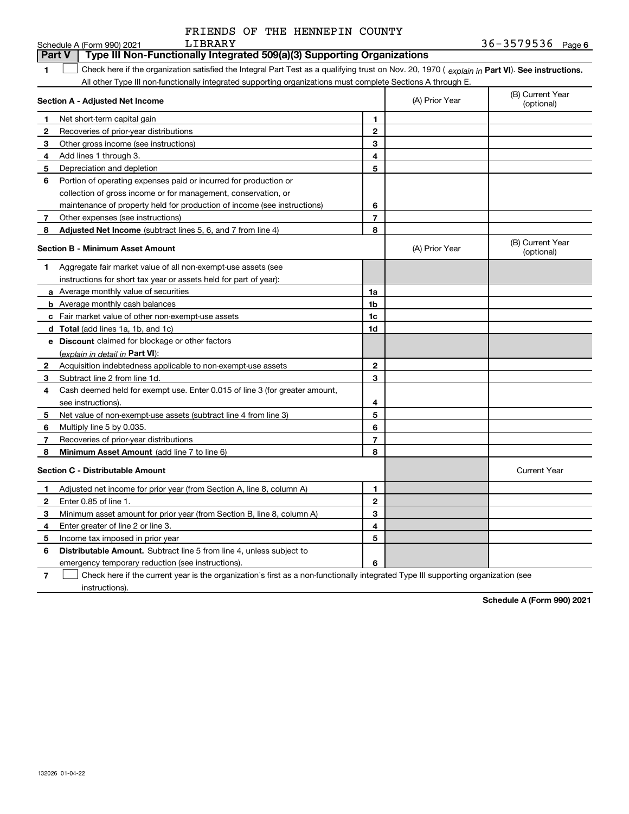|                | LIBRARY<br>Schedule A (Form 990) 2021                                                                                                          |                |                | $36 - 3579536$ Page 6          |
|----------------|------------------------------------------------------------------------------------------------------------------------------------------------|----------------|----------------|--------------------------------|
|                | Type III Non-Functionally Integrated 509(a)(3) Supporting Organizations<br><b>Part V</b>                                                       |                |                |                                |
| 1.             | Check here if the organization satisfied the Integral Part Test as a qualifying trust on Nov. 20, 1970 (explain in Part VI). See instructions. |                |                |                                |
|                | All other Type III non-functionally integrated supporting organizations must complete Sections A through E.                                    |                |                |                                |
|                | <b>Section A - Adjusted Net Income</b>                                                                                                         |                | (A) Prior Year | (B) Current Year<br>(optional) |
| 1.             | Net short-term capital gain                                                                                                                    | $\mathbf{1}$   |                |                                |
| $\mathbf{2}$   | Recoveries of prior-year distributions                                                                                                         | $\mathbf{2}$   |                |                                |
| 3              | Other gross income (see instructions)                                                                                                          | 3              |                |                                |
| 4              | Add lines 1 through 3.                                                                                                                         | 4              |                |                                |
| 5.             | Depreciation and depletion                                                                                                                     | 5              |                |                                |
| 6              | Portion of operating expenses paid or incurred for production or                                                                               |                |                |                                |
|                | collection of gross income or for management, conservation, or                                                                                 |                |                |                                |
|                | maintenance of property held for production of income (see instructions)                                                                       | 6              |                |                                |
| 7              | Other expenses (see instructions)                                                                                                              | $\overline{7}$ |                |                                |
| 8              | <b>Adjusted Net Income</b> (subtract lines 5, 6, and 7 from line 4)                                                                            | 8              |                |                                |
|                | <b>Section B - Minimum Asset Amount</b>                                                                                                        |                | (A) Prior Year | (B) Current Year<br>(optional) |
| 1.             | Aggregate fair market value of all non-exempt-use assets (see                                                                                  |                |                |                                |
|                | instructions for short tax year or assets held for part of year):                                                                              |                |                |                                |
|                | a Average monthly value of securities                                                                                                          | 1a             |                |                                |
|                | <b>b</b> Average monthly cash balances                                                                                                         | 1 <sub>b</sub> |                |                                |
|                | c Fair market value of other non-exempt-use assets                                                                                             | 1c             |                |                                |
|                | d Total (add lines 1a, 1b, and 1c)                                                                                                             | 1d             |                |                                |
|                | <b>e</b> Discount claimed for blockage or other factors                                                                                        |                |                |                                |
|                | (explain in detail in Part VI):                                                                                                                |                |                |                                |
| 2              | Acquisition indebtedness applicable to non-exempt-use assets                                                                                   | $\mathbf{2}$   |                |                                |
| 3              | Subtract line 2 from line 1d.                                                                                                                  | 3              |                |                                |
| 4              | Cash deemed held for exempt use. Enter 0.015 of line 3 (for greater amount,                                                                    |                |                |                                |
|                | see instructions).                                                                                                                             | 4              |                |                                |
| 5              | Net value of non-exempt-use assets (subtract line 4 from line 3)                                                                               | 5              |                |                                |
| 6              | Multiply line 5 by 0.035.                                                                                                                      | 6              |                |                                |
| $\overline{7}$ | Recoveries of prior-year distributions                                                                                                         | $\overline{7}$ |                |                                |
| 8              | <b>Minimum Asset Amount</b> (add line 7 to line 6)                                                                                             | 8              |                |                                |
|                | <b>Section C - Distributable Amount</b>                                                                                                        |                |                | <b>Current Year</b>            |
| 1              | Adjusted net income for prior year (from Section A, line 8, column A)                                                                          | 1              |                |                                |
| $\mathbf{2}$   | Enter 0.85 of line 1.                                                                                                                          | $\mathbf{2}$   |                |                                |
| 3              | Minimum asset amount for prior year (from Section B, line 8, column A)                                                                         | 3              |                |                                |
| 4              | Enter greater of line 2 or line 3.                                                                                                             | 4              |                |                                |
| 5              | Income tax imposed in prior year                                                                                                               | 5              |                |                                |
| 6              | <b>Distributable Amount.</b> Subtract line 5 from line 4, unless subject to                                                                    |                |                |                                |
|                | emergency temporary reduction (see instructions).                                                                                              | 6              |                |                                |
|                |                                                                                                                                                |                |                |                                |

**7** Check here if the current year is the organization's first as a non-functionally integrated Type III supporting organization (see instructions).

**Schedule A (Form 990) 2021**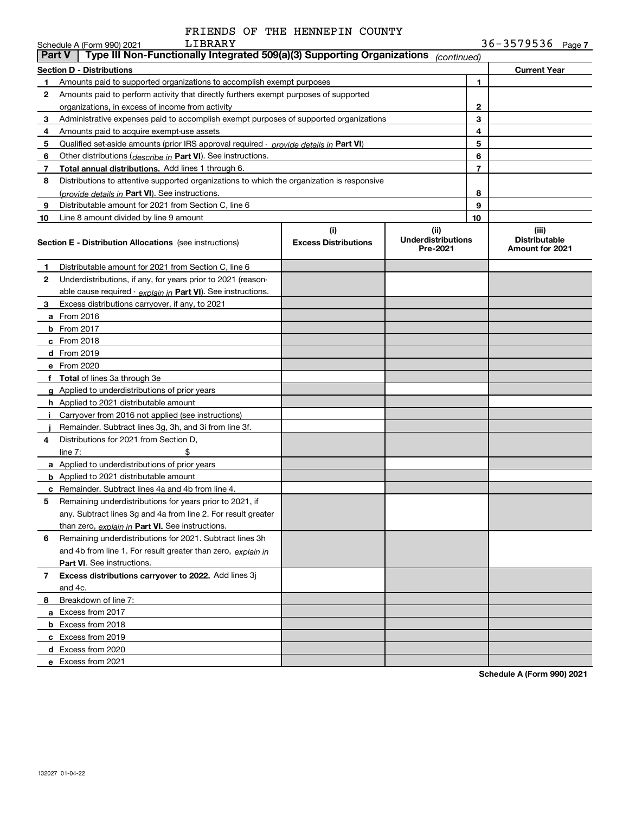|               | LIBRARY<br>Schedule A (Form 990) 2021                                                         |                                    |                                               |                | $36 - 3579536$ Page 7                            |
|---------------|-----------------------------------------------------------------------------------------------|------------------------------------|-----------------------------------------------|----------------|--------------------------------------------------|
| <b>Part V</b> | Type III Non-Functionally Integrated 509(a)(3) Supporting Organizations                       |                                    | (continued)                                   |                |                                                  |
|               | Section D - Distributions                                                                     |                                    |                                               |                | <b>Current Year</b>                              |
| 1.            | Amounts paid to supported organizations to accomplish exempt purposes                         |                                    |                                               | 1              |                                                  |
| 2             | Amounts paid to perform activity that directly furthers exempt purposes of supported          |                                    |                                               |                |                                                  |
|               | organizations, in excess of income from activity                                              |                                    | $\mathbf{2}$                                  |                |                                                  |
| 3             | Administrative expenses paid to accomplish exempt purposes of supported organizations         |                                    |                                               | 3              |                                                  |
| 4             | Amounts paid to acquire exempt-use assets                                                     |                                    |                                               | 4              |                                                  |
| 5             | Qualified set-aside amounts (prior IRS approval required - <i>provide details in</i> Part VI) |                                    |                                               | 5              |                                                  |
| 6             | Other distributions ( <i>describe in</i> Part VI). See instructions.                          |                                    |                                               | 6              |                                                  |
| 7             | Total annual distributions. Add lines 1 through 6.                                            |                                    |                                               | $\overline{7}$ |                                                  |
| 8             | Distributions to attentive supported organizations to which the organization is responsive    |                                    |                                               |                |                                                  |
|               | (provide details in Part VI). See instructions.                                               |                                    |                                               | 8              |                                                  |
| 9             | Distributable amount for 2021 from Section C, line 6                                          |                                    |                                               | 9              |                                                  |
| 10            | Line 8 amount divided by line 9 amount                                                        |                                    |                                               | 10             |                                                  |
|               | <b>Section E - Distribution Allocations</b> (see instructions)                                | (i)<br><b>Excess Distributions</b> | (ii)<br><b>Underdistributions</b><br>Pre-2021 |                | (iii)<br><b>Distributable</b><br>Amount for 2021 |
| 1.            | Distributable amount for 2021 from Section C, line 6                                          |                                    |                                               |                |                                                  |
| 2             | Underdistributions, if any, for years prior to 2021 (reason-                                  |                                    |                                               |                |                                                  |
|               | able cause required - explain in Part VI). See instructions.                                  |                                    |                                               |                |                                                  |
| 3             | Excess distributions carryover, if any, to 2021                                               |                                    |                                               |                |                                                  |
|               | <b>a</b> From 2016                                                                            |                                    |                                               |                |                                                  |
|               | <b>b</b> From 2017                                                                            |                                    |                                               |                |                                                  |
|               | <b>c</b> From 2018                                                                            |                                    |                                               |                |                                                  |
|               | d From 2019                                                                                   |                                    |                                               |                |                                                  |
|               | e From 2020                                                                                   |                                    |                                               |                |                                                  |
|               | f Total of lines 3a through 3e                                                                |                                    |                                               |                |                                                  |
|               | g Applied to underdistributions of prior years                                                |                                    |                                               |                |                                                  |
|               | <b>h</b> Applied to 2021 distributable amount                                                 |                                    |                                               |                |                                                  |
| Ť.            | Carryover from 2016 not applied (see instructions)                                            |                                    |                                               |                |                                                  |
|               | Remainder. Subtract lines 3g, 3h, and 3i from line 3f.                                        |                                    |                                               |                |                                                  |
| 4             | Distributions for 2021 from Section D.                                                        |                                    |                                               |                |                                                  |
|               | \$<br>line $7:$                                                                               |                                    |                                               |                |                                                  |
|               | a Applied to underdistributions of prior years                                                |                                    |                                               |                |                                                  |
|               | <b>b</b> Applied to 2021 distributable amount                                                 |                                    |                                               |                |                                                  |
|               | <b>c</b> Remainder. Subtract lines 4a and 4b from line 4.                                     |                                    |                                               |                |                                                  |
|               | Remaining underdistributions for years prior to 2021, if                                      |                                    |                                               |                |                                                  |
|               | any. Subtract lines 3g and 4a from line 2. For result greater                                 |                                    |                                               |                |                                                  |
|               | than zero, explain in Part VI. See instructions.                                              |                                    |                                               |                |                                                  |
| 6             | Remaining underdistributions for 2021. Subtract lines 3h                                      |                                    |                                               |                |                                                  |
|               | and 4b from line 1. For result greater than zero, explain in                                  |                                    |                                               |                |                                                  |
|               | Part VI. See instructions.                                                                    |                                    |                                               |                |                                                  |
| 7             | Excess distributions carryover to 2022. Add lines 3j                                          |                                    |                                               |                |                                                  |
|               | and 4c.                                                                                       |                                    |                                               |                |                                                  |
| 8             | Breakdown of line 7:                                                                          |                                    |                                               |                |                                                  |
|               | a Excess from 2017                                                                            |                                    |                                               |                |                                                  |
|               | <b>b</b> Excess from 2018                                                                     |                                    |                                               |                |                                                  |
|               | c Excess from 2019                                                                            |                                    |                                               |                |                                                  |
|               | d Excess from 2020                                                                            |                                    |                                               |                |                                                  |
|               | e Excess from 2021                                                                            |                                    |                                               |                |                                                  |
|               |                                                                                               |                                    |                                               |                |                                                  |

**Schedule A (Form 990) 2021**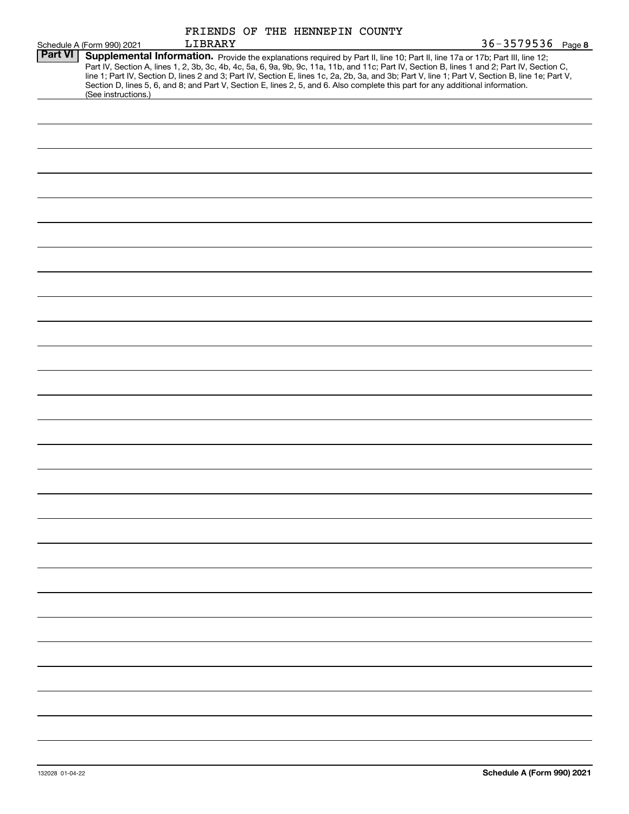|                |                                                                                                                                                                                                                                                                                         |         |  | FRIENDS OF THE HENNEPIN COUNTY |  |                                                                                                                                                                                                                                                                                                  |
|----------------|-----------------------------------------------------------------------------------------------------------------------------------------------------------------------------------------------------------------------------------------------------------------------------------------|---------|--|--------------------------------|--|--------------------------------------------------------------------------------------------------------------------------------------------------------------------------------------------------------------------------------------------------------------------------------------------------|
|                | Schedule A (Form 990) 2021                                                                                                                                                                                                                                                              | LIBRARY |  |                                |  | 36-3579536 Page 8                                                                                                                                                                                                                                                                                |
| <b>Part VI</b> | Supplemental Information. Provide the explanations required by Part II, line 10; Part II, line 17a or 17b; Part III, line 12;<br>Section D, lines 5, 6, and 8; and Part V, Section E, lines 2, 5, and 6. Also complete this part for any additional information.<br>(See instructions.) |         |  |                                |  | Part IV, Section A, lines 1, 2, 3b, 3c, 4b, 4c, 5a, 6, 9a, 9b, 9c, 11a, 11b, and 11c; Part IV, Section B, lines 1 and 2; Part IV, Section C,<br>line 1; Part IV, Section D, lines 2 and 3; Part IV, Section E, lines 1c, 2a, 2b, 3a, and 3b; Part V, line 1; Part V, Section B, line 1e; Part V, |
|                |                                                                                                                                                                                                                                                                                         |         |  |                                |  |                                                                                                                                                                                                                                                                                                  |
|                |                                                                                                                                                                                                                                                                                         |         |  |                                |  |                                                                                                                                                                                                                                                                                                  |
|                |                                                                                                                                                                                                                                                                                         |         |  |                                |  |                                                                                                                                                                                                                                                                                                  |
|                |                                                                                                                                                                                                                                                                                         |         |  |                                |  |                                                                                                                                                                                                                                                                                                  |
|                |                                                                                                                                                                                                                                                                                         |         |  |                                |  |                                                                                                                                                                                                                                                                                                  |
|                |                                                                                                                                                                                                                                                                                         |         |  |                                |  |                                                                                                                                                                                                                                                                                                  |
|                |                                                                                                                                                                                                                                                                                         |         |  |                                |  |                                                                                                                                                                                                                                                                                                  |
|                |                                                                                                                                                                                                                                                                                         |         |  |                                |  |                                                                                                                                                                                                                                                                                                  |
|                |                                                                                                                                                                                                                                                                                         |         |  |                                |  |                                                                                                                                                                                                                                                                                                  |
|                |                                                                                                                                                                                                                                                                                         |         |  |                                |  |                                                                                                                                                                                                                                                                                                  |
|                |                                                                                                                                                                                                                                                                                         |         |  |                                |  |                                                                                                                                                                                                                                                                                                  |
|                |                                                                                                                                                                                                                                                                                         |         |  |                                |  |                                                                                                                                                                                                                                                                                                  |
|                |                                                                                                                                                                                                                                                                                         |         |  |                                |  |                                                                                                                                                                                                                                                                                                  |
|                |                                                                                                                                                                                                                                                                                         |         |  |                                |  |                                                                                                                                                                                                                                                                                                  |
|                |                                                                                                                                                                                                                                                                                         |         |  |                                |  |                                                                                                                                                                                                                                                                                                  |
|                |                                                                                                                                                                                                                                                                                         |         |  |                                |  |                                                                                                                                                                                                                                                                                                  |
|                |                                                                                                                                                                                                                                                                                         |         |  |                                |  |                                                                                                                                                                                                                                                                                                  |
|                |                                                                                                                                                                                                                                                                                         |         |  |                                |  |                                                                                                                                                                                                                                                                                                  |
|                |                                                                                                                                                                                                                                                                                         |         |  |                                |  |                                                                                                                                                                                                                                                                                                  |
|                |                                                                                                                                                                                                                                                                                         |         |  |                                |  |                                                                                                                                                                                                                                                                                                  |
|                |                                                                                                                                                                                                                                                                                         |         |  |                                |  |                                                                                                                                                                                                                                                                                                  |
|                |                                                                                                                                                                                                                                                                                         |         |  |                                |  |                                                                                                                                                                                                                                                                                                  |
|                |                                                                                                                                                                                                                                                                                         |         |  |                                |  |                                                                                                                                                                                                                                                                                                  |
|                |                                                                                                                                                                                                                                                                                         |         |  |                                |  |                                                                                                                                                                                                                                                                                                  |
|                |                                                                                                                                                                                                                                                                                         |         |  |                                |  |                                                                                                                                                                                                                                                                                                  |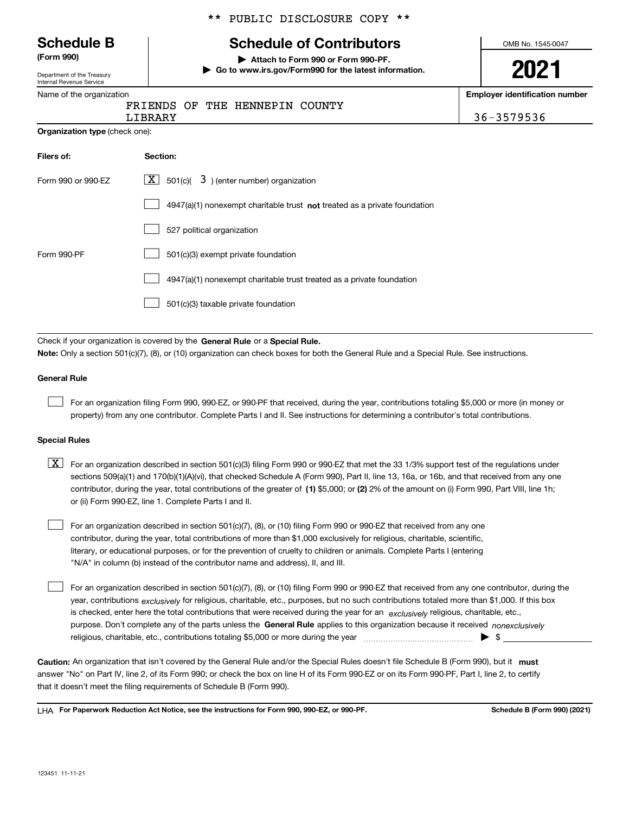|                                                      | ** PUBLIC DISCLOSURE COPY **                                                                |                                       |
|------------------------------------------------------|---------------------------------------------------------------------------------------------|---------------------------------------|
| <b>Schedule B</b>                                    | <b>Schedule of Contributors</b>                                                             | OMB No. 1545-0047                     |
| (Form 990)<br>Department of the Treasury             | Attach to Form 990 or Form 990-PF.<br>Go to www.irs.gov/Form990 for the latest information. | 2021                                  |
| Internal Revenue Service<br>Name of the organization |                                                                                             | <b>Employer identification number</b> |
|                                                      | FRIENDS OF THE HENNEPIN<br>COUNTY<br>LIBRARY                                                | 36-3579536                            |
| <b>Organization type (check one):</b>                |                                                                                             |                                       |
| Filers of:                                           | Section:                                                                                    |                                       |
| Form 990 or 990-EZ                                   | $\lfloor x \rfloor$ 501(c)( 3) (enter number) organization                                  |                                       |
|                                                      | $4947(a)(1)$ nonexempt charitable trust not treated as a private foundation                 |                                       |
|                                                      | 527 political organization                                                                  |                                       |
| Form 990-PF                                          | 501(c)(3) exempt private foundation                                                         |                                       |
|                                                      | 4947(a)(1) nonexempt charitable trust treated as a private foundation                       |                                       |
|                                                      | 501(c)(3) taxable private foundation                                                        |                                       |
|                                                      | Check if your organization is covered by the General Rule or a Special Rule.                |                                       |

**Note:**  Only a section 501(c)(7), (8), or (10) organization can check boxes for both the General Rule and a Special Rule. See instructions.

### **General Rule**

For an organization filing Form 990, 990-EZ, or 990-PF that received, during the year, contributions totaling \$5,000 or more (in money or property) from any one contributor. Complete Parts I and II. See instructions for determining a contributor's total contributions.

### **Special Rules**

contributor, during the year, total contributions of the greater of (1**)** \$5,000; or (2) 2% of the amount on (i) Form 990, Part VIII, line 1h;  $\boxed{\textbf{X}}$  For an organization described in section 501(c)(3) filing Form 990 or 990-EZ that met the 33 1/3% support test of the regulations under sections 509(a)(1) and 170(b)(1)(A)(vi), that checked Schedule A (Form 990), Part II, line 13, 16a, or 16b, and that received from any one or (ii) Form 990-EZ, line 1. Complete Parts I and II.

For an organization described in section 501(c)(7), (8), or (10) filing Form 990 or 990-EZ that received from any one contributor, during the year, total contributions of more than \$1,000 exclusively for religious, charitable, scientific, literary, or educational purposes, or for the prevention of cruelty to children or animals. Complete Parts I (entering "N/A" in column (b) instead of the contributor name and address), II, and III.

purpose. Don't complete any of the parts unless the **General Rule** applies to this organization because it received *nonexclusively* year, contributions <sub>exclusively</sub> for religious, charitable, etc., purposes, but no such contributions totaled more than \$1,000. If this box is checked, enter here the total contributions that were received during the year for an  $\;$ exclusively religious, charitable, etc., For an organization described in section 501(c)(7), (8), or (10) filing Form 990 or 990-EZ that received from any one contributor, during the religious, charitable, etc., contributions totaling \$5,000 or more during the year  $~$   $~$   $~$   $~$   $~$   $~$   $\sim$   $~$   $\bullet$   $~$   $\sim$   $~$   $\bullet$   $~$   $\sim$   $~$ 

Caution: An organization that isn't covered by the General Rule and/or the Special Rules doesn't file Schedule B (Form 990), but it **must** answer "No" on Part IV, line 2, of its Form 990; or check the box on line H of its Form 990-EZ or on its Form 990-PF, Part I, line 2, to certify that it doesn't meet the filing requirements of Schedule B (Form 990).

LHA For Paperwork Reduction Act Notice, see the instructions for Form 990, 990-EZ, or 990-PF. **In the act and Schedule B** (Form 990) (2021)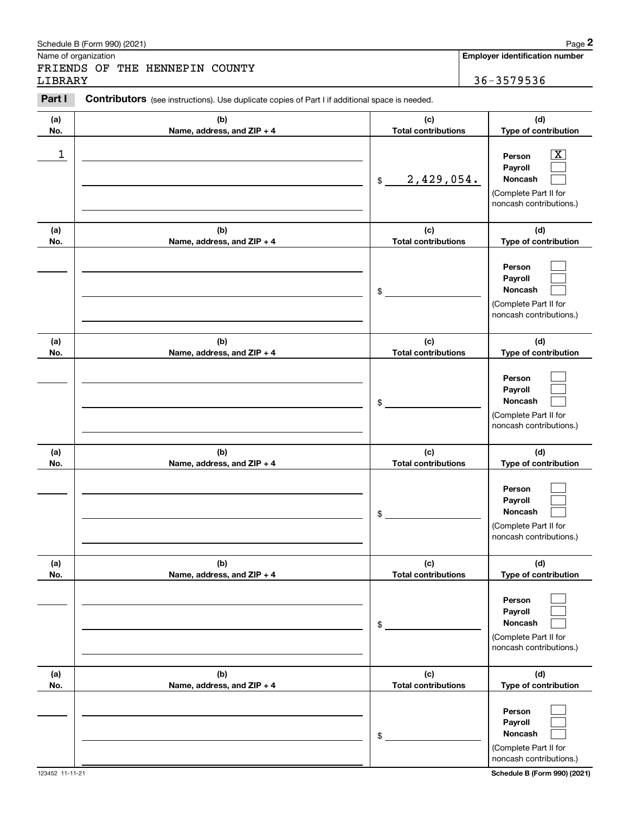|            | Schedule B (Form 990) (2021)                                                                   |                                   | Page 2                                                                                                      |
|------------|------------------------------------------------------------------------------------------------|-----------------------------------|-------------------------------------------------------------------------------------------------------------|
|            | Name of organization                                                                           |                                   | <b>Employer identification number</b>                                                                       |
| LIBRARY    | FRIENDS OF THE HENNEPIN COUNTY                                                                 |                                   | 36-3579536                                                                                                  |
| Part I     | Contributors (see instructions). Use duplicate copies of Part I if additional space is needed. |                                   |                                                                                                             |
| (a)<br>No. | (b)<br>Name, address, and ZIP + 4                                                              | (c)<br><b>Total contributions</b> | (d)<br>Type of contribution                                                                                 |
| 1          |                                                                                                | 2,429,054.<br>\$                  | $\overline{\mathbf{X}}$<br>Person<br>Payroll<br>Noncash<br>(Complete Part II for<br>noncash contributions.) |
| (a)<br>No. | (b)<br>Name, address, and ZIP + 4                                                              | (c)<br><b>Total contributions</b> | (d)<br>Type of contribution                                                                                 |
|            |                                                                                                | \$                                | Person<br>Payroll<br>Noncash<br>(Complete Part II for<br>noncash contributions.)                            |
| (a)<br>No. | (b)<br>Name, address, and ZIP + 4                                                              | (c)<br><b>Total contributions</b> | (d)<br>Type of contribution                                                                                 |
|            |                                                                                                | \$                                | Person<br>Payroll<br>Noncash<br>(Complete Part II for<br>noncash contributions.)                            |
| (a)<br>No. | (b)<br>Name, address, and ZIP + 4                                                              | (c)<br><b>Total contributions</b> | (d)<br>Type of contribution                                                                                 |
|            |                                                                                                | \$                                | Person<br>Payroll<br>Noncash<br>(Complete Part II for<br>noncash contributions.)                            |
| (a)<br>No. | (b)<br>Name, address, and ZIP + 4                                                              | (c)<br><b>Total contributions</b> | (d)<br>Type of contribution                                                                                 |
|            |                                                                                                | \$                                | Person<br>Payroll<br>Noncash<br>(Complete Part II for<br>noncash contributions.)                            |
| (a)<br>No. | (b)<br>Name, address, and ZIP + 4                                                              | (c)<br><b>Total contributions</b> | (d)<br>Type of contribution                                                                                 |
|            |                                                                                                | \$                                | Person<br>Payroll<br>Noncash<br>(Complete Part II for<br>noncash contributions.)                            |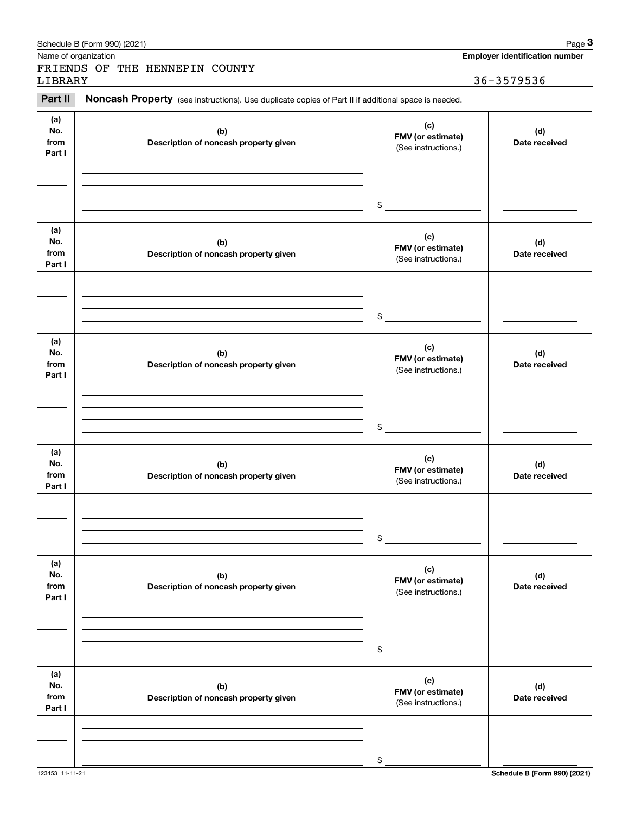|                | Schedule B (Form 990) (2021)                                                                        |                                          | Page 3                                |
|----------------|-----------------------------------------------------------------------------------------------------|------------------------------------------|---------------------------------------|
|                | Name of organization                                                                                |                                          | <b>Employer identification number</b> |
|                | FRIENDS OF THE HENNEPIN COUNTY                                                                      |                                          | 36-3579536                            |
| LIBRARY        |                                                                                                     |                                          |                                       |
| Part II        | Noncash Property (see instructions). Use duplicate copies of Part II if additional space is needed. |                                          |                                       |
| (a)            |                                                                                                     | (c)                                      |                                       |
| No.            | (b)                                                                                                 | FMV (or estimate)                        | (d)                                   |
| from           | Description of noncash property given                                                               | (See instructions.)                      | Date received                         |
| Part I         |                                                                                                     |                                          |                                       |
|                |                                                                                                     |                                          |                                       |
|                |                                                                                                     |                                          |                                       |
|                |                                                                                                     | \$                                       |                                       |
|                |                                                                                                     |                                          |                                       |
| (a)            |                                                                                                     | (c)                                      |                                       |
| No.            | (b)                                                                                                 | FMV (or estimate)                        | (d)                                   |
| from<br>Part I | Description of noncash property given                                                               | (See instructions.)                      | Date received                         |
|                |                                                                                                     |                                          |                                       |
|                |                                                                                                     |                                          |                                       |
|                |                                                                                                     |                                          |                                       |
|                |                                                                                                     | \$                                       |                                       |
|                |                                                                                                     |                                          |                                       |
| (a)            |                                                                                                     | (c)                                      |                                       |
| No.<br>from    | (b)                                                                                                 | FMV (or estimate)                        | (d)                                   |
| Part I         | Description of noncash property given                                                               | (See instructions.)                      | Date received                         |
|                |                                                                                                     |                                          |                                       |
|                |                                                                                                     |                                          |                                       |
|                |                                                                                                     |                                          |                                       |
|                |                                                                                                     | \$                                       |                                       |
| (a)            |                                                                                                     |                                          |                                       |
| No.            | (b)                                                                                                 | (c)                                      | (d)                                   |
| from           | Description of noncash property given                                                               | FMV (or estimate)<br>(See instructions.) | Date received                         |
| Part I         |                                                                                                     |                                          |                                       |
|                |                                                                                                     |                                          |                                       |
|                |                                                                                                     |                                          |                                       |
|                |                                                                                                     | \$                                       |                                       |
|                |                                                                                                     |                                          |                                       |
| (a)            |                                                                                                     |                                          |                                       |
| No.            | (b)                                                                                                 | (c)<br>FMV (or estimate)                 | (d)                                   |
| from<br>Part I | Description of noncash property given                                                               | (See instructions.)                      | Date received                         |
|                |                                                                                                     |                                          |                                       |
|                |                                                                                                     |                                          |                                       |
|                |                                                                                                     |                                          |                                       |
|                |                                                                                                     | \$                                       |                                       |
|                |                                                                                                     |                                          |                                       |
| (a)            |                                                                                                     | (c)                                      |                                       |
| No.<br>from    | (b)                                                                                                 | FMV (or estimate)                        | (d)                                   |
| Part I         | Description of noncash property given                                                               | (See instructions.)                      | Date received                         |
|                |                                                                                                     |                                          |                                       |
|                |                                                                                                     |                                          |                                       |
|                |                                                                                                     |                                          |                                       |
|                |                                                                                                     | \$                                       |                                       |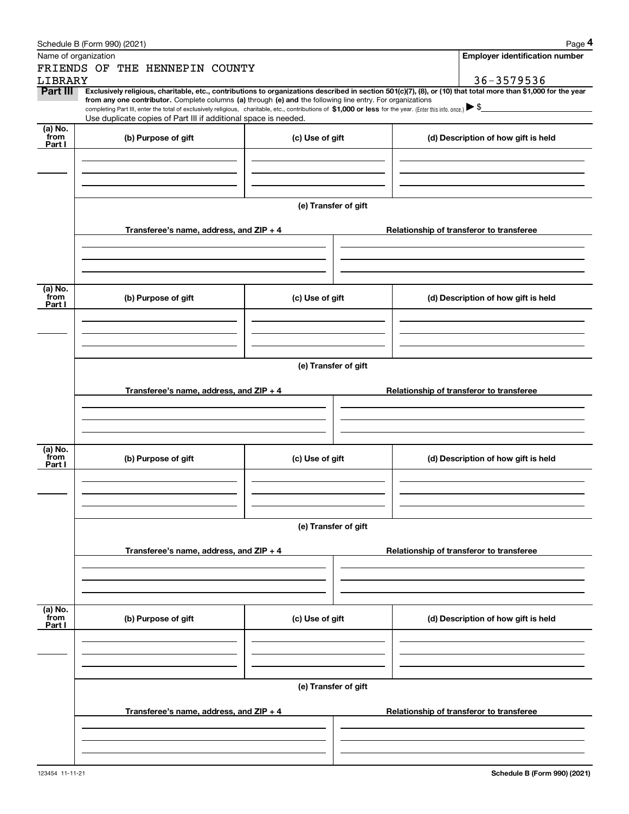|                 | Schedule B (Form 990) (2021)                                                                                                                                 |                      | Page 4                                                                                                                                                         |  |  |  |  |  |  |  |
|-----------------|--------------------------------------------------------------------------------------------------------------------------------------------------------------|----------------------|----------------------------------------------------------------------------------------------------------------------------------------------------------------|--|--|--|--|--|--|--|
|                 | Name of organization                                                                                                                                         |                      | <b>Employer identification number</b>                                                                                                                          |  |  |  |  |  |  |  |
|                 | FRIENDS OF THE HENNEPIN COUNTY                                                                                                                               |                      |                                                                                                                                                                |  |  |  |  |  |  |  |
| LIBRARY         |                                                                                                                                                              |                      | 36-3579536                                                                                                                                                     |  |  |  |  |  |  |  |
| Part III        | from any one contributor. Complete columns (a) through (e) and the following line entry. For organizations                                                   |                      | Exclusively religious, charitable, etc., contributions to organizations described in section 501(c)(7), (8), or (10) that total more than \$1,000 for the year |  |  |  |  |  |  |  |
|                 | completing Part III, enter the total of exclusively religious, charitable, etc., contributions of \$1,000 or less for the year. (Enter this info. once.) \\$ |                      |                                                                                                                                                                |  |  |  |  |  |  |  |
| (a) No.         | Use duplicate copies of Part III if additional space is needed.                                                                                              |                      |                                                                                                                                                                |  |  |  |  |  |  |  |
| from            | (b) Purpose of gift                                                                                                                                          | (c) Use of gift      | (d) Description of how gift is held                                                                                                                            |  |  |  |  |  |  |  |
| Part I          |                                                                                                                                                              |                      |                                                                                                                                                                |  |  |  |  |  |  |  |
|                 |                                                                                                                                                              |                      |                                                                                                                                                                |  |  |  |  |  |  |  |
|                 |                                                                                                                                                              |                      |                                                                                                                                                                |  |  |  |  |  |  |  |
|                 |                                                                                                                                                              |                      |                                                                                                                                                                |  |  |  |  |  |  |  |
|                 |                                                                                                                                                              | (e) Transfer of gift |                                                                                                                                                                |  |  |  |  |  |  |  |
|                 |                                                                                                                                                              |                      |                                                                                                                                                                |  |  |  |  |  |  |  |
|                 | Transferee's name, address, and $ZIP + 4$                                                                                                                    |                      | Relationship of transferor to transferee                                                                                                                       |  |  |  |  |  |  |  |
|                 |                                                                                                                                                              |                      |                                                                                                                                                                |  |  |  |  |  |  |  |
|                 |                                                                                                                                                              |                      |                                                                                                                                                                |  |  |  |  |  |  |  |
|                 |                                                                                                                                                              |                      |                                                                                                                                                                |  |  |  |  |  |  |  |
| (a) No.<br>from |                                                                                                                                                              |                      |                                                                                                                                                                |  |  |  |  |  |  |  |
| Part I          | (b) Purpose of gift                                                                                                                                          | (c) Use of gift      | (d) Description of how gift is held                                                                                                                            |  |  |  |  |  |  |  |
|                 |                                                                                                                                                              |                      |                                                                                                                                                                |  |  |  |  |  |  |  |
|                 |                                                                                                                                                              |                      |                                                                                                                                                                |  |  |  |  |  |  |  |
|                 |                                                                                                                                                              |                      |                                                                                                                                                                |  |  |  |  |  |  |  |
|                 | (e) Transfer of gift                                                                                                                                         |                      |                                                                                                                                                                |  |  |  |  |  |  |  |
|                 |                                                                                                                                                              |                      |                                                                                                                                                                |  |  |  |  |  |  |  |
|                 | Transferee's name, address, and $ZIP + 4$                                                                                                                    |                      | Relationship of transferor to transferee                                                                                                                       |  |  |  |  |  |  |  |
|                 |                                                                                                                                                              |                      |                                                                                                                                                                |  |  |  |  |  |  |  |
|                 |                                                                                                                                                              |                      |                                                                                                                                                                |  |  |  |  |  |  |  |
|                 |                                                                                                                                                              |                      |                                                                                                                                                                |  |  |  |  |  |  |  |
| (a) No.         |                                                                                                                                                              |                      |                                                                                                                                                                |  |  |  |  |  |  |  |
| from<br>Part I  | (b) Purpose of gift                                                                                                                                          | (c) Use of gift      | (d) Description of how gift is held                                                                                                                            |  |  |  |  |  |  |  |
|                 |                                                                                                                                                              |                      |                                                                                                                                                                |  |  |  |  |  |  |  |
|                 |                                                                                                                                                              |                      |                                                                                                                                                                |  |  |  |  |  |  |  |
|                 |                                                                                                                                                              |                      |                                                                                                                                                                |  |  |  |  |  |  |  |
|                 |                                                                                                                                                              |                      |                                                                                                                                                                |  |  |  |  |  |  |  |
|                 |                                                                                                                                                              | (e) Transfer of gift |                                                                                                                                                                |  |  |  |  |  |  |  |
|                 | Transferee's name, address, and $ZIP + 4$                                                                                                                    |                      | Relationship of transferor to transferee                                                                                                                       |  |  |  |  |  |  |  |
|                 |                                                                                                                                                              |                      |                                                                                                                                                                |  |  |  |  |  |  |  |
|                 |                                                                                                                                                              |                      |                                                                                                                                                                |  |  |  |  |  |  |  |
|                 |                                                                                                                                                              |                      |                                                                                                                                                                |  |  |  |  |  |  |  |
|                 |                                                                                                                                                              |                      |                                                                                                                                                                |  |  |  |  |  |  |  |
| (a) No.<br>from | (b) Purpose of gift                                                                                                                                          | (c) Use of gift      | (d) Description of how gift is held                                                                                                                            |  |  |  |  |  |  |  |
| Part I          |                                                                                                                                                              |                      |                                                                                                                                                                |  |  |  |  |  |  |  |
|                 |                                                                                                                                                              |                      |                                                                                                                                                                |  |  |  |  |  |  |  |
|                 |                                                                                                                                                              |                      |                                                                                                                                                                |  |  |  |  |  |  |  |
|                 |                                                                                                                                                              |                      |                                                                                                                                                                |  |  |  |  |  |  |  |
|                 |                                                                                                                                                              | (e) Transfer of gift |                                                                                                                                                                |  |  |  |  |  |  |  |
|                 |                                                                                                                                                              |                      |                                                                                                                                                                |  |  |  |  |  |  |  |
|                 | Transferee's name, address, and $ZIP + 4$                                                                                                                    |                      | Relationship of transferor to transferee                                                                                                                       |  |  |  |  |  |  |  |
|                 |                                                                                                                                                              |                      |                                                                                                                                                                |  |  |  |  |  |  |  |
|                 |                                                                                                                                                              |                      |                                                                                                                                                                |  |  |  |  |  |  |  |
|                 |                                                                                                                                                              |                      |                                                                                                                                                                |  |  |  |  |  |  |  |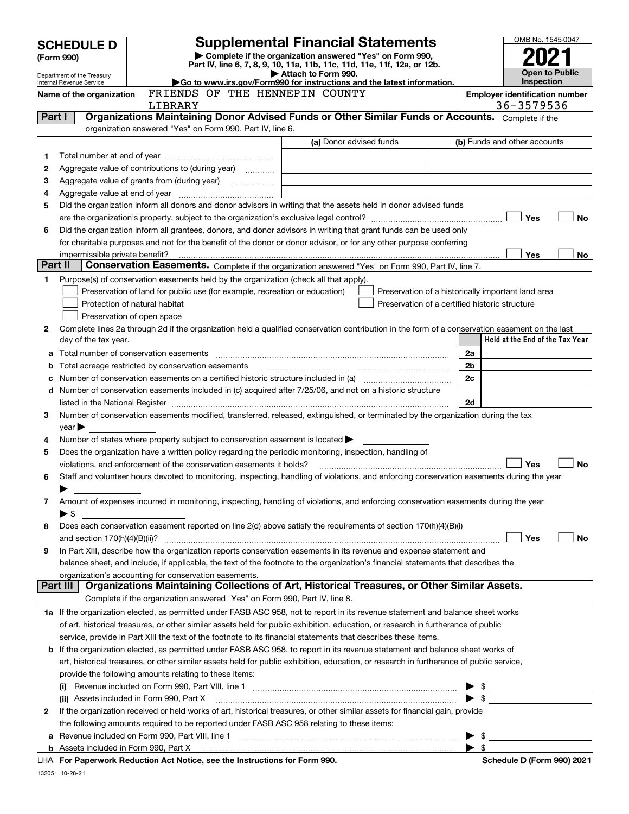|         | <b>SCHEDULE D</b>                                      |                                                                                                        | <b>Supplemental Financial Statements</b>                                                                                                                                                                                                                                        |                          | OMB No. 1545-0047                     |           |
|---------|--------------------------------------------------------|--------------------------------------------------------------------------------------------------------|---------------------------------------------------------------------------------------------------------------------------------------------------------------------------------------------------------------------------------------------------------------------------------|--------------------------|---------------------------------------|-----------|
|         | (Form 990)                                             |                                                                                                        | Complete if the organization answered "Yes" on Form 990,                                                                                                                                                                                                                        |                          |                                       |           |
|         |                                                        |                                                                                                        | Part IV, line 6, 7, 8, 9, 10, 11a, 11b, 11c, 11d, 11e, 11f, 12a, or 12b.                                                                                                                                                                                                        |                          | <b>Open to Public</b>                 |           |
|         | Department of the Treasury<br>Internal Revenue Service |                                                                                                        | Attach to Form 990.<br>Go to www.irs.gov/Form990 for instructions and the latest information.                                                                                                                                                                                   |                          | Inspection                            |           |
|         | Name of the organization                               | FRIENDS OF THE HENNEPIN COUNTY                                                                         |                                                                                                                                                                                                                                                                                 |                          | <b>Employer identification number</b> |           |
|         |                                                        | LIBRARY                                                                                                |                                                                                                                                                                                                                                                                                 |                          | 36-3579536                            |           |
| Part I  |                                                        | organization answered "Yes" on Form 990, Part IV, line 6.                                              | Organizations Maintaining Donor Advised Funds or Other Similar Funds or Accounts. Complete if the                                                                                                                                                                               |                          |                                       |           |
|         |                                                        |                                                                                                        | (a) Donor advised funds                                                                                                                                                                                                                                                         |                          | (b) Funds and other accounts          |           |
| 1       |                                                        |                                                                                                        |                                                                                                                                                                                                                                                                                 |                          |                                       |           |
| 2       |                                                        | Aggregate value of contributions to (during year)                                                      |                                                                                                                                                                                                                                                                                 |                          |                                       |           |
| з       |                                                        |                                                                                                        |                                                                                                                                                                                                                                                                                 |                          |                                       |           |
| 4       |                                                        |                                                                                                        |                                                                                                                                                                                                                                                                                 |                          |                                       |           |
| 5       |                                                        |                                                                                                        | Did the organization inform all donors and donor advisors in writing that the assets held in donor advised funds                                                                                                                                                                |                          |                                       |           |
|         |                                                        |                                                                                                        |                                                                                                                                                                                                                                                                                 |                          | Yes                                   | No        |
| 6       |                                                        |                                                                                                        | Did the organization inform all grantees, donors, and donor advisors in writing that grant funds can be used only                                                                                                                                                               |                          |                                       |           |
|         |                                                        |                                                                                                        | for charitable purposes and not for the benefit of the donor or donor advisor, or for any other purpose conferring                                                                                                                                                              |                          |                                       |           |
|         |                                                        |                                                                                                        |                                                                                                                                                                                                                                                                                 |                          | <b>Yes</b>                            | No        |
| Part II |                                                        |                                                                                                        | Conservation Easements. Complete if the organization answered "Yes" on Form 990, Part IV, line 7.                                                                                                                                                                               |                          |                                       |           |
| 1       |                                                        | Purpose(s) of conservation easements held by the organization (check all that apply).                  |                                                                                                                                                                                                                                                                                 |                          |                                       |           |
|         |                                                        | Preservation of land for public use (for example, recreation or education)                             | Preservation of a historically important land area                                                                                                                                                                                                                              |                          |                                       |           |
|         |                                                        | Protection of natural habitat                                                                          | Preservation of a certified historic structure                                                                                                                                                                                                                                  |                          |                                       |           |
| 2       |                                                        | Preservation of open space                                                                             | Complete lines 2a through 2d if the organization held a qualified conservation contribution in the form of a conservation easement on the last                                                                                                                                  |                          |                                       |           |
|         | day of the tax year.                                   |                                                                                                        |                                                                                                                                                                                                                                                                                 |                          | Held at the End of the Tax Year       |           |
| a       |                                                        |                                                                                                        |                                                                                                                                                                                                                                                                                 | 2a                       |                                       |           |
| b       |                                                        | Total acreage restricted by conservation easements                                                     |                                                                                                                                                                                                                                                                                 | 2b                       |                                       |           |
|         |                                                        |                                                                                                        | Number of conservation easements on a certified historic structure included in (a) manufacture included in (a)                                                                                                                                                                  | 2 <sub>c</sub>           |                                       |           |
|         |                                                        |                                                                                                        | d Number of conservation easements included in (c) acquired after 7/25/06, and not on a historic structure                                                                                                                                                                      |                          |                                       |           |
|         |                                                        |                                                                                                        | listed in the National Register [111] [12] The Materian Control of the National Register [12] The Mational Register [12] [12] The Material Anna Material Anna Material Anna Material Anna Material Anna Material Anna Material                                                  | 2d                       |                                       |           |
| 3       |                                                        |                                                                                                        | Number of conservation easements modified, transferred, released, extinguished, or terminated by the organization during the tax                                                                                                                                                |                          |                                       |           |
|         | $year \blacktriangleright$                             |                                                                                                        |                                                                                                                                                                                                                                                                                 |                          |                                       |           |
| 4       |                                                        | Number of states where property subject to conservation easement is located $\blacktriangleright$      |                                                                                                                                                                                                                                                                                 |                          |                                       |           |
| 5       |                                                        | Does the organization have a written policy regarding the periodic monitoring, inspection, handling of |                                                                                                                                                                                                                                                                                 |                          |                                       |           |
|         |                                                        | violations, and enforcement of the conservation easements it holds?                                    |                                                                                                                                                                                                                                                                                 |                          | Yes                                   | <b>No</b> |
| 6       |                                                        |                                                                                                        | Staff and volunteer hours devoted to monitoring, inspecting, handling of violations, and enforcing conservation easements during the year                                                                                                                                       |                          |                                       |           |
| 7       |                                                        |                                                                                                        | Amount of expenses incurred in monitoring, inspecting, handling of violations, and enforcing conservation easements during the year                                                                                                                                             |                          |                                       |           |
|         | ► \$                                                   |                                                                                                        |                                                                                                                                                                                                                                                                                 |                          |                                       |           |
| 8       |                                                        |                                                                                                        | Does each conservation easement reported on line 2(d) above satisfy the requirements of section 170(h)(4)(B)(i)                                                                                                                                                                 |                          |                                       |           |
|         | and section $170(h)(4)(B)(ii)?$                        |                                                                                                        |                                                                                                                                                                                                                                                                                 |                          | Yes                                   | No        |
| 9       |                                                        |                                                                                                        | In Part XIII, describe how the organization reports conservation easements in its revenue and expense statement and                                                                                                                                                             |                          |                                       |           |
|         |                                                        |                                                                                                        | balance sheet, and include, if applicable, the text of the footnote to the organization's financial statements that describes the                                                                                                                                               |                          |                                       |           |
|         |                                                        | organization's accounting for conservation easements.                                                  |                                                                                                                                                                                                                                                                                 |                          |                                       |           |
|         | Part III                                               |                                                                                                        | Organizations Maintaining Collections of Art, Historical Treasures, or Other Similar Assets.                                                                                                                                                                                    |                          |                                       |           |
|         |                                                        | Complete if the organization answered "Yes" on Form 990, Part IV, line 8.                              |                                                                                                                                                                                                                                                                                 |                          |                                       |           |
|         |                                                        |                                                                                                        | 1a If the organization elected, as permitted under FASB ASC 958, not to report in its revenue statement and balance sheet works                                                                                                                                                 |                          |                                       |           |
|         |                                                        |                                                                                                        | of art, historical treasures, or other similar assets held for public exhibition, education, or research in furtherance of public                                                                                                                                               |                          |                                       |           |
|         |                                                        |                                                                                                        | service, provide in Part XIII the text of the footnote to its financial statements that describes these items.                                                                                                                                                                  |                          |                                       |           |
|         |                                                        |                                                                                                        | <b>b</b> If the organization elected, as permitted under FASB ASC 958, to report in its revenue statement and balance sheet works of<br>art, historical treasures, or other similar assets held for public exhibition, education, or research in furtherance of public service, |                          |                                       |           |
|         |                                                        | provide the following amounts relating to these items:                                                 |                                                                                                                                                                                                                                                                                 |                          |                                       |           |
|         |                                                        |                                                                                                        |                                                                                                                                                                                                                                                                                 |                          | $\triangleright$ \$                   |           |
|         |                                                        | (ii) Assets included in Form 990, Part X                                                               |                                                                                                                                                                                                                                                                                 | $\blacktriangleright$ \$ |                                       |           |
| 2       |                                                        |                                                                                                        | If the organization received or held works of art, historical treasures, or other similar assets for financial gain, provide                                                                                                                                                    |                          |                                       |           |
|         |                                                        | the following amounts required to be reported under FASB ASC 958 relating to these items:              |                                                                                                                                                                                                                                                                                 |                          |                                       |           |
|         |                                                        |                                                                                                        |                                                                                                                                                                                                                                                                                 | - \$                     |                                       |           |
|         |                                                        |                                                                                                        |                                                                                                                                                                                                                                                                                 | $\blacktriangleright$ \$ |                                       |           |
|         |                                                        | For Paperwork Poduction Act Notice, see the Instructions for Form 000                                  |                                                                                                                                                                                                                                                                                 |                          | Schodule D (Form 000) 2021            |           |

**For Paperwork Reduction Act Notice, see the Instructions for Form 990. Schedule D (Form 990) 2021** LHA

132051 10-28-21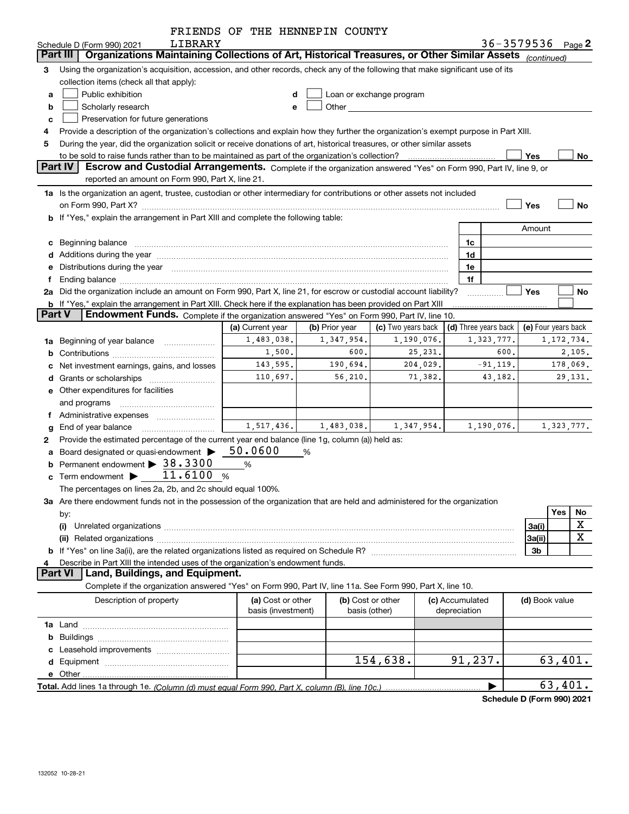|        |                                                                                                                                                                                                                                | FRIENDS OF THE HENNEPIN COUNTY          |                |                                                                                                                                                                                                                               |              |                      |                   |                     |
|--------|--------------------------------------------------------------------------------------------------------------------------------------------------------------------------------------------------------------------------------|-----------------------------------------|----------------|-------------------------------------------------------------------------------------------------------------------------------------------------------------------------------------------------------------------------------|--------------|----------------------|-------------------|---------------------|
|        | LIBRARY<br>Schedule D (Form 990) 2021                                                                                                                                                                                          |                                         |                |                                                                                                                                                                                                                               |              |                      | 36-3579536 Page 2 |                     |
|        | Organizations Maintaining Collections of Art, Historical Treasures, or Other Similar Assets (continued)<br>Part III                                                                                                            |                                         |                |                                                                                                                                                                                                                               |              |                      |                   |                     |
| 3      | Using the organization's acquisition, accession, and other records, check any of the following that make significant use of its                                                                                                |                                         |                |                                                                                                                                                                                                                               |              |                      |                   |                     |
|        | collection items (check all that apply):                                                                                                                                                                                       |                                         |                |                                                                                                                                                                                                                               |              |                      |                   |                     |
| a      | Public exhibition                                                                                                                                                                                                              |                                         |                | Loan or exchange program                                                                                                                                                                                                      |              |                      |                   |                     |
| b      | Scholarly research                                                                                                                                                                                                             | е                                       |                | Other and the contract of the contract of the contract of the contract of the contract of the contract of the contract of the contract of the contract of the contract of the contract of the contract of the contract of the |              |                      |                   |                     |
| c      | Preservation for future generations                                                                                                                                                                                            |                                         |                |                                                                                                                                                                                                                               |              |                      |                   |                     |
|        | Provide a description of the organization's collections and explain how they further the organization's exempt purpose in Part XIII.                                                                                           |                                         |                |                                                                                                                                                                                                                               |              |                      |                   |                     |
| 5      | During the year, did the organization solicit or receive donations of art, historical treasures, or other similar assets                                                                                                       |                                         |                |                                                                                                                                                                                                                               |              |                      |                   |                     |
|        | to be sold to raise funds rather than to be maintained as part of the organization's collection?                                                                                                                               |                                         |                |                                                                                                                                                                                                                               |              |                      | Yes               | No                  |
|        | <b>Part IV</b><br>Escrow and Custodial Arrangements. Complete if the organization answered "Yes" on Form 990, Part IV, line 9, or                                                                                              |                                         |                |                                                                                                                                                                                                                               |              |                      |                   |                     |
|        | reported an amount on Form 990, Part X, line 21.                                                                                                                                                                               |                                         |                |                                                                                                                                                                                                                               |              |                      |                   |                     |
|        | 1a Is the organization an agent, trustee, custodian or other intermediary for contributions or other assets not included                                                                                                       |                                         |                |                                                                                                                                                                                                                               |              |                      |                   |                     |
|        | on Form 990, Part X? [11] matter continuum matter contract to the contract of the contract of the contract of the contract of the contract of the contract of the contract of the contract of the contract of the contract of  |                                         |                |                                                                                                                                                                                                                               |              |                      | Yes               | No                  |
|        | <b>b</b> If "Yes," explain the arrangement in Part XIII and complete the following table:                                                                                                                                      |                                         |                |                                                                                                                                                                                                                               |              |                      |                   |                     |
|        |                                                                                                                                                                                                                                |                                         |                |                                                                                                                                                                                                                               |              |                      | Amount            |                     |
|        | c Beginning balance entrance and the contract of the balance of the contract of the contract of the contract of the contract of the contract of the contract of the contract of the contract of the contract of the contract o |                                         |                |                                                                                                                                                                                                                               |              | 1c                   |                   |                     |
|        |                                                                                                                                                                                                                                |                                         |                |                                                                                                                                                                                                                               |              | 1d                   |                   |                     |
|        | e Distributions during the year manufactured and continuum and contact the control of the Distributions during the year                                                                                                        |                                         |                |                                                                                                                                                                                                                               |              | 1e                   |                   |                     |
| Ť.     |                                                                                                                                                                                                                                |                                         |                |                                                                                                                                                                                                                               |              | 1f                   |                   |                     |
|        | 2a Did the organization include an amount on Form 990, Part X, line 21, for escrow or custodial account liability?                                                                                                             |                                         |                |                                                                                                                                                                                                                               |              | .                    | Yes               | No                  |
|        | <b>b</b> If "Yes," explain the arrangement in Part XIII. Check here if the explanation has been provided on Part XIII                                                                                                          |                                         |                |                                                                                                                                                                                                                               |              |                      |                   |                     |
| Part V | Endowment Funds. Complete if the organization answered "Yes" on Form 990, Part IV, line 10.                                                                                                                                    |                                         |                |                                                                                                                                                                                                                               |              |                      |                   |                     |
|        |                                                                                                                                                                                                                                | (a) Current year                        | (b) Prior year | (c) Two years back                                                                                                                                                                                                            |              | (d) Three years back |                   | (e) Four years back |
|        | 1a Beginning of year balance                                                                                                                                                                                                   | 1,483,038.                              | 1,347,954.     | 1,190,076.                                                                                                                                                                                                                    |              | 1,323,777.           |                   | 1, 172, 734.        |
|        |                                                                                                                                                                                                                                | 1,500.                                  | 600.           | 25,231.                                                                                                                                                                                                                       |              | 600.                 |                   | 2,105.              |
|        | c Net investment earnings, gains, and losses                                                                                                                                                                                   | 143,595.                                | 190,694.       | 204,029.                                                                                                                                                                                                                      |              | $-91,119.$           |                   | 178,069.            |
|        |                                                                                                                                                                                                                                | 110,697.                                | 56,210.        | 71,382.                                                                                                                                                                                                                       |              | 43,182.              |                   | 29,131.             |
|        | e Other expenditures for facilities                                                                                                                                                                                            |                                         |                |                                                                                                                                                                                                                               |              |                      |                   |                     |
|        | and programs                                                                                                                                                                                                                   |                                         |                |                                                                                                                                                                                                                               |              |                      |                   |                     |
|        | f Administrative expenses <i>manually communicative</i>                                                                                                                                                                        |                                         |                |                                                                                                                                                                                                                               |              |                      |                   |                     |
|        | g End of year balance                                                                                                                                                                                                          | 1,517,436.                              | 1,483,038.     | 1,347,954.                                                                                                                                                                                                                    |              | 1,190,076.           |                   | 1,323,777.          |
| 2      | Provide the estimated percentage of the current year end balance (line 1g, column (a)) held as:                                                                                                                                |                                         |                |                                                                                                                                                                                                                               |              |                      |                   |                     |
|        | a Board designated or quasi-endowment >                                                                                                                                                                                        | 50.0600                                 | %              |                                                                                                                                                                                                                               |              |                      |                   |                     |
|        | Permanent endowment > 38.3300                                                                                                                                                                                                  | %                                       |                |                                                                                                                                                                                                                               |              |                      |                   |                     |
|        | c Term endowment $\blacktriangleright$ 11.6100                                                                                                                                                                                 | %                                       |                |                                                                                                                                                                                                                               |              |                      |                   |                     |
|        | The percentages on lines 2a, 2b, and 2c should equal 100%.                                                                                                                                                                     |                                         |                |                                                                                                                                                                                                                               |              |                      |                   |                     |
|        | 3a Are there endowment funds not in the possession of the organization that are held and administered for the organization                                                                                                     |                                         |                |                                                                                                                                                                                                                               |              |                      |                   |                     |
|        | by:                                                                                                                                                                                                                            |                                         |                |                                                                                                                                                                                                                               |              |                      |                   | Yes<br>No           |
|        | (i)                                                                                                                                                                                                                            |                                         |                |                                                                                                                                                                                                                               |              |                      | 3a(i)             | X                   |
|        |                                                                                                                                                                                                                                |                                         |                |                                                                                                                                                                                                                               |              |                      | 3a(ii)            | X                   |
|        |                                                                                                                                                                                                                                |                                         |                |                                                                                                                                                                                                                               |              |                      | 3b                |                     |
| 4      | Describe in Part XIII the intended uses of the organization's endowment funds.                                                                                                                                                 |                                         |                |                                                                                                                                                                                                                               |              |                      |                   |                     |
|        | <b>Part VI</b><br>Land, Buildings, and Equipment.                                                                                                                                                                              |                                         |                |                                                                                                                                                                                                                               |              |                      |                   |                     |
|        | Complete if the organization answered "Yes" on Form 990, Part IV, line 11a. See Form 990, Part X, line 10.                                                                                                                     |                                         |                |                                                                                                                                                                                                                               |              |                      |                   |                     |
|        | Description of property                                                                                                                                                                                                        | (a) Cost or other<br>basis (investment) |                | (b) Cost or other<br>basis (other)                                                                                                                                                                                            | depreciation | (c) Accumulated      | (d) Book value    |                     |
|        |                                                                                                                                                                                                                                |                                         |                |                                                                                                                                                                                                                               |              |                      |                   |                     |
|        |                                                                                                                                                                                                                                |                                         |                |                                                                                                                                                                                                                               |              |                      |                   |                     |
|        |                                                                                                                                                                                                                                |                                         |                |                                                                                                                                                                                                                               |              |                      |                   |                     |
|        |                                                                                                                                                                                                                                |                                         |                | 154,638.                                                                                                                                                                                                                      |              | 91,237.              |                   | 63,401.             |
|        |                                                                                                                                                                                                                                |                                         |                |                                                                                                                                                                                                                               |              |                      |                   |                     |
|        |                                                                                                                                                                                                                                |                                         |                |                                                                                                                                                                                                                               |              |                      |                   | 63,401.             |
|        |                                                                                                                                                                                                                                |                                         |                |                                                                                                                                                                                                                               |              |                      |                   |                     |

**Schedule D (Form 990) 2021**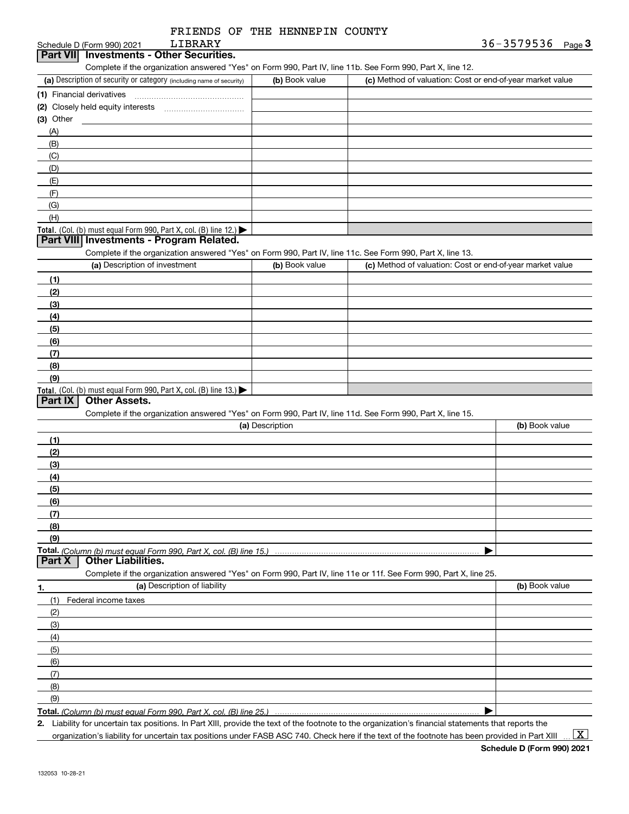|                 | LIBRARY<br>Schedule D (Form 990) 2021                                                                             |                 | 36-3579536 $_{Page}$ 3                                    |
|-----------------|-------------------------------------------------------------------------------------------------------------------|-----------------|-----------------------------------------------------------|
| <b>Part VII</b> | <b>Investments - Other Securities.</b>                                                                            |                 |                                                           |
|                 | Complete if the organization answered "Yes" on Form 990, Part IV, line 11b. See Form 990, Part X, line 12.        |                 |                                                           |
|                 | (a) Description of security or category (including name of security)                                              | (b) Book value  | (c) Method of valuation: Cost or end-of-year market value |
|                 | (1) Financial derivatives                                                                                         |                 |                                                           |
|                 |                                                                                                                   |                 |                                                           |
| $(3)$ Other     |                                                                                                                   |                 |                                                           |
| (A)             |                                                                                                                   |                 |                                                           |
| (B)             |                                                                                                                   |                 |                                                           |
| (C)             |                                                                                                                   |                 |                                                           |
| (D)             |                                                                                                                   |                 |                                                           |
| (E)             |                                                                                                                   |                 |                                                           |
| (F)             |                                                                                                                   |                 |                                                           |
| (G)             |                                                                                                                   |                 |                                                           |
| (H)             |                                                                                                                   |                 |                                                           |
|                 | Total. (Col. (b) must equal Form 990, Part X, col. (B) line 12.) $\blacktriangleright$                            |                 |                                                           |
|                 | Part VIII Investments - Program Related.                                                                          |                 |                                                           |
|                 | Complete if the organization answered "Yes" on Form 990, Part IV, line 11c. See Form 990, Part X, line 13.        |                 |                                                           |
|                 | (a) Description of investment                                                                                     | (b) Book value  | (c) Method of valuation: Cost or end-of-year market value |
| (1)             |                                                                                                                   |                 |                                                           |
| (2)             |                                                                                                                   |                 |                                                           |
| (3)             |                                                                                                                   |                 |                                                           |
| (4)             |                                                                                                                   |                 |                                                           |
| (5)             |                                                                                                                   |                 |                                                           |
| (6)             |                                                                                                                   |                 |                                                           |
| (7)             |                                                                                                                   |                 |                                                           |
| (8)             |                                                                                                                   |                 |                                                           |
| (9)             |                                                                                                                   |                 |                                                           |
|                 | Total. (Col. (b) must equal Form 990, Part X, col. (B) line 13.)                                                  |                 |                                                           |
| Part IX         | <b>Other Assets.</b>                                                                                              |                 |                                                           |
|                 | Complete if the organization answered "Yes" on Form 990, Part IV, line 11d. See Form 990, Part X, line 15.        |                 |                                                           |
|                 |                                                                                                                   | (a) Description | (b) Book value                                            |
| (1)             |                                                                                                                   |                 |                                                           |
| (2)             |                                                                                                                   |                 |                                                           |
| (3)             |                                                                                                                   |                 |                                                           |
| (4)             |                                                                                                                   |                 |                                                           |
| (5)             |                                                                                                                   |                 |                                                           |
| (6)             |                                                                                                                   |                 |                                                           |
| (7)             |                                                                                                                   |                 |                                                           |
| (8)             |                                                                                                                   |                 |                                                           |
| (9)             |                                                                                                                   |                 |                                                           |
|                 |                                                                                                                   |                 |                                                           |
| Part X          | <b>Other Liabilities.</b>                                                                                         |                 |                                                           |
|                 | Complete if the organization answered "Yes" on Form 990, Part IV, line 11e or 11f. See Form 990, Part X, line 25. |                 |                                                           |
|                 | (a) Description of liability                                                                                      |                 | (b) Book value                                            |
| (1)             | Federal income taxes                                                                                              |                 |                                                           |
| (2)             |                                                                                                                   |                 |                                                           |
| (3)             |                                                                                                                   |                 |                                                           |
| (4)             |                                                                                                                   |                 |                                                           |
|                 |                                                                                                                   |                 |                                                           |
|                 |                                                                                                                   |                 |                                                           |
| (5)             |                                                                                                                   |                 |                                                           |
| (6)             |                                                                                                                   |                 |                                                           |
| (7)             |                                                                                                                   |                 |                                                           |
| (8)             |                                                                                                                   |                 |                                                           |
| (9)             | Total. (Column (b) must equal Form 990, Part X, col. (B) line 25.)                                                |                 |                                                           |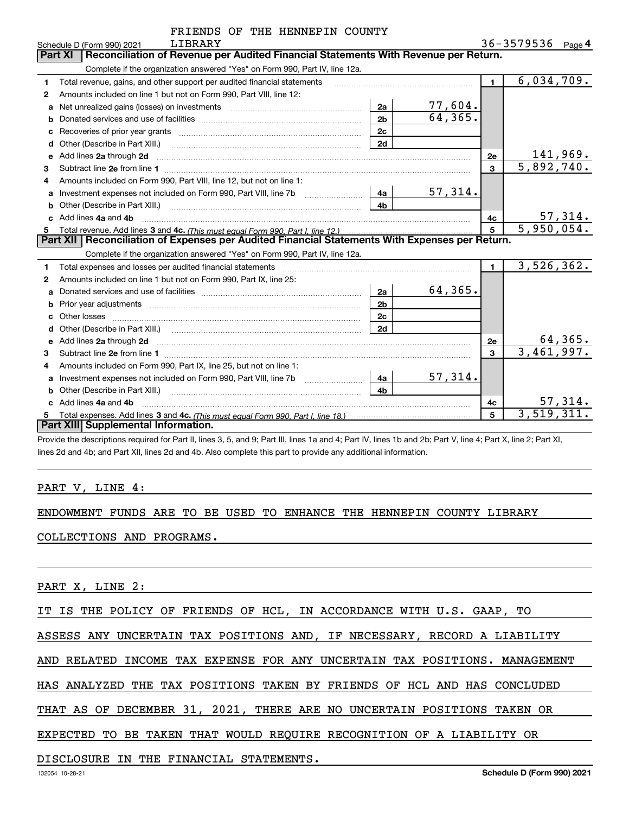| FRIENDS OF THE HENNEPIN COUNTY |
|--------------------------------|
|                                |

|    | LIBRARY<br>Schedule D (Form 990) 2021                                                                                                                                                                                               |                |          |                | 36-3579536              | Page 4          |
|----|-------------------------------------------------------------------------------------------------------------------------------------------------------------------------------------------------------------------------------------|----------------|----------|----------------|-------------------------|-----------------|
|    | Reconciliation of Revenue per Audited Financial Statements With Revenue per Return.<br><b>Part XI</b>                                                                                                                               |                |          |                |                         |                 |
|    | Complete if the organization answered "Yes" on Form 990, Part IV, line 12a.                                                                                                                                                         |                |          |                |                         |                 |
| 1. | Total revenue, gains, and other support per audited financial statements                                                                                                                                                            |                |          | $\blacksquare$ | 6,034,709.              |                 |
| 2  | Amounts included on line 1 but not on Form 990, Part VIII, line 12:                                                                                                                                                                 |                |          |                |                         |                 |
| a  |                                                                                                                                                                                                                                     | 2a             | 77,604.  |                |                         |                 |
| b  |                                                                                                                                                                                                                                     | 2 <sub>b</sub> | 64, 365. |                |                         |                 |
| c  |                                                                                                                                                                                                                                     | 2c             |          |                |                         |                 |
| d  |                                                                                                                                                                                                                                     | 2d             |          |                |                         |                 |
| е  | Add lines 2a through 2d                                                                                                                                                                                                             |                |          | 2e             |                         | <u>141,969.</u> |
| 3  |                                                                                                                                                                                                                                     |                |          | $\mathbf{3}$   | 5,892,740.              |                 |
| 4  | Amounts included on Form 990, Part VIII, line 12, but not on line 1:                                                                                                                                                                |                |          |                |                         |                 |
|    |                                                                                                                                                                                                                                     | 4a l           | 57,314.  |                |                         |                 |
| b  |                                                                                                                                                                                                                                     | 4 <sub>b</sub> |          |                |                         |                 |
| C. | Add lines 4a and 4b                                                                                                                                                                                                                 |                |          | 4с             |                         | 57,314.         |
| 5  |                                                                                                                                                                                                                                     |                |          | 5              | $\overline{5,950,054.}$ |                 |
|    |                                                                                                                                                                                                                                     |                |          |                |                         |                 |
|    | Part XII   Reconciliation of Expenses per Audited Financial Statements With Expenses per Return.                                                                                                                                    |                |          |                |                         |                 |
|    | Complete if the organization answered "Yes" on Form 990, Part IV, line 12a.                                                                                                                                                         |                |          |                |                         |                 |
| 1. | Total expenses and losses per audited financial statements [11] [12] contraction control in the statements [15] [15] and the statements [15] [15] and the statements [15] and the statements [15] and the statements [15] and       |                |          | $\blacksquare$ | 3,526,362.              |                 |
| 2  | Amounts included on line 1 but not on Form 990, Part IX, line 25:                                                                                                                                                                   |                |          |                |                         |                 |
| a  |                                                                                                                                                                                                                                     | 2a             | 64,365.  |                |                         |                 |
| b  |                                                                                                                                                                                                                                     | 2 <sub>b</sub> |          |                |                         |                 |
| C  |                                                                                                                                                                                                                                     | 2c             |          |                |                         |                 |
|    |                                                                                                                                                                                                                                     | 2d             |          |                |                         |                 |
| e  | Add lines 2a through 2d <b>must be a constructed as the constant of the construction of the construction</b> and the construction of the construction of the construction of the construction of the construction of the constructi |                |          | 2е             |                         | 64,365.         |
| 3  |                                                                                                                                                                                                                                     |                |          | 3              | 3,461,997.              |                 |
| 4  | Amounts included on Form 990, Part IX, line 25, but not on line 1:                                                                                                                                                                  |                |          |                |                         |                 |
| a  | Investment expenses not included on Form 990, Part VIII, line 7b [1000000000000000000000000000000000                                                                                                                                | 4a             | 57,314.  |                |                         |                 |
|    | Other (Describe in Part XIII.) <b>Construction Contract Construction</b> Chern Construction Construction Construction                                                                                                               | 4 <sub>b</sub> |          |                |                         |                 |
|    | Add lines 4a and 4b                                                                                                                                                                                                                 |                |          | 4c             |                         | 57,314.         |
| 5. | <b>Part XIII Supplemental Information.</b>                                                                                                                                                                                          |                |          | 5              | $\overline{3,519},311.$ |                 |

Provide the descriptions required for Part II, lines 3, 5, and 9; Part III, lines 1a and 4; Part IV, lines 1b and 2b; Part V, line 4; Part X, line 2; Part XI, lines 2d and 4b; and Part XII, lines 2d and 4b. Also complete this part to provide any additional information.

### PART V, LINE 4:

#### ENDOWMENT FUNDS ARE TO BE USED TO ENHANCE THE HENNEPIN COUNTY LIBRARY

### COLLECTIONS AND PROGRAMS.

PART X, LINE 2:

IT IS THE POLICY OF FRIENDS OF HCL, IN ACCORDANCE WITH U.S. GAAP, TO

ASSESS ANY UNCERTAIN TAX POSITIONS AND, IF NECESSARY, RECORD A LIABILITY

AND RELATED INCOME TAX EXPENSE FOR ANY UNCERTAIN TAX POSITIONS. MANAGEMENT

HAS ANALYZED THE TAX POSITIONS TAKEN BY FRIENDS OF HCL AND HAS CONCLUDED

THAT AS OF DECEMBER 31, 2021, THERE ARE NO UNCERTAIN POSITIONS TAKEN OR

EXPECTED TO BE TAKEN THAT WOULD REQUIRE RECOGNITION OF A LIABILITY OR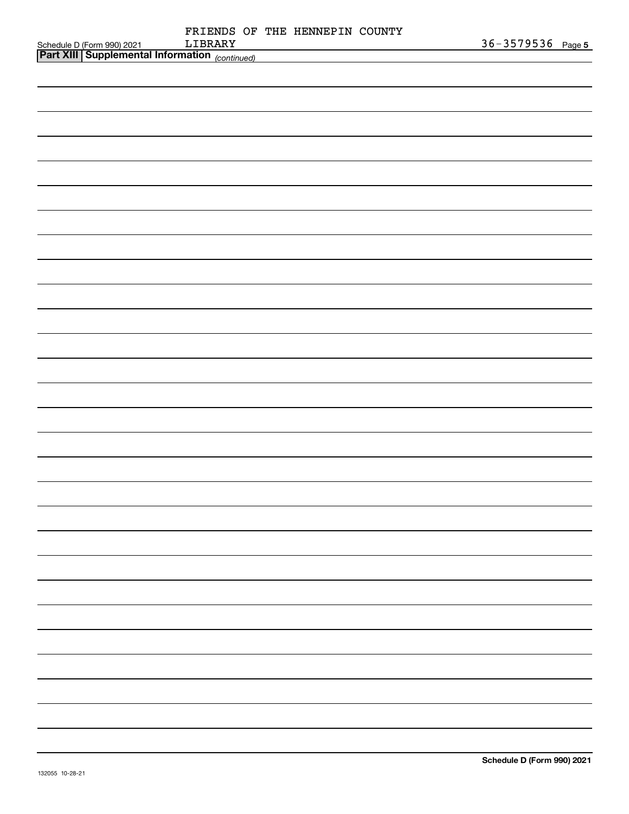|                                                                                      |         |  | FRIENDS OF THE HENNEPIN COUNTY |  |                   |  |
|--------------------------------------------------------------------------------------|---------|--|--------------------------------|--|-------------------|--|
| Schedule D (Form 990) 2021 LIBRARY<br>Part XIII Supplemental Information (continued) | LIBRARY |  |                                |  | 36-3579536 Page 5 |  |
|                                                                                      |         |  |                                |  |                   |  |
|                                                                                      |         |  |                                |  |                   |  |
|                                                                                      |         |  |                                |  |                   |  |
|                                                                                      |         |  |                                |  |                   |  |
|                                                                                      |         |  |                                |  |                   |  |
|                                                                                      |         |  |                                |  |                   |  |
|                                                                                      |         |  |                                |  |                   |  |
|                                                                                      |         |  |                                |  |                   |  |
|                                                                                      |         |  |                                |  |                   |  |
|                                                                                      |         |  |                                |  |                   |  |
|                                                                                      |         |  |                                |  |                   |  |
|                                                                                      |         |  |                                |  |                   |  |
|                                                                                      |         |  |                                |  |                   |  |
|                                                                                      |         |  |                                |  |                   |  |
|                                                                                      |         |  |                                |  |                   |  |
|                                                                                      |         |  |                                |  |                   |  |
|                                                                                      |         |  |                                |  |                   |  |
|                                                                                      |         |  |                                |  |                   |  |
|                                                                                      |         |  |                                |  |                   |  |
|                                                                                      |         |  |                                |  |                   |  |
|                                                                                      |         |  |                                |  |                   |  |
|                                                                                      |         |  |                                |  |                   |  |
|                                                                                      |         |  |                                |  |                   |  |
|                                                                                      |         |  |                                |  |                   |  |
|                                                                                      |         |  |                                |  |                   |  |
|                                                                                      |         |  |                                |  |                   |  |
|                                                                                      |         |  |                                |  |                   |  |
|                                                                                      |         |  |                                |  |                   |  |
|                                                                                      |         |  |                                |  |                   |  |
|                                                                                      |         |  |                                |  |                   |  |
|                                                                                      |         |  |                                |  |                   |  |
|                                                                                      |         |  |                                |  |                   |  |
|                                                                                      |         |  |                                |  |                   |  |
|                                                                                      |         |  |                                |  |                   |  |
|                                                                                      |         |  |                                |  |                   |  |
|                                                                                      |         |  |                                |  |                   |  |
|                                                                                      |         |  |                                |  |                   |  |
|                                                                                      |         |  |                                |  |                   |  |
|                                                                                      |         |  |                                |  |                   |  |
|                                                                                      |         |  |                                |  |                   |  |
|                                                                                      |         |  |                                |  |                   |  |
|                                                                                      |         |  |                                |  |                   |  |
|                                                                                      |         |  |                                |  |                   |  |
|                                                                                      |         |  |                                |  |                   |  |
|                                                                                      |         |  |                                |  |                   |  |
|                                                                                      |         |  |                                |  |                   |  |
|                                                                                      |         |  |                                |  |                   |  |
|                                                                                      |         |  |                                |  |                   |  |
|                                                                                      |         |  |                                |  |                   |  |
|                                                                                      |         |  |                                |  |                   |  |
|                                                                                      |         |  |                                |  |                   |  |
|                                                                                      |         |  |                                |  |                   |  |
|                                                                                      |         |  |                                |  |                   |  |
|                                                                                      |         |  |                                |  |                   |  |
|                                                                                      |         |  |                                |  |                   |  |
|                                                                                      |         |  |                                |  |                   |  |
|                                                                                      |         |  |                                |  |                   |  |
|                                                                                      |         |  |                                |  |                   |  |
|                                                                                      |         |  |                                |  |                   |  |
|                                                                                      |         |  |                                |  |                   |  |
|                                                                                      |         |  |                                |  |                   |  |
|                                                                                      |         |  |                                |  |                   |  |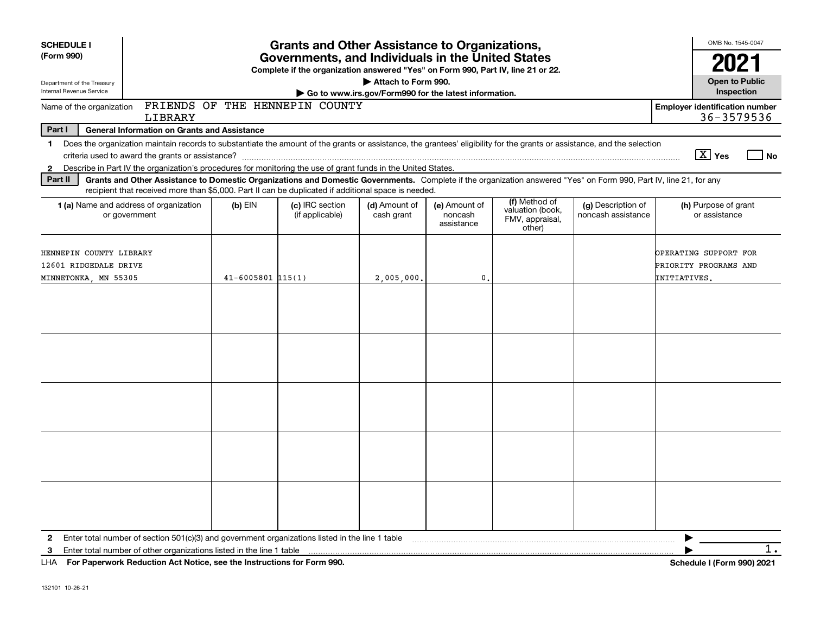| <b>SCHEDULE I</b><br>(Form 990)                                          |                                                                                                                                                                                                                                                                                                                                               |                         | <b>Grants and Other Assistance to Organizations,</b><br>Governments, and Individuals in the United States |                                                                              |                                        |                                                                |                                          | OMB No. 1545-0047                                              |
|--------------------------------------------------------------------------|-----------------------------------------------------------------------------------------------------------------------------------------------------------------------------------------------------------------------------------------------------------------------------------------------------------------------------------------------|-------------------------|-----------------------------------------------------------------------------------------------------------|------------------------------------------------------------------------------|----------------------------------------|----------------------------------------------------------------|------------------------------------------|----------------------------------------------------------------|
|                                                                          |                                                                                                                                                                                                                                                                                                                                               |                         | Complete if the organization answered "Yes" on Form 990, Part IV, line 21 or 22.                          |                                                                              |                                        |                                                                |                                          | 2021                                                           |
| Department of the Treasury<br>Internal Revenue Service                   |                                                                                                                                                                                                                                                                                                                                               |                         |                                                                                                           | Attach to Form 990.<br>Go to www.irs.gov/Form990 for the latest information. |                                        |                                                                |                                          | <b>Open to Public</b><br>Inspection                            |
| Name of the organization                                                 | LIBRARY                                                                                                                                                                                                                                                                                                                                       |                         | FRIENDS OF THE HENNEPIN COUNTY                                                                            |                                                                              |                                        |                                                                |                                          | <b>Employer identification number</b><br>36-3579536            |
| Part I                                                                   | <b>General Information on Grants and Assistance</b>                                                                                                                                                                                                                                                                                           |                         |                                                                                                           |                                                                              |                                        |                                                                |                                          |                                                                |
| $\mathbf{1}$<br>2                                                        | Does the organization maintain records to substantiate the amount of the grants or assistance, the grantees' eligibility for the grants or assistance, and the selection<br>criteria used to award the grants or assistance?<br>Describe in Part IV the organization's procedures for monitoring the use of grant funds in the United States. |                         |                                                                                                           |                                                                              |                                        |                                                                |                                          | $\boxed{\text{X}}$ Yes<br>  No                                 |
| Part II                                                                  | Grants and Other Assistance to Domestic Organizations and Domestic Governments. Complete if the organization answered "Yes" on Form 990, Part IV, line 21, for any<br>recipient that received more than \$5,000. Part II can be duplicated if additional space is needed.                                                                     |                         |                                                                                                           |                                                                              |                                        |                                                                |                                          |                                                                |
|                                                                          | 1 (a) Name and address of organization<br>or government                                                                                                                                                                                                                                                                                       | $(b)$ EIN               | (c) IRC section<br>(if applicable)                                                                        | (d) Amount of<br>cash grant                                                  | (e) Amount of<br>noncash<br>assistance | (f) Method of<br>valuation (book,<br>FMV, appraisal,<br>other) | (g) Description of<br>noncash assistance | (h) Purpose of grant<br>or assistance                          |
| HENNEPIN COUNTY LIBRARY<br>12601 RIDGEDALE DRIVE<br>MINNETONKA, MN 55305 |                                                                                                                                                                                                                                                                                                                                               | $41 - 6005801$ $115(1)$ |                                                                                                           | 2,005,000,                                                                   | 0.                                     |                                                                |                                          | OPERATING SUPPORT FOR<br>PRIORITY PROGRAMS AND<br>INITIATIVES. |
|                                                                          |                                                                                                                                                                                                                                                                                                                                               |                         |                                                                                                           |                                                                              |                                        |                                                                |                                          |                                                                |
|                                                                          |                                                                                                                                                                                                                                                                                                                                               |                         |                                                                                                           |                                                                              |                                        |                                                                |                                          |                                                                |
|                                                                          |                                                                                                                                                                                                                                                                                                                                               |                         |                                                                                                           |                                                                              |                                        |                                                                |                                          |                                                                |
|                                                                          |                                                                                                                                                                                                                                                                                                                                               |                         |                                                                                                           |                                                                              |                                        |                                                                |                                          |                                                                |
|                                                                          |                                                                                                                                                                                                                                                                                                                                               |                         |                                                                                                           |                                                                              |                                        |                                                                |                                          |                                                                |
| $\mathbf{2}$<br>3                                                        | Enter total number of section 501(c)(3) and government organizations listed in the line 1 table<br>Enter total number of other organizations listed in the line 1 table<br>LHA For Paperwork Reduction Act Notice, see the Instructions for Form 990.                                                                                         |                         |                                                                                                           |                                                                              |                                        |                                                                |                                          | $1$ .<br>Schedule I (Form 990) 2021                            |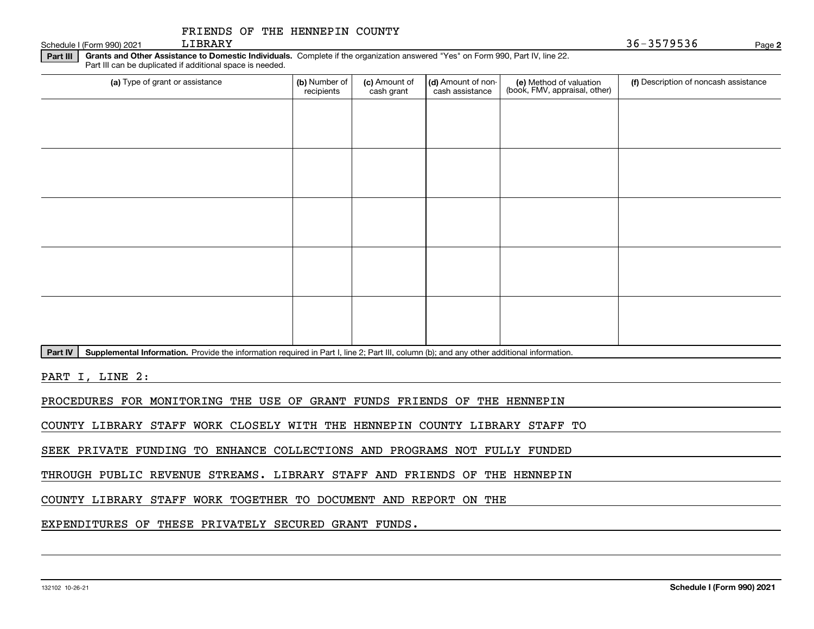| FRIENDS OF THE HENNEPIN COUNTY |  |  |  |  |
|--------------------------------|--|--|--|--|
|--------------------------------|--|--|--|--|

Schedule I (Form 990) 2021 LIBRARY

LIBRARY 36-3579536

**2**

**Part III | Grants and Other Assistance to Domestic Individuals. Complete if the organization answered "Yes" on Form 990, Part IV, line 22.** Part III can be duplicated if additional space is needed.

| (a) Type of grant or assistance | (b) Number of<br>recipients | (c) Amount of<br>cash grant | (d) Amount of non-<br>cash assistance | (e) Method of valuation<br>(book, FMV, appraisal, other) | (f) Description of noncash assistance |
|---------------------------------|-----------------------------|-----------------------------|---------------------------------------|----------------------------------------------------------|---------------------------------------|
|                                 |                             |                             |                                       |                                                          |                                       |
|                                 |                             |                             |                                       |                                                          |                                       |
|                                 |                             |                             |                                       |                                                          |                                       |
|                                 |                             |                             |                                       |                                                          |                                       |
|                                 |                             |                             |                                       |                                                          |                                       |
|                                 |                             |                             |                                       |                                                          |                                       |
|                                 |                             |                             |                                       |                                                          |                                       |
|                                 |                             |                             |                                       |                                                          |                                       |
|                                 |                             |                             |                                       |                                                          |                                       |
|                                 |                             |                             |                                       |                                                          |                                       |

Part IV | Supplemental Information. Provide the information required in Part I, line 2; Part III, column (b); and any other additional information.

PART I, LINE 2:

PROCEDURES FOR MONITORING THE USE OF GRANT FUNDS FRIENDS OF THE HENNEPIN

COUNTY LIBRARY STAFF WORK CLOSELY WITH THE HENNEPIN COUNTY LIBRARY STAFF TO

SEEK PRIVATE FUNDING TO ENHANCE COLLECTIONS AND PROGRAMS NOT FULLY FUNDED

THROUGH PUBLIC REVENUE STREAMS. LIBRARY STAFF AND FRIENDS OF THE HENNEPIN

COUNTY LIBRARY STAFF WORK TOGETHER TO DOCUMENT AND REPORT ON THE

EXPENDITURES OF THESE PRIVATELY SECURED GRANT FUNDS.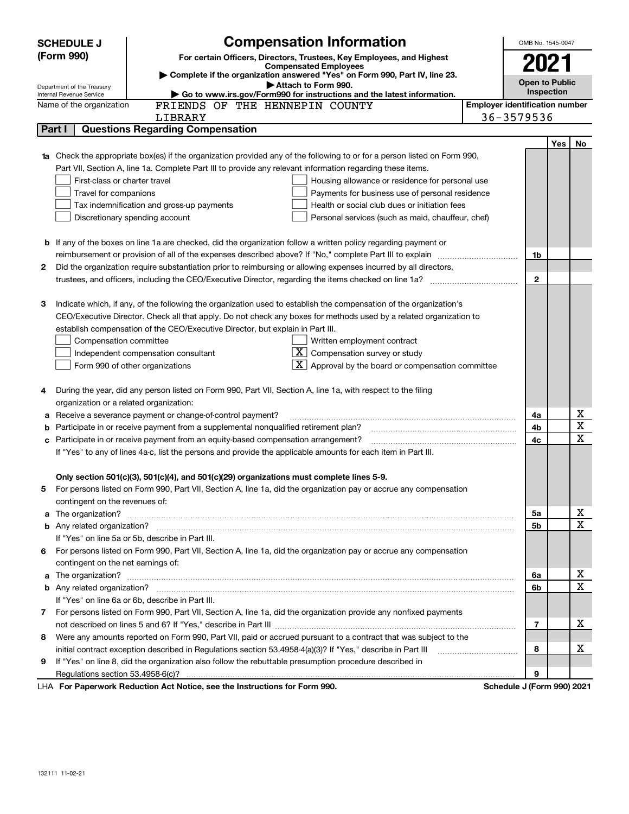|    | <b>SCHEDULE J</b>                                                                                          | <b>Compensation Information</b>                                                                                                  |                   | OMB No. 1545-0047          |                       |             |
|----|------------------------------------------------------------------------------------------------------------|----------------------------------------------------------------------------------------------------------------------------------|-------------------|----------------------------|-----------------------|-------------|
|    | (Form 990)<br>For certain Officers, Directors, Trustees, Key Employees, and Highest                        |                                                                                                                                  |                   |                            |                       |             |
|    | <b>Compensated Employees</b><br>Complete if the organization answered "Yes" on Form 990, Part IV, line 23. |                                                                                                                                  |                   | 2021                       |                       |             |
|    | Attach to Form 990.<br>Department of the Treasury                                                          |                                                                                                                                  |                   |                            | <b>Open to Public</b> |             |
|    | Internal Revenue Service                                                                                   |                                                                                                                                  | <b>Inspection</b> |                            |                       |             |
|    | Name of the organization                                                                                   | <b>Employer identification number</b>                                                                                            |                   |                            |                       |             |
|    |                                                                                                            | LIBRARY                                                                                                                          |                   | 36-3579536                 |                       |             |
|    | Part I                                                                                                     | <b>Questions Regarding Compensation</b>                                                                                          |                   |                            |                       |             |
|    |                                                                                                            |                                                                                                                                  |                   |                            | <b>Yes</b>            | No          |
|    |                                                                                                            | <b>1a</b> Check the appropriate box(es) if the organization provided any of the following to or for a person listed on Form 990, |                   |                            |                       |             |
|    |                                                                                                            | Part VII, Section A, line 1a. Complete Part III to provide any relevant information regarding these items.                       |                   |                            |                       |             |
|    | First-class or charter travel                                                                              | Housing allowance or residence for personal use                                                                                  |                   |                            |                       |             |
|    | Travel for companions                                                                                      | Payments for business use of personal residence                                                                                  |                   |                            |                       |             |
|    |                                                                                                            | Health or social club dues or initiation fees<br>Tax indemnification and gross-up payments                                       |                   |                            |                       |             |
|    |                                                                                                            | Discretionary spending account<br>Personal services (such as maid, chauffeur, chef)                                              |                   |                            |                       |             |
|    |                                                                                                            |                                                                                                                                  |                   |                            |                       |             |
|    |                                                                                                            | <b>b</b> If any of the boxes on line 1a are checked, did the organization follow a written policy regarding payment or           |                   |                            |                       |             |
|    |                                                                                                            |                                                                                                                                  |                   | 1b                         |                       |             |
| 2  |                                                                                                            | Did the organization require substantiation prior to reimbursing or allowing expenses incurred by all directors,                 |                   | $\mathbf{2}$               |                       |             |
|    |                                                                                                            |                                                                                                                                  |                   |                            |                       |             |
| З  |                                                                                                            | Indicate which, if any, of the following the organization used to establish the compensation of the organization's               |                   |                            |                       |             |
|    |                                                                                                            | CEO/Executive Director. Check all that apply. Do not check any boxes for methods used by a related organization to               |                   |                            |                       |             |
|    |                                                                                                            | establish compensation of the CEO/Executive Director, but explain in Part III.                                                   |                   |                            |                       |             |
|    | Compensation committee                                                                                     | Written employment contract                                                                                                      |                   |                            |                       |             |
|    |                                                                                                            | $X$ Compensation survey or study<br>Independent compensation consultant                                                          |                   |                            |                       |             |
|    |                                                                                                            | $\mathbf{X}$ Approval by the board or compensation committee<br>Form 990 of other organizations                                  |                   |                            |                       |             |
|    |                                                                                                            |                                                                                                                                  |                   |                            |                       |             |
| 4  |                                                                                                            | During the year, did any person listed on Form 990, Part VII, Section A, line 1a, with respect to the filing                     |                   |                            |                       |             |
|    | organization or a related organization:                                                                    |                                                                                                                                  |                   |                            |                       |             |
| а  |                                                                                                            | Receive a severance payment or change-of-control payment?                                                                        |                   | 4a                         |                       | х           |
| b  |                                                                                                            | Participate in or receive payment from a supplemental nonqualified retirement plan?                                              |                   | 4b                         |                       | X           |
| с  |                                                                                                            | Participate in or receive payment from an equity-based compensation arrangement?                                                 |                   | 4с                         |                       | X           |
|    |                                                                                                            | If "Yes" to any of lines 4a-c, list the persons and provide the applicable amounts for each item in Part III.                    |                   |                            |                       |             |
|    |                                                                                                            |                                                                                                                                  |                   |                            |                       |             |
|    |                                                                                                            | Only section 501(c)(3), 501(c)(4), and 501(c)(29) organizations must complete lines 5-9.                                         |                   |                            |                       |             |
|    |                                                                                                            | For persons listed on Form 990, Part VII, Section A, line 1a, did the organization pay or accrue any compensation                |                   |                            |                       |             |
|    | contingent on the revenues of:                                                                             |                                                                                                                                  |                   |                            |                       |             |
|    |                                                                                                            | a The organization? <b>Entitation</b> and the organization?                                                                      |                   | 5а                         |                       | х           |
|    |                                                                                                            |                                                                                                                                  |                   | 5b                         |                       | X           |
|    |                                                                                                            | If "Yes" on line 5a or 5b, describe in Part III.                                                                                 |                   |                            |                       |             |
| 6. |                                                                                                            | For persons listed on Form 990, Part VII, Section A, line 1a, did the organization pay or accrue any compensation                |                   |                            |                       |             |
|    | contingent on the net earnings of:                                                                         |                                                                                                                                  |                   |                            |                       |             |
|    |                                                                                                            |                                                                                                                                  |                   | 6a                         |                       | х           |
|    |                                                                                                            |                                                                                                                                  |                   | 6b                         |                       | $\mathbf X$ |
|    |                                                                                                            | If "Yes" on line 6a or 6b, describe in Part III.                                                                                 |                   |                            |                       |             |
|    |                                                                                                            | 7 For persons listed on Form 990, Part VII, Section A, line 1a, did the organization provide any nonfixed payments               |                   |                            |                       |             |
|    |                                                                                                            |                                                                                                                                  |                   | 7                          |                       | x           |
| 8  |                                                                                                            | Were any amounts reported on Form 990, Part VII, paid or accrued pursuant to a contract that was subject to the                  |                   |                            |                       |             |
|    |                                                                                                            | initial contract exception described in Regulations section 53.4958-4(a)(3)? If "Yes," describe in Part III                      |                   | 8                          |                       | х           |
| 9  |                                                                                                            | If "Yes" on line 8, did the organization also follow the rebuttable presumption procedure described in                           |                   |                            |                       |             |
|    |                                                                                                            |                                                                                                                                  |                   | 9                          |                       |             |
|    |                                                                                                            | LHA For Paperwork Reduction Act Notice, see the Instructions for Form 990.                                                       |                   | Schedule J (Form 990) 2021 |                       |             |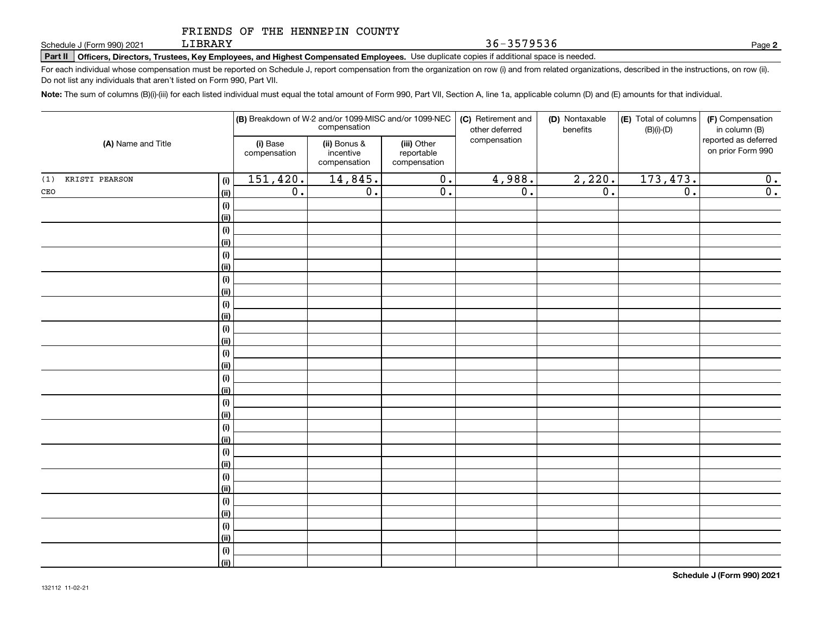LIBRARY

**Part II Officers, Directors, Trustees, Key Employees, and Highest Compensated Employees.**  Schedule J (Form 990) 2021 Page Use duplicate copies if additional space is needed.

For each individual whose compensation must be reported on Schedule J, report compensation from the organization on row (i) and from related organizations, described in the instructions, on row (ii). Do not list any individuals that aren't listed on Form 990, Part VII.

**Note:**  The sum of columns (B)(i)-(iii) for each listed individual must equal the total amount of Form 990, Part VII, Section A, line 1a, applicable column (D) and (E) amounts for that individual.

|                    |             | (B) Breakdown of W-2 and/or 1099-MISC and/or 1099-NEC<br>compensation |                                           |                                           | (C) Retirement and<br>(D) Nontaxable<br>other deferred<br>benefits |                  | (E) Total of columns<br>$(B)(i)-(D)$ | (F) Compensation<br>in column (B)         |
|--------------------|-------------|-----------------------------------------------------------------------|-------------------------------------------|-------------------------------------------|--------------------------------------------------------------------|------------------|--------------------------------------|-------------------------------------------|
| (A) Name and Title |             | (i) Base<br>compensation                                              | (ii) Bonus &<br>incentive<br>compensation | (iii) Other<br>reportable<br>compensation | compensation                                                       |                  |                                      | reported as deferred<br>on prior Form 990 |
| (1) KRISTI PEARSON | (i)         | 151,420.                                                              | 14,845.                                   | $\overline{0}$ .                          | 4,988.                                                             | 2,220.           | 173,473.                             | 0.                                        |
| $\mathtt{CEO}$     | (ii)        | $\overline{0}$ .                                                      | $\overline{0}$ .                          | $\overline{0}$ .                          | $\overline{0}$ .                                                   | $\overline{0}$ . | $\overline{0}$ .                     | $\overline{0}$ .                          |
|                    | $(\sf{i})$  |                                                                       |                                           |                                           |                                                                    |                  |                                      |                                           |
|                    | (ii)        |                                                                       |                                           |                                           |                                                                    |                  |                                      |                                           |
|                    | (i)         |                                                                       |                                           |                                           |                                                                    |                  |                                      |                                           |
|                    | (ii)        |                                                                       |                                           |                                           |                                                                    |                  |                                      |                                           |
|                    | (i)         |                                                                       |                                           |                                           |                                                                    |                  |                                      |                                           |
|                    | (ii)        |                                                                       |                                           |                                           |                                                                    |                  |                                      |                                           |
|                    | (i)         |                                                                       |                                           |                                           |                                                                    |                  |                                      |                                           |
|                    | (ii)        |                                                                       |                                           |                                           |                                                                    |                  |                                      |                                           |
|                    | (i)         |                                                                       |                                           |                                           |                                                                    |                  |                                      |                                           |
|                    | (ii)        |                                                                       |                                           |                                           |                                                                    |                  |                                      |                                           |
|                    | (i)         |                                                                       |                                           |                                           |                                                                    |                  |                                      |                                           |
|                    | (ii)        |                                                                       |                                           |                                           |                                                                    |                  |                                      |                                           |
|                    | $(\sf{i})$  |                                                                       |                                           |                                           |                                                                    |                  |                                      |                                           |
|                    | (ii)        |                                                                       |                                           |                                           |                                                                    |                  |                                      |                                           |
|                    | (i)         |                                                                       |                                           |                                           |                                                                    |                  |                                      |                                           |
|                    | (ii)        |                                                                       |                                           |                                           |                                                                    |                  |                                      |                                           |
|                    | (i)         |                                                                       |                                           |                                           |                                                                    |                  |                                      |                                           |
|                    | (ii)        |                                                                       |                                           |                                           |                                                                    |                  |                                      |                                           |
|                    | (i)         |                                                                       |                                           |                                           |                                                                    |                  |                                      |                                           |
|                    | (ii)        |                                                                       |                                           |                                           |                                                                    |                  |                                      |                                           |
|                    | (i)         |                                                                       |                                           |                                           |                                                                    |                  |                                      |                                           |
|                    | (ii)        |                                                                       |                                           |                                           |                                                                    |                  |                                      |                                           |
|                    | (i)         |                                                                       |                                           |                                           |                                                                    |                  |                                      |                                           |
|                    | (ii)        |                                                                       |                                           |                                           |                                                                    |                  |                                      |                                           |
|                    | (i)         |                                                                       |                                           |                                           |                                                                    |                  |                                      |                                           |
|                    | (ii)<br>(i) |                                                                       |                                           |                                           |                                                                    |                  |                                      |                                           |
|                    | (ii)        |                                                                       |                                           |                                           |                                                                    |                  |                                      |                                           |
|                    | (i)         |                                                                       |                                           |                                           |                                                                    |                  |                                      |                                           |
|                    | (ii)        |                                                                       |                                           |                                           |                                                                    |                  |                                      |                                           |
|                    |             |                                                                       |                                           |                                           |                                                                    |                  |                                      |                                           |

**2**

36-3579536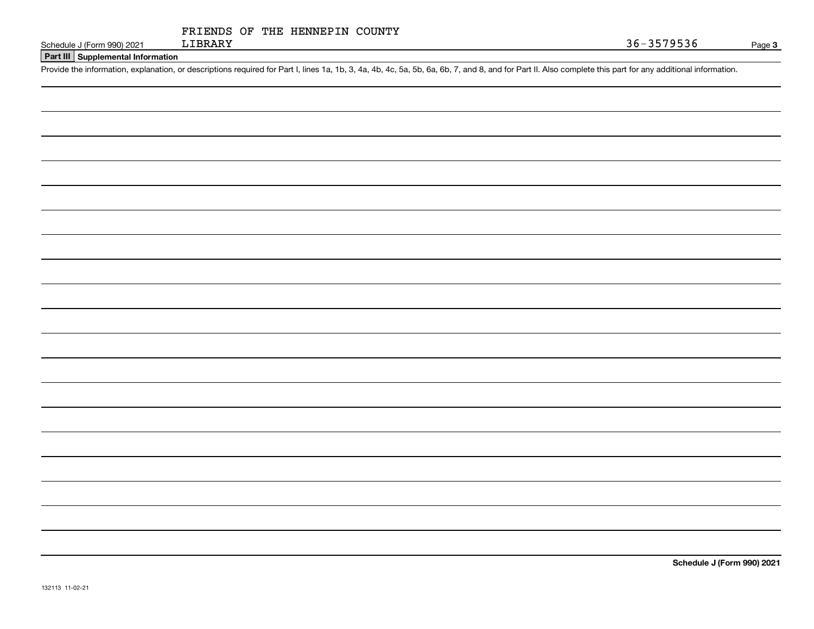|  |  | 132113 11-02-21 |
|--|--|-----------------|
|--|--|-----------------|

| FRIENDS OF THE HENNEPIN COUNTY |  |
|--------------------------------|--|
|--------------------------------|--|

**Part III Supplemental Information**

Schedule J (Form 990) 2021 LIBRARY<br>Part III Supplemental Information<br>Provide the information, explanation, or descriptions required for Part I, lines 1a, 1b, 3, 4a, 4b, 4c, 5a, 5b, 6a, 6b, 7, and 8, and for Part II. Also c

**Schedule J (Form 990) 2021**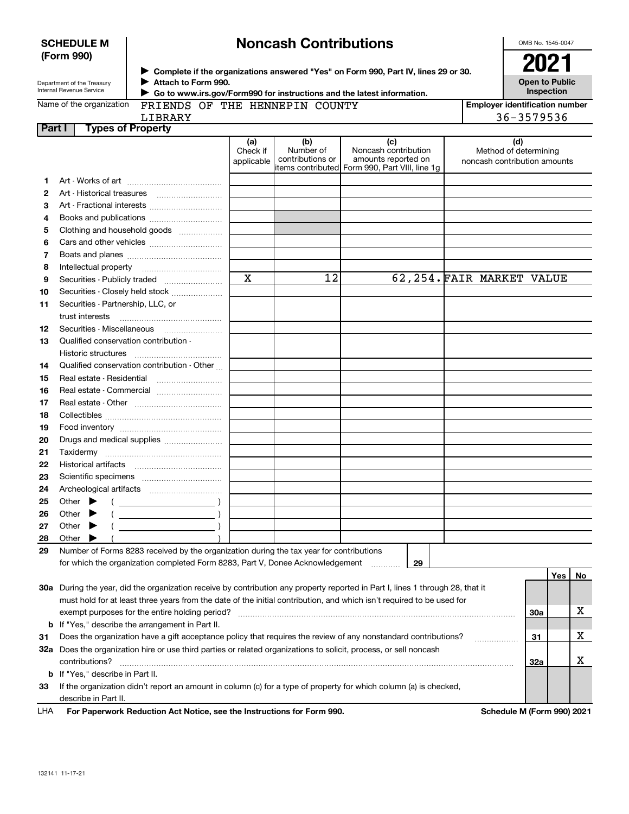| <b>Noncash Contributions</b> |
|------------------------------|
|------------------------------|

OMB No. 1545-0047

| Department of the Treasury |
|----------------------------|
| Internal Revenue Service   |

**SCHEDULE M (Form 990)**

**Complete if the organizations answered "Yes" on Form 990, Part IV, lines 29 or 30.** <sup>J</sup>**2021 Attach to Form 990.** J

 **Go to www.irs.gov/Form990 for instructions and the latest information.** J **Employer identification number**

| Name of the organization |  |
|--------------------------|--|
|                          |  |

FRIENDS OF THE HENNEPIN COUNTY

|         | LIBRARY                                                                                                                                                          |                               |                                      |                                                                                                      |  |                                                              | 36-3579536                         |     |    |
|---------|------------------------------------------------------------------------------------------------------------------------------------------------------------------|-------------------------------|--------------------------------------|------------------------------------------------------------------------------------------------------|--|--------------------------------------------------------------|------------------------------------|-----|----|
| Part I  | <b>Types of Property</b>                                                                                                                                         |                               |                                      |                                                                                                      |  |                                                              |                                    |     |    |
|         |                                                                                                                                                                  | (a)<br>Check if<br>applicable | (b)<br>Number of<br>contributions or | (c)<br>Noncash contribution<br>amounts reported on<br>items contributed Form 990, Part VIII, line 1g |  | (d)<br>Method of determining<br>noncash contribution amounts |                                    |     |    |
| 1       |                                                                                                                                                                  |                               |                                      |                                                                                                      |  |                                                              |                                    |     |    |
| 2       |                                                                                                                                                                  |                               |                                      |                                                                                                      |  |                                                              |                                    |     |    |
| З       |                                                                                                                                                                  |                               |                                      |                                                                                                      |  |                                                              |                                    |     |    |
| 4       |                                                                                                                                                                  |                               |                                      |                                                                                                      |  |                                                              |                                    |     |    |
| 5       | Clothing and household goods                                                                                                                                     |                               |                                      |                                                                                                      |  |                                                              |                                    |     |    |
| 6       |                                                                                                                                                                  |                               |                                      |                                                                                                      |  |                                                              |                                    |     |    |
| 7       |                                                                                                                                                                  |                               |                                      |                                                                                                      |  |                                                              |                                    |     |    |
| 8       |                                                                                                                                                                  |                               |                                      |                                                                                                      |  |                                                              |                                    |     |    |
| 9       |                                                                                                                                                                  | $\mathbf x$                   | 12                                   | 62,254. FAIR MARKET VALUE                                                                            |  |                                                              |                                    |     |    |
| 10      | Securities - Closely held stock                                                                                                                                  |                               |                                      |                                                                                                      |  |                                                              |                                    |     |    |
| 11      | Securities - Partnership, LLC, or                                                                                                                                |                               |                                      |                                                                                                      |  |                                                              |                                    |     |    |
|         | trust interests                                                                                                                                                  |                               |                                      |                                                                                                      |  |                                                              |                                    |     |    |
| 12      |                                                                                                                                                                  |                               |                                      |                                                                                                      |  |                                                              |                                    |     |    |
| 13      | Qualified conservation contribution -                                                                                                                            |                               |                                      |                                                                                                      |  |                                                              |                                    |     |    |
|         | Historic structures                                                                                                                                              |                               |                                      |                                                                                                      |  |                                                              |                                    |     |    |
| 14      | Qualified conservation contribution - Other                                                                                                                      |                               |                                      |                                                                                                      |  |                                                              |                                    |     |    |
| 15      | Real estate - Residential                                                                                                                                        |                               |                                      |                                                                                                      |  |                                                              |                                    |     |    |
| 16      | Real estate - Commercial                                                                                                                                         |                               |                                      |                                                                                                      |  |                                                              |                                    |     |    |
| 17      |                                                                                                                                                                  |                               |                                      |                                                                                                      |  |                                                              |                                    |     |    |
| 18      |                                                                                                                                                                  |                               |                                      |                                                                                                      |  |                                                              |                                    |     |    |
| 19      |                                                                                                                                                                  |                               |                                      |                                                                                                      |  |                                                              |                                    |     |    |
| 20      | Drugs and medical supplies                                                                                                                                       |                               |                                      |                                                                                                      |  |                                                              |                                    |     |    |
| 21      | Taxidermy                                                                                                                                                        |                               |                                      |                                                                                                      |  |                                                              |                                    |     |    |
| 22      |                                                                                                                                                                  |                               |                                      |                                                                                                      |  |                                                              |                                    |     |    |
| 23      |                                                                                                                                                                  |                               |                                      |                                                                                                      |  |                                                              |                                    |     |    |
| 24      |                                                                                                                                                                  |                               |                                      |                                                                                                      |  |                                                              |                                    |     |    |
| 25      | Other $\blacktriangleright$                                                                                                                                      |                               |                                      |                                                                                                      |  |                                                              |                                    |     |    |
| 26      | Other $\blacktriangleright$                                                                                                                                      |                               |                                      |                                                                                                      |  |                                                              |                                    |     |    |
| 27      | Other $\blacktriangleright$                                                                                                                                      |                               |                                      |                                                                                                      |  |                                                              |                                    |     |    |
| 28      | Other $\blacktriangleright$                                                                                                                                      |                               |                                      |                                                                                                      |  |                                                              |                                    |     |    |
| 29      | Number of Forms 8283 received by the organization during the tax year for contributions                                                                          |                               |                                      |                                                                                                      |  |                                                              |                                    |     |    |
|         | for which the organization completed Form 8283, Part V, Donee Acknowledgement                                                                                    |                               |                                      | 29<br>.                                                                                              |  |                                                              |                                    |     |    |
|         |                                                                                                                                                                  |                               |                                      |                                                                                                      |  |                                                              |                                    | Yes | No |
|         | 30a During the year, did the organization receive by contribution any property reported in Part I, lines 1 through 28, that it                                   |                               |                                      |                                                                                                      |  |                                                              |                                    |     |    |
|         | must hold for at least three years from the date of the initial contribution, and which isn't required to be used for                                            |                               |                                      |                                                                                                      |  |                                                              |                                    |     | х  |
|         | exempt purposes for the entire holding period?                                                                                                                   |                               |                                      |                                                                                                      |  |                                                              | 30a                                |     |    |
| b       | If "Yes," describe the arrangement in Part II.<br>Does the organization have a gift acceptance policy that requires the review of any nonstandard contributions? |                               |                                      |                                                                                                      |  |                                                              |                                    |     | x  |
| 31      | 32a Does the organization hire or use third parties or related organizations to solicit, process, or sell noncash                                                |                               |                                      |                                                                                                      |  |                                                              | 31                                 |     |    |
|         | contributions?                                                                                                                                                   |                               |                                      |                                                                                                      |  |                                                              | 32a                                |     | x  |
|         | If "Yes," describe in Part II.                                                                                                                                   |                               |                                      |                                                                                                      |  |                                                              |                                    |     |    |
| b<br>33 | If the organization didn't report an amount in column (c) for a type of property for which column (a) is checked,                                                |                               |                                      |                                                                                                      |  |                                                              |                                    |     |    |
|         | describe in Part II.                                                                                                                                             |                               |                                      |                                                                                                      |  |                                                              |                                    |     |    |
|         | sation. And Moding and the Instrumetions for Form 000                                                                                                            |                               |                                      |                                                                                                      |  |                                                              | $\mathbf{A} \mathbf{A} \mathbf{B}$ |     |    |

**For Paperwork Reduction Act Notice, see the Instructions for Form 990. Schedule M (Form 990) 2021** LHA

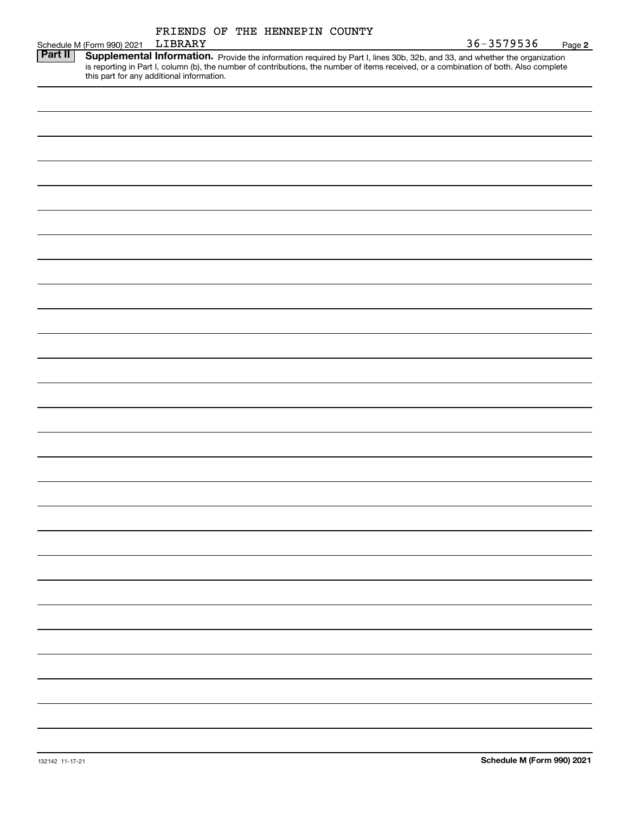|         |                            | FRIENDS OF THE HENNEPIN COUNTY            |                                                                                                                                                                                                                                                                      |            |        |
|---------|----------------------------|-------------------------------------------|----------------------------------------------------------------------------------------------------------------------------------------------------------------------------------------------------------------------------------------------------------------------|------------|--------|
|         | Schedule M (Form 990) 2021 | LIBRARY                                   |                                                                                                                                                                                                                                                                      | 36-3579536 | Page 2 |
| Part II |                            | this part for any additional information. | Supplemental Information. Provide the information required by Part I, lines 30b, 32b, and 33, and whether the organization<br>is reporting in Part I, column (b), the number of contributions, the number of items received, or a combination of both. Also complete |            |        |
|         |                            |                                           |                                                                                                                                                                                                                                                                      |            |        |
|         |                            |                                           |                                                                                                                                                                                                                                                                      |            |        |
|         |                            |                                           |                                                                                                                                                                                                                                                                      |            |        |
|         |                            |                                           |                                                                                                                                                                                                                                                                      |            |        |
|         |                            |                                           |                                                                                                                                                                                                                                                                      |            |        |
|         |                            |                                           |                                                                                                                                                                                                                                                                      |            |        |
|         |                            |                                           |                                                                                                                                                                                                                                                                      |            |        |
|         |                            |                                           |                                                                                                                                                                                                                                                                      |            |        |
|         |                            |                                           |                                                                                                                                                                                                                                                                      |            |        |
|         |                            |                                           |                                                                                                                                                                                                                                                                      |            |        |
|         |                            |                                           |                                                                                                                                                                                                                                                                      |            |        |
|         |                            |                                           |                                                                                                                                                                                                                                                                      |            |        |
|         |                            |                                           |                                                                                                                                                                                                                                                                      |            |        |
|         |                            |                                           |                                                                                                                                                                                                                                                                      |            |        |
|         |                            |                                           |                                                                                                                                                                                                                                                                      |            |        |
|         |                            |                                           |                                                                                                                                                                                                                                                                      |            |        |
|         |                            |                                           |                                                                                                                                                                                                                                                                      |            |        |
|         |                            |                                           |                                                                                                                                                                                                                                                                      |            |        |
|         |                            |                                           |                                                                                                                                                                                                                                                                      |            |        |
|         |                            |                                           |                                                                                                                                                                                                                                                                      |            |        |
|         |                            |                                           |                                                                                                                                                                                                                                                                      |            |        |
|         |                            |                                           |                                                                                                                                                                                                                                                                      |            |        |
|         |                            |                                           |                                                                                                                                                                                                                                                                      |            |        |
|         |                            |                                           |                                                                                                                                                                                                                                                                      |            |        |
|         |                            |                                           |                                                                                                                                                                                                                                                                      |            |        |
|         |                            |                                           |                                                                                                                                                                                                                                                                      |            |        |
|         |                            |                                           |                                                                                                                                                                                                                                                                      |            |        |
|         |                            |                                           |                                                                                                                                                                                                                                                                      |            |        |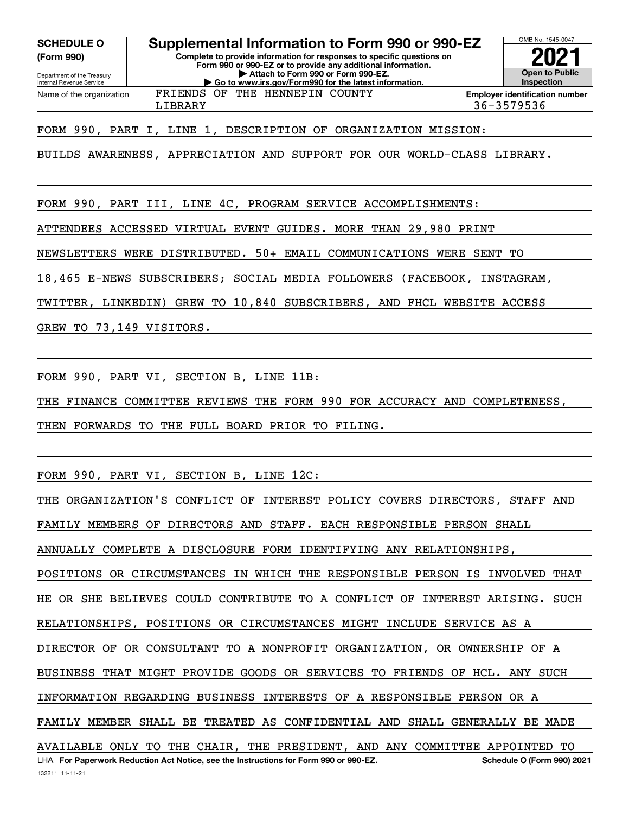**(Form 990)**

Department of the Treasury Internal Revenue Service

Name of the organization

**Complete to provide information for responses to specific questions on Form 990 or 990-EZ or to provide any additional information. | Attach to Form 990 or Form 990-EZ. | Go to www.irs.gov/Form990 for the latest information. SCHEDULE O Supplemental Information to Form 990 or 990-EZ** FRIENDS OF THE HENNEPIN COUNTY



LIBRARY 36-3579536

FORM 990, PART I, LINE 1, DESCRIPTION OF ORGANIZATION MISSION:

BUILDS AWARENESS, APPRECIATION AND SUPPORT FOR OUR WORLD-CLASS LIBRARY.

FORM 990, PART III, LINE 4C, PROGRAM SERVICE ACCOMPLISHMENTS:

ATTENDEES ACCESSED VIRTUAL EVENT GUIDES. MORE THAN 29,980 PRINT

NEWSLETTERS WERE DISTRIBUTED. 50+ EMAIL COMMUNICATIONS WERE SENT TO

18,465 E-NEWS SUBSCRIBERS; SOCIAL MEDIA FOLLOWERS (FACEBOOK, INSTAGRAM,

TWITTER, LINKEDIN) GREW TO 10,840 SUBSCRIBERS, AND FHCL WEBSITE ACCESS

GREW TO 73,149 VISITORS.

FORM 990, PART VI, SECTION B, LINE 11B:

THE FINANCE COMMITTEE REVIEWS THE FORM 990 FOR ACCURACY AND COMPLETENESS,

THEN FORWARDS TO THE FULL BOARD PRIOR TO FILING.

FORM 990, PART VI, SECTION B, LINE 12C:

THE ORGANIZATION'S CONFLICT OF INTEREST POLICY COVERS DIRECTORS, STAFF AND

FAMILY MEMBERS OF DIRECTORS AND STAFF. EACH RESPONSIBLE PERSON SHALL

ANNUALLY COMPLETE A DISCLOSURE FORM IDENTIFYING ANY RELATIONSHIPS,

POSITIONS OR CIRCUMSTANCES IN WHICH THE RESPONSIBLE PERSON IS INVOLVED THAT

HE OR SHE BELIEVES COULD CONTRIBUTE TO A CONFLICT OF INTEREST ARISING. SUCH

RELATIONSHIPS, POSITIONS OR CIRCUMSTANCES MIGHT INCLUDE SERVICE AS A

DIRECTOR OF OR CONSULTANT TO A NONPROFIT ORGANIZATION, OR OWNERSHIP OF A

BUSINESS THAT MIGHT PROVIDE GOODS OR SERVICES TO FRIENDS OF HCL. ANY SUCH

INFORMATION REGARDING BUSINESS INTERESTS OF A RESPONSIBLE PERSON OR A

FAMILY MEMBER SHALL BE TREATED AS CONFIDENTIAL AND SHALL GENERALLY BE MADE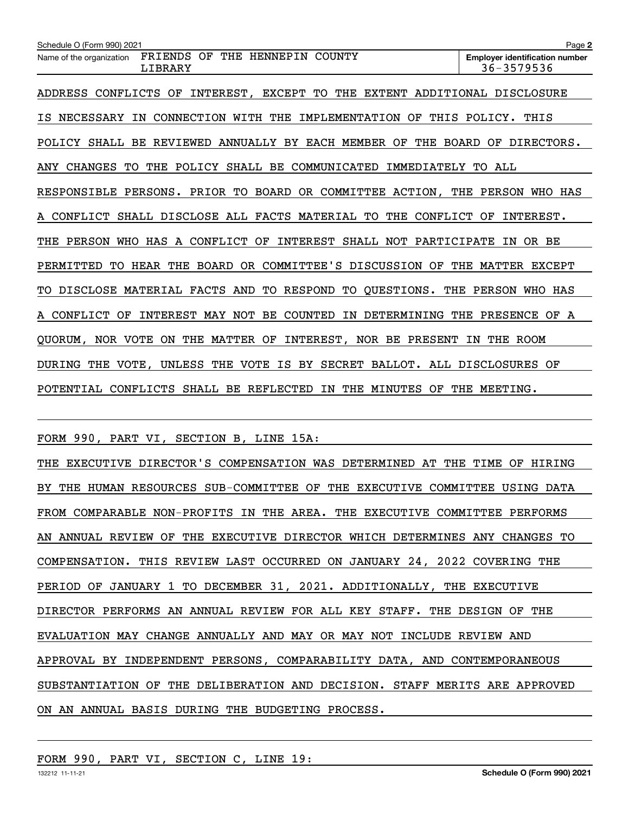| Schedule O (Form 990) 2021                                                                           | Page 2                                              |
|------------------------------------------------------------------------------------------------------|-----------------------------------------------------|
| THE HENNEPIN<br>COUNTY<br>FRIENDS<br>OF<br>Name of the organization<br>LIBRARY                       | <b>Employer identification number</b><br>36-3579536 |
| CONFLICTS<br>INTEREST,<br>EXCEPT<br>TО<br>THE<br>EXTENT<br><b>ADDRESS</b><br>OF                      | ADDITIONAL DISCLOSURE                               |
| THIS<br><b>NECESSARY</b><br>CONNECTION WITH<br>THE<br>IMPLEMENTATION<br>OF<br>ΙN<br>IS.              | POLICY.<br>THIS                                     |
| ANNUALLY BY EACH MEMBER<br>POLICY SHALL<br>BE REVIEWED<br>OF<br>THE                                  | BOARD<br>OF<br>DIRECTORS.                           |
| <b>CHANGES</b><br>THE<br>POLICY<br>SHALL BE<br>COMMUNICATED<br>IMMEDIATELY<br>ANY<br>TО              | TO.<br>ALL                                          |
| PERSONS. PRIOR TO BOARD OR COMMITTEE ACTION, THE<br>RESPONSIBLE                                      | PERSON WHO HAS                                      |
| SHALL DISCLOSE ALL FACTS MATERIAL TO<br>A CONFLICT<br>THE<br>CONFLICT                                | INTEREST.<br>OF                                     |
| A CONFLICT<br><b>PERSON</b><br>WHO<br>HAS<br>INTEREST<br>SHALL<br>NOT PARTICIPATE<br>OF<br>THE       | OR BE<br>ΙN                                         |
| OR COMMITTEE'S DISCUSSION<br>PERMITTED<br>TO.<br>HEAR THE<br>BOARD<br>OF                             | THE<br>MATTER EXCEPT                                |
| <b>DISCLOSE</b><br>MATERIAL FACTS<br>AND<br><b>RESPOND</b><br>QUESTIONS.<br>THE<br>TO.<br>TО<br>TO.  | PERSON<br>WHO HAS                                   |
| A CONFLICT<br>OF<br>INTEREST MAY NOT<br>BE<br>COUNTED IN<br>DETERMINING                              | THE<br>PRESENCE OF<br>A                             |
| NOR VOTE<br>THE MATTER OF<br>INTEREST, NOR BE PRESENT<br>ON<br>QUORUM,                               | THE ROOM<br>IN                                      |
| UNLESS<br>THE<br>VOTE IS<br><b>SECRET</b><br>BALLOT. ALL DISCLOSURES<br>THE<br>VOTE,<br>BY<br>DURING | OF                                                  |
| THE MINUTES<br>POTENTIAL<br>CONFLICTS<br>SHALL BE REFLECTED<br>IN<br>OF                              | THE<br>MEETING.                                     |

FORM 990, PART VI, SECTION B, LINE 15A:

THE EXECUTIVE DIRECTOR'S COMPENSATION WAS DETERMINED AT THE TIME OF HIRING BY THE HUMAN RESOURCES SUB-COMMITTEE OF THE EXECUTIVE COMMITTEE USING DATA FROM COMPARABLE NON-PROFITS IN THE AREA. THE EXECUTIVE COMMITTEE PERFORMS AN ANNUAL REVIEW OF THE EXECUTIVE DIRECTOR WHICH DETERMINES ANY CHANGES TO COMPENSATION. THIS REVIEW LAST OCCURRED ON JANUARY 24, 2022 COVERING THE PERIOD OF JANUARY 1 TO DECEMBER 31, 2021. ADDITIONALLY, THE EXECUTIVE DIRECTOR PERFORMS AN ANNUAL REVIEW FOR ALL KEY STAFF. THE DESIGN OF THE EVALUATION MAY CHANGE ANNUALLY AND MAY OR MAY NOT INCLUDE REVIEW AND APPROVAL BY INDEPENDENT PERSONS, COMPARABILITY DATA, AND CONTEMPORANEOUS SUBSTANTIATION OF THE DELIBERATION AND DECISION. STAFF MERITS ARE APPROVED ON AN ANNUAL BASIS DURING THE BUDGETING PROCESS.